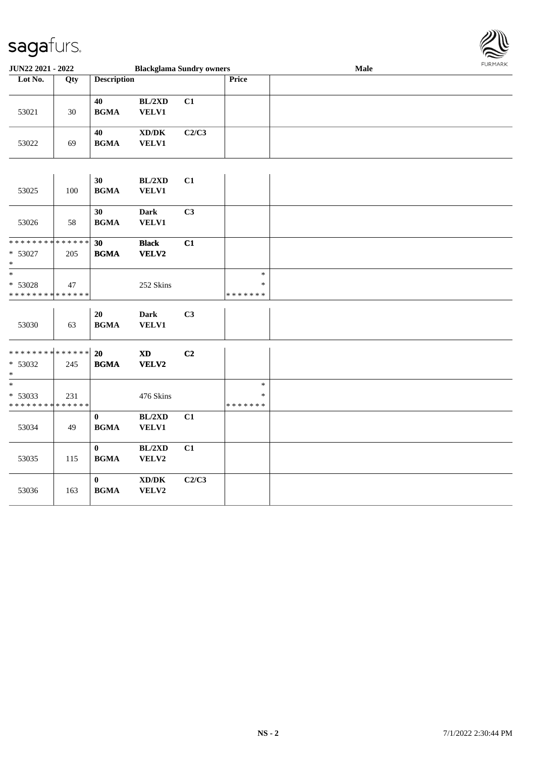

| <b>JUN22 2021 - 2022</b>                   |                                                           |                                                                                                                                                                                                                                                            |                                                                                                                                                                                                                                                                    |                                  | Male                                                                 | 1.911171777 |
|--------------------------------------------|-----------------------------------------------------------|------------------------------------------------------------------------------------------------------------------------------------------------------------------------------------------------------------------------------------------------------------|--------------------------------------------------------------------------------------------------------------------------------------------------------------------------------------------------------------------------------------------------------------------|----------------------------------|----------------------------------------------------------------------|-------------|
| Qty                                        |                                                           |                                                                                                                                                                                                                                                            |                                                                                                                                                                                                                                                                    | Price                            |                                                                      |             |
|                                            |                                                           |                                                                                                                                                                                                                                                            |                                                                                                                                                                                                                                                                    |                                  |                                                                      |             |
|                                            | 40                                                        | BL/2XD                                                                                                                                                                                                                                                     | C1                                                                                                                                                                                                                                                                 |                                  |                                                                      |             |
| 30                                         |                                                           |                                                                                                                                                                                                                                                            |                                                                                                                                                                                                                                                                    |                                  |                                                                      |             |
|                                            |                                                           |                                                                                                                                                                                                                                                            |                                                                                                                                                                                                                                                                    |                                  |                                                                      |             |
|                                            |                                                           |                                                                                                                                                                                                                                                            |                                                                                                                                                                                                                                                                    |                                  |                                                                      |             |
|                                            |                                                           |                                                                                                                                                                                                                                                            |                                                                                                                                                                                                                                                                    |                                  |                                                                      |             |
|                                            |                                                           |                                                                                                                                                                                                                                                            |                                                                                                                                                                                                                                                                    |                                  |                                                                      |             |
|                                            |                                                           |                                                                                                                                                                                                                                                            |                                                                                                                                                                                                                                                                    |                                  |                                                                      |             |
|                                            | 30                                                        | BL/2XD                                                                                                                                                                                                                                                     | C1                                                                                                                                                                                                                                                                 |                                  |                                                                      |             |
| 100                                        | <b>BGMA</b>                                               | <b>VELV1</b>                                                                                                                                                                                                                                               |                                                                                                                                                                                                                                                                    |                                  |                                                                      |             |
|                                            |                                                           |                                                                                                                                                                                                                                                            |                                                                                                                                                                                                                                                                    |                                  |                                                                      |             |
|                                            | 30                                                        | <b>Dark</b>                                                                                                                                                                                                                                                | C3                                                                                                                                                                                                                                                                 |                                  |                                                                      |             |
|                                            |                                                           |                                                                                                                                                                                                                                                            |                                                                                                                                                                                                                                                                    |                                  |                                                                      |             |
|                                            |                                                           |                                                                                                                                                                                                                                                            |                                                                                                                                                                                                                                                                    |                                  |                                                                      |             |
|                                            |                                                           |                                                                                                                                                                                                                                                            |                                                                                                                                                                                                                                                                    |                                  |                                                                      |             |
|                                            |                                                           |                                                                                                                                                                                                                                                            |                                                                                                                                                                                                                                                                    |                                  |                                                                      |             |
|                                            |                                                           |                                                                                                                                                                                                                                                            |                                                                                                                                                                                                                                                                    |                                  |                                                                      |             |
|                                            |                                                           |                                                                                                                                                                                                                                                            |                                                                                                                                                                                                                                                                    |                                  |                                                                      |             |
| * * * * * * * *                            |                                                           |                                                                                                                                                                                                                                                            |                                                                                                                                                                                                                                                                    |                                  |                                                                      |             |
|                                            |                                                           |                                                                                                                                                                                                                                                            |                                                                                                                                                                                                                                                                    |                                  |                                                                      |             |
|                                            | 20                                                        | <b>Dark</b>                                                                                                                                                                                                                                                | C3                                                                                                                                                                                                                                                                 |                                  |                                                                      |             |
| 63                                         |                                                           | <b>VELV1</b>                                                                                                                                                                                                                                               |                                                                                                                                                                                                                                                                    |                                  |                                                                      |             |
|                                            |                                                           |                                                                                                                                                                                                                                                            |                                                                                                                                                                                                                                                                    |                                  |                                                                      |             |
|                                            |                                                           |                                                                                                                                                                                                                                                            |                                                                                                                                                                                                                                                                    |                                  |                                                                      |             |
|                                            |                                                           |                                                                                                                                                                                                                                                            |                                                                                                                                                                                                                                                                    |                                  |                                                                      |             |
|                                            |                                                           |                                                                                                                                                                                                                                                            |                                                                                                                                                                                                                                                                    |                                  |                                                                      |             |
|                                            |                                                           |                                                                                                                                                                                                                                                            |                                                                                                                                                                                                                                                                    | $\ast$                           |                                                                      |             |
| 231                                        |                                                           |                                                                                                                                                                                                                                                            |                                                                                                                                                                                                                                                                    | $\ast$                           |                                                                      |             |
| * * * * * * * * <mark>* * * * * * *</mark> |                                                           |                                                                                                                                                                                                                                                            |                                                                                                                                                                                                                                                                    | * * * * * * *                    |                                                                      |             |
|                                            | $\bf{0}$                                                  | BL/2XD                                                                                                                                                                                                                                                     | C1                                                                                                                                                                                                                                                                 |                                  |                                                                      |             |
| 49                                         | <b>BGMA</b>                                               | <b>VELV1</b>                                                                                                                                                                                                                                               |                                                                                                                                                                                                                                                                    |                                  |                                                                      |             |
|                                            |                                                           |                                                                                                                                                                                                                                                            |                                                                                                                                                                                                                                                                    |                                  |                                                                      |             |
|                                            |                                                           |                                                                                                                                                                                                                                                            |                                                                                                                                                                                                                                                                    |                                  |                                                                      |             |
|                                            |                                                           |                                                                                                                                                                                                                                                            |                                                                                                                                                                                                                                                                    |                                  |                                                                      |             |
|                                            |                                                           |                                                                                                                                                                                                                                                            |                                                                                                                                                                                                                                                                    |                                  |                                                                      |             |
|                                            |                                                           |                                                                                                                                                                                                                                                            |                                                                                                                                                                                                                                                                    |                                  |                                                                      |             |
|                                            |                                                           |                                                                                                                                                                                                                                                            |                                                                                                                                                                                                                                                                    |                                  |                                                                      |             |
|                                            | 69<br>58<br>205<br>47<br>* * * * * *<br>245<br>115<br>163 | <b>BGMA</b><br>40<br><b>BGMA</b><br><b>BGMA</b><br>* * * * * * * * <mark>* * * * * * *</mark><br>30<br><b>BGMA</b><br><b>BGMA</b><br>* * * * * * * * <mark>* * * * * * *</mark><br>20<br><b>BGMA</b><br>$\bf{0}$<br><b>BGMA</b><br>$\bf{0}$<br><b>BGMA</b> | <b>Description</b><br><b>VELV1</b><br>$\bold{X}\bold{D}/\bold{D}\bold{K}$<br>VELV1<br><b>VELV1</b><br><b>Black</b><br>VELV2<br>252 Skins<br>$\mathbf{X}\mathbf{D}$<br><b>VELV2</b><br>476 Skins<br>BL/2XD<br>VELV2<br>$\bold{X}\bold{D}/\bold{D}\bold{K}$<br>VELV2 | C2/C3<br>C1<br>C2<br>C1<br>C2/C3 | <b>Blackglama Sundry owners</b><br>$\ast$<br>$\ast$<br>* * * * * * * |             |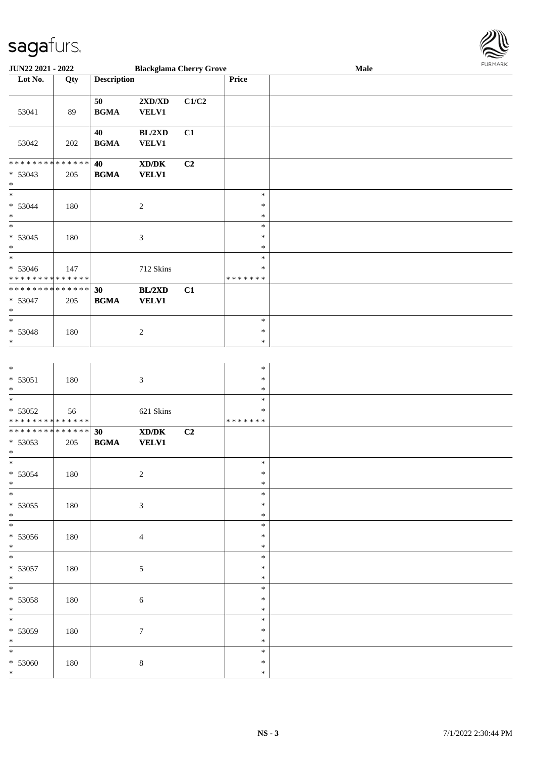

|                                                                   | JUN22 2021 - 2022<br><b>Blackglama Cherry Grove</b> |                       |                                                                                                                      | FURMARK<br>Male |                                      |  |  |  |
|-------------------------------------------------------------------|-----------------------------------------------------|-----------------------|----------------------------------------------------------------------------------------------------------------------|-----------------|--------------------------------------|--|--|--|
| Lot No.                                                           | Qty                                                 | <b>Description</b>    |                                                                                                                      |                 | Price                                |  |  |  |
| 53041                                                             | 89                                                  | $50\,$<br><b>BGMA</b> | $2{\bf X}{\bf D}/{\bf X}{\bf D}$<br><b>VELV1</b>                                                                     | C1/C2           |                                      |  |  |  |
| 53042                                                             | 202                                                 | 40<br><b>BGMA</b>     | BL/2XD<br><b>VELV1</b>                                                                                               | C1              |                                      |  |  |  |
| ******** <mark>******</mark><br>$* 53043$<br>$*$                  | 205                                                 | 40<br><b>BGMA</b>     | $\boldsymbol{\text{X}}\boldsymbol{\text{D}}\boldsymbol{/}\boldsymbol{\text{D}}\boldsymbol{\text{K}}$<br><b>VELV1</b> | C2              |                                      |  |  |  |
| $\ast$<br>$* 53044$<br>$\ast$<br>$\overline{\phantom{0}}$         | 180                                                 |                       | $\overline{2}$                                                                                                       |                 | $\ast$<br>$\ast$<br>$\ast$           |  |  |  |
| $* 53045$<br>$\ast$<br>$\overline{\phantom{0}}$                   | 180                                                 |                       | $\mathfrak{Z}$                                                                                                       |                 | $\ast$<br>$\ast$<br>$\ast$<br>$\ast$ |  |  |  |
| * 53046<br>* * * * * * * * * * * * * *                            | 147                                                 |                       | 712 Skins                                                                                                            |                 | ∗<br>* * * * * * *                   |  |  |  |
| ******** <mark>******</mark><br>* 53047<br>$\ast$                 | 205                                                 | 30<br><b>BGMA</b>     | BL/2XD<br><b>VELV1</b>                                                                                               | C1              |                                      |  |  |  |
| $\ast$<br>$* 53048$<br>$\ast$                                     | 180                                                 |                       | $\sqrt{2}$                                                                                                           |                 | $\ast$<br>$\ast$<br>$\ast$           |  |  |  |
| $\ast$<br>$* 53051$<br>$*$                                        | 180                                                 |                       | $\mathfrak{Z}$                                                                                                       |                 | $\ast$<br>$\ast$<br>$\ast$           |  |  |  |
| $*$<br>* 53052<br>* * * * * * * * * * * * * *                     | 56                                                  |                       | 621 Skins                                                                                                            |                 | $\ast$<br>$\ast$<br>* * * * * * *    |  |  |  |
| * * * * * * * * <mark>* * * * * * *</mark><br>$* 53053$<br>$\ast$ | 205                                                 | 30<br><b>BGMA</b>     | $\boldsymbol{\text{X}}\boldsymbol{\text{D}}\boldsymbol{/}\boldsymbol{\text{D}}\boldsymbol{\text{K}}$<br><b>VELV1</b> | C2              |                                      |  |  |  |
| $* 53054$<br>$\ast$                                               | 180                                                 |                       | $\overline{2}$                                                                                                       |                 | $\ast$<br>$\ast$<br>$\ast$           |  |  |  |
| $\ast$<br>$* 53055$<br>$*$<br>$\ast$                              | 180                                                 |                       | $\ensuremath{\mathfrak{Z}}$                                                                                          |                 | $\ast$<br>$\ast$<br>$\ast$           |  |  |  |
| * 53056<br>$*$                                                    | 180                                                 |                       | $\overline{4}$                                                                                                       |                 | $\ast$<br>$\ast$<br>$\ast$           |  |  |  |
| $*$<br>$* 53057$<br>$*$                                           | 180                                                 |                       | $\sqrt{5}$                                                                                                           |                 | $\ast$<br>$\ast$<br>$\ast$           |  |  |  |
| $\overline{\ast}$<br>$* 53058$<br>$*$                             | 180                                                 |                       | $\sqrt{6}$                                                                                                           |                 | $\ast$<br>$\ast$<br>$\ast$           |  |  |  |
| $\ast$<br>* 53059<br>$*$                                          | 180                                                 |                       | $\tau$                                                                                                               |                 | $\ast$<br>$\ast$<br>$\ast$           |  |  |  |
| $*$<br>* 53060<br>$\ast$                                          | 180                                                 |                       | $\,8\,$                                                                                                              |                 | $\ast$<br>$\ast$<br>$\ast$           |  |  |  |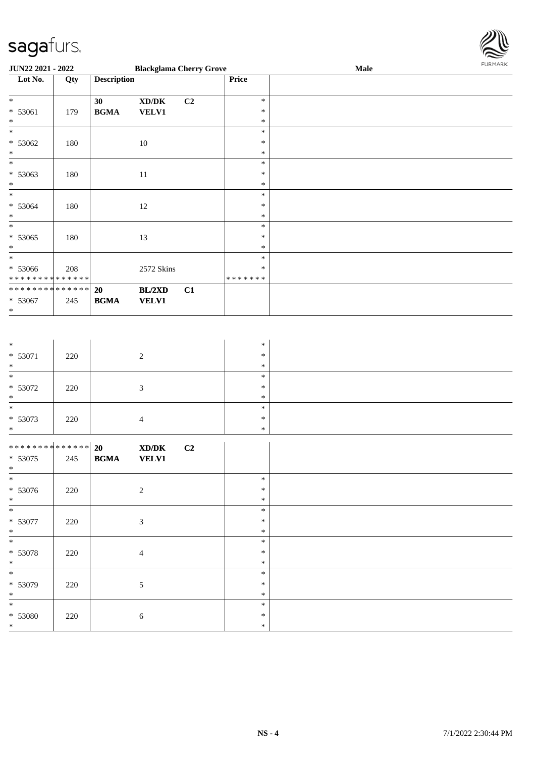

| JUN22 2021 - 2022                             |     |                                            | <b>Blackglama Cherry Grove</b>                              |                |                         | Male | FURMARK |
|-----------------------------------------------|-----|--------------------------------------------|-------------------------------------------------------------|----------------|-------------------------|------|---------|
| Lot No.                                       | Qty | <b>Description</b>                         |                                                             |                | Price                   |      |         |
| $*$                                           |     | 30                                         | $\bold{X}\bold{D}/\bold{D}\bold{K}$                         | C <sub>2</sub> | $\ast$                  |      |         |
| $* 53061$                                     | 179 | $\mathbf{B}\mathbf{G}\mathbf{M}\mathbf{A}$ | <b>VELV1</b>                                                |                | $\ast$                  |      |         |
| $\ast$                                        |     |                                            |                                                             |                | $\ast$                  |      |         |
| $\overline{\phantom{0}}$                      |     |                                            |                                                             |                | $\ast$                  |      |         |
| $* 53062$<br>$*$                              | 180 |                                            | $10\,$                                                      |                | $\ast$<br>$\ast$        |      |         |
| $\overline{\phantom{0}}$                      |     |                                            |                                                             |                | $\ast$                  |      |         |
| $* 53063$                                     | 180 |                                            | $11\,$                                                      |                | $\ast$                  |      |         |
| $*$                                           |     |                                            |                                                             |                | $\ast$                  |      |         |
| $\overline{\phantom{0}}$                      |     |                                            |                                                             |                | $\ast$                  |      |         |
| $* 53064$<br>$*$                              | 180 |                                            | 12                                                          |                | $\ast$<br>$\ast$        |      |         |
| $\overline{\phantom{0}}$                      |     |                                            |                                                             |                | $\ast$                  |      |         |
| $* 53065$                                     | 180 |                                            | 13                                                          |                | $\ast$                  |      |         |
|                                               |     |                                            |                                                             |                | $\ast$                  |      |         |
|                                               |     |                                            |                                                             |                | $\ast$                  |      |         |
| * 53066                                       | 208 |                                            | 2572 Skins                                                  |                | $\ast$<br>* * * * * * * |      |         |
| * * * * * * * * * * * * * *<br>************** |     | 20                                         | BL/2XD                                                      | C1             |                         |      |         |
| $* 53067$                                     | 245 | $\mathbf{B}\mathbf{G}\mathbf{M}\mathbf{A}$ | <b>VELV1</b>                                                |                |                         |      |         |
| $\ast$                                        |     |                                            |                                                             |                |                         |      |         |
|                                               |     |                                            |                                                             |                |                         |      |         |
|                                               |     |                                            |                                                             |                |                         |      |         |
| $*$                                           |     |                                            |                                                             |                | $\ast$                  |      |         |
| * 53071                                       | 220 |                                            | $\overline{2}$                                              |                | $\ast$                  |      |         |
| $*$ $*$                                       |     |                                            |                                                             |                | $\ast$<br>$\ast$        |      |         |
| $* 53072$                                     | 220 |                                            | $\mathfrak{Z}$                                              |                | $\ast$                  |      |         |
| $\ast$                                        |     |                                            |                                                             |                | $\ast$                  |      |         |
|                                               |     |                                            |                                                             |                | $\ast$                  |      |         |
| $* 53073$                                     | 220 |                                            | $\overline{4}$                                              |                | $\ast$                  |      |         |
| $\ast$                                        |     |                                            |                                                             |                | $\ast$                  |      |         |
| ******** <mark>******</mark>                  |     | 20                                         | $\boldsymbol{\text{X} \text{D} \text{/} \text{D} \text{K}}$ | C2             |                         |      |         |
| $* 53075$                                     | 245 | $\mathbf{B}\mathbf{G}\mathbf{M}\mathbf{A}$ | <b>VELV1</b>                                                |                |                         |      |         |
| $\ast$<br>$\ast$                              |     |                                            |                                                             |                | $\ast$                  |      |         |
| * 53076                                       | 220 |                                            | $\sqrt{2}$                                                  |                | ∗                       |      |         |
| $*$                                           |     |                                            |                                                             |                | $\ast$                  |      |         |
| $\frac{1}{*}$                                 |     |                                            |                                                             |                | $\ast$                  |      |         |
| * 53077                                       | 220 |                                            | $\mathfrak{Z}$                                              |                | $\ast$                  |      |         |
| $*$<br>$\overline{\phantom{0}}$               |     |                                            |                                                             |                | $\ast$                  |      |         |
| * 53078                                       |     |                                            |                                                             |                | $\ast$<br>$\ast$        |      |         |
| $*$                                           | 220 |                                            | $\overline{4}$                                              |                | $\ast$                  |      |         |
| $\overline{\phantom{0}}$                      |     |                                            |                                                             |                | $\ast$                  |      |         |
| $* 53079$                                     | 220 |                                            | $\sqrt{5}$                                                  |                | $\ast$                  |      |         |
| $\ast$                                        |     |                                            |                                                             |                | $\ast$                  |      |         |
| $\ast$                                        |     |                                            |                                                             |                | $\ast$                  |      |         |
| * 53080<br>$\ast$                             | 220 |                                            | $\sqrt{6}$                                                  |                | $\ast$<br>$\ast$        |      |         |
|                                               |     |                                            |                                                             |                |                         |      |         |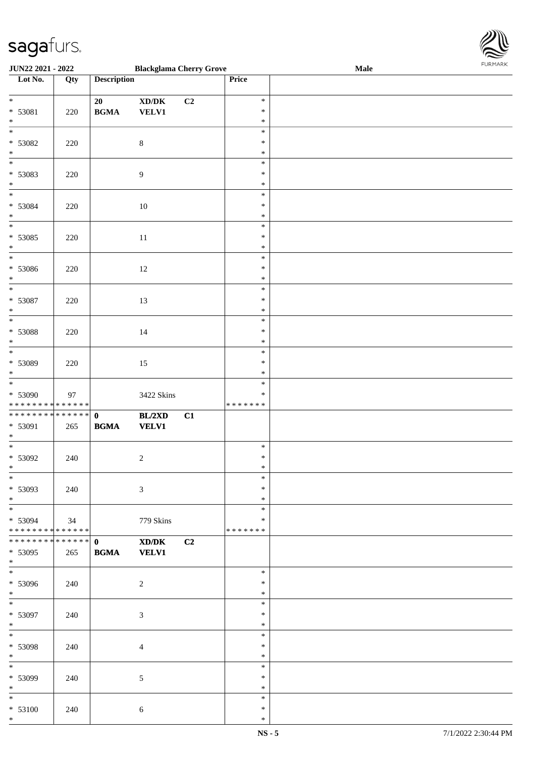

| <b>JUN22 2021 - 2022</b>                   |     |                    | <b>Blackglama Cherry Grove</b>      |    |               | Male |
|--------------------------------------------|-----|--------------------|-------------------------------------|----|---------------|------|
| Lot No.                                    | Qty | <b>Description</b> |                                     |    | Price         |      |
|                                            |     |                    |                                     |    |               |      |
| $*$                                        |     | 20                 | $\bold{X}\bold{D}/\bold{D}\bold{K}$ | C2 | $\ast$        |      |
| * 53081                                    | 220 | <b>BGMA</b>        | <b>VELV1</b>                        |    | $\ast$        |      |
| $*$                                        |     |                    |                                     |    | $\ast$        |      |
|                                            |     |                    |                                     |    | $\ast$        |      |
|                                            |     |                    |                                     |    |               |      |
| * 53082                                    | 220 |                    | $\,8\,$                             |    | ∗             |      |
| $*$                                        |     |                    |                                     |    | $\ast$        |      |
|                                            |     |                    |                                     |    | $\ast$        |      |
| * 53083                                    | 220 |                    | $\boldsymbol{9}$                    |    | $\ast$        |      |
| $*$                                        |     |                    |                                     |    | $\ast$        |      |
| $\overline{\phantom{0}}$                   |     |                    |                                     |    | $\ast$        |      |
| $* 53084$                                  | 220 |                    | $10\,$                              |    | $\ast$        |      |
| $*$                                        |     |                    |                                     |    | $\ast$        |      |
| $\overline{\phantom{0}}$                   |     |                    |                                     |    |               |      |
|                                            |     |                    |                                     |    | $\ast$        |      |
| * 53085                                    | 220 |                    | $11\,$                              |    | $\ast$        |      |
| $*$                                        |     |                    |                                     |    | $\ast$        |      |
| $\overline{\phantom{0}}$                   |     |                    |                                     |    | $\ast$        |      |
| $* 53086$                                  | 220 |                    | 12                                  |    | $\ast$        |      |
| $\ast$                                     |     |                    |                                     |    | $\ast$        |      |
| $*$                                        |     |                    |                                     |    | $\ast$        |      |
| $* 53087$                                  | 220 |                    | 13                                  |    | $\ast$        |      |
| $*$                                        |     |                    |                                     |    | $\ast$        |      |
|                                            |     |                    |                                     |    | $\ast$        |      |
|                                            |     |                    |                                     |    |               |      |
| * 53088                                    | 220 |                    | 14                                  |    | $\ast$        |      |
| $*$                                        |     |                    |                                     |    | $\ast$        |      |
| $\overline{\phantom{0}}$                   |     |                    |                                     |    | $\ast$        |      |
| * 53089                                    | 220 |                    | 15                                  |    | $\ast$        |      |
| $*$                                        |     |                    |                                     |    | $\ast$        |      |
| $\overline{\phantom{0}}$                   |     |                    |                                     |    | $\ast$        |      |
| * 53090                                    | 97  |                    | 3422 Skins                          |    | $\ast$        |      |
| * * * * * * * * <mark>* * * * * * *</mark> |     |                    |                                     |    | *******       |      |
| * * * * * * * * * * * * * * *              |     | $\mathbf{0}$       |                                     |    |               |      |
|                                            |     |                    | BL/2XD                              | C1 |               |      |
| * 53091                                    | 265 | <b>BGMA</b>        | <b>VELV1</b>                        |    |               |      |
| $*$                                        |     |                    |                                     |    |               |      |
| $*$                                        |     |                    |                                     |    | $\ast$        |      |
| * 53092                                    | 240 |                    | $\sqrt{2}$                          |    | $\ast$        |      |
| $*$                                        |     |                    |                                     |    | $\ast$        |      |
| $*$                                        |     |                    |                                     |    | $\ast$        |      |
| * 53093                                    | 240 |                    | $\mathfrak{Z}$                      |    | $\ast$        |      |
| $*$                                        |     |                    |                                     |    | $\ast$        |      |
|                                            |     |                    |                                     |    | $\ast$        |      |
| * 53094                                    | 34  |                    | 779 Skins                           |    | ∗             |      |
| * * * * * * * * * * * * * * *              |     |                    |                                     |    | * * * * * * * |      |
| * * * * * * * * * * * * * * *              |     | $\mathbf{0}$       |                                     |    |               |      |
|                                            |     |                    | XD/DK                               | C2 |               |      |
| * 53095                                    | 265 | <b>BGMA</b>        | <b>VELV1</b>                        |    |               |      |
| $*$<br>$\overline{\ast}$                   |     |                    |                                     |    |               |      |
|                                            |     |                    |                                     |    | $\ast$        |      |
| * 53096                                    | 240 |                    | $\overline{c}$                      |    | $\ast$        |      |
| $*$                                        |     |                    |                                     |    | $\ast$        |      |
| $*$ $*$                                    |     |                    |                                     |    | $\ast$        |      |
| * 53097                                    | 240 |                    | $\mathfrak{Z}$                      |    | $\ast$        |      |
| $*$                                        |     |                    |                                     |    | $\ast$        |      |
| $*$ $*$                                    |     |                    |                                     |    | $\ast$        |      |
| * 53098                                    |     |                    |                                     |    | $\ast$        |      |
|                                            | 240 |                    | $\overline{4}$                      |    |               |      |
| $*$                                        |     |                    |                                     |    | $\ast$        |      |
| $*$                                        |     |                    |                                     |    | $\ast$        |      |
| * 53099                                    | 240 |                    | 5                                   |    | $\ast$        |      |
| $*$                                        |     |                    |                                     |    | $\ast$        |      |
| $*$                                        |     |                    |                                     |    | $\ast$        |      |
| * 53100                                    | 240 |                    | 6                                   |    | $\ast$        |      |
| $*$                                        |     |                    |                                     |    | $\ast$        |      |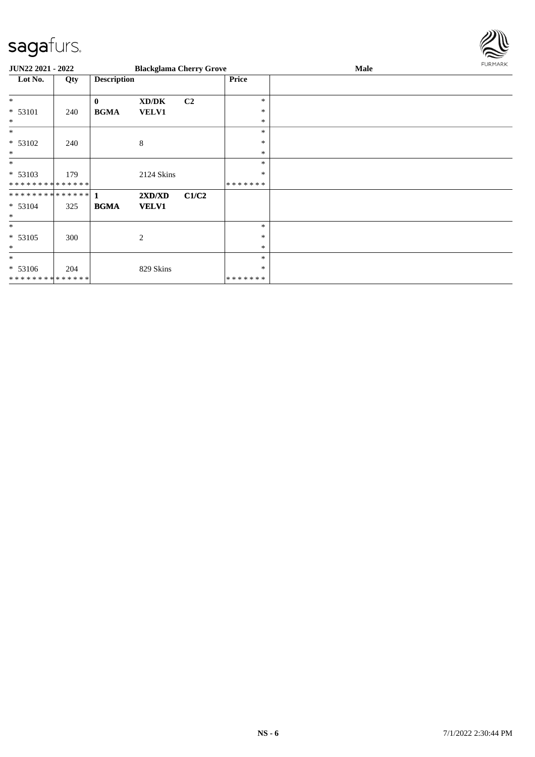

| JUN22 2021 - 2022           |     |                    | <b>Blackglama Cherry Grove</b> |       |         | Male | FURMARK |
|-----------------------------|-----|--------------------|--------------------------------|-------|---------|------|---------|
| Lot No.                     | Qty | <b>Description</b> |                                |       | Price   |      |         |
| $*$                         |     | $\mathbf{0}$       | XD/DK                          | C2    | *       |      |         |
| * 53101                     | 240 | <b>BGMA</b>        | <b>VELV1</b>                   |       | $\ast$  |      |         |
| $\ast$                      |     |                    |                                |       | $\ast$  |      |         |
| $\ast$                      |     |                    |                                |       | *       |      |         |
| * 53102                     | 240 |                    | 8                              |       | $\ast$  |      |         |
| $\ast$                      |     |                    |                                |       | $\ast$  |      |         |
| $\ast$                      |     |                    |                                |       | $\ast$  |      |         |
| * 53103                     | 179 |                    | 2124 Skins                     |       | $\ast$  |      |         |
| **************              |     |                    |                                |       | ******* |      |         |
|                             |     |                    | 2XD/XD                         | C1/C2 |         |      |         |
| $* 53104$                   | 325 | <b>BGMA</b>        | <b>VELV1</b>                   |       |         |      |         |
| $\ast$                      |     |                    |                                |       |         |      |         |
| $\ast$                      |     |                    |                                |       | $\ast$  |      |         |
| $* 53105$                   | 300 |                    | 2                              |       | $\ast$  |      |         |
| $\ast$                      |     |                    |                                |       | $\ast$  |      |         |
| $\ast$                      |     |                    |                                |       | *       |      |         |
| * 53106                     | 204 |                    | 829 Skins                      |       | $\ast$  |      |         |
| * * * * * * * * * * * * * * |     |                    |                                |       | ******* |      |         |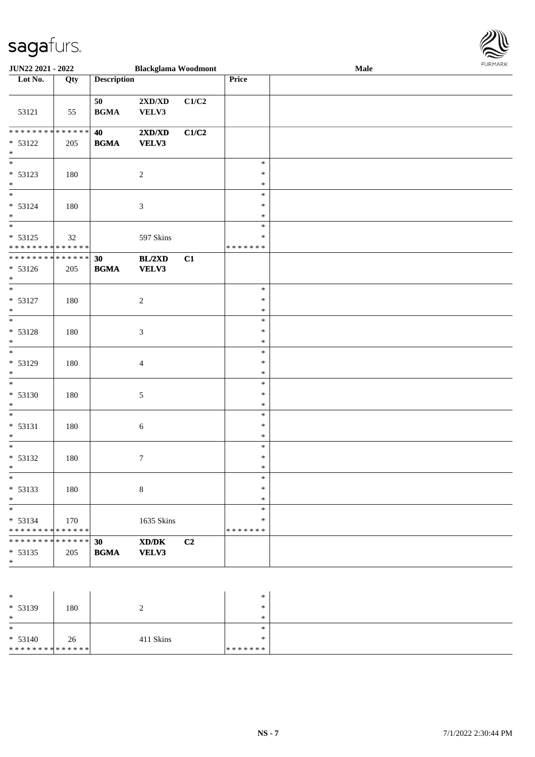

| <b>JUN22 2021 - 2022</b>                                          |     |                                                  | <b>Blackglama Woodmont</b>                |       |                                   | Male | <b>FURPIARA</b> |
|-------------------------------------------------------------------|-----|--------------------------------------------------|-------------------------------------------|-------|-----------------------------------|------|-----------------|
| Lot No.                                                           | Qty | <b>Description</b>                               |                                           |       | Price                             |      |                 |
| 53121                                                             | 55  | 50<br><b>BGMA</b>                                | $2{\bf X}{\bf D}/{\bf X}{\bf D}$<br>VELV3 | C1/C2 |                                   |      |                 |
| ******** <mark>******</mark><br>$* 53122$<br>$\ast$               | 205 | 40<br><b>BGMA</b>                                | $2{\bf X}{\bf D}/{\bf X}{\bf D}$<br>VELV3 | C1/C2 |                                   |      |                 |
| $\overline{\ast}$<br>$* 53123$<br>$*$<br>$\overline{\ast}$        | 180 |                                                  | $\sqrt{2}$                                |       | $\ast$<br>$\ast$<br>$\ast$        |      |                 |
| $* 53124$<br>$\ast$                                               | 180 |                                                  | $\sqrt{3}$                                |       | $\ast$<br>$\ast$<br>$\ast$        |      |                 |
| $* 53125$<br>* * * * * * * * <mark>* * * * * * *</mark>           | 32  |                                                  | 597 Skins                                 |       | $\ast$<br>$\ast$<br>* * * * * * * |      |                 |
| ******** <mark>******</mark><br>$* 53126$<br>$*$                  | 205 | 30<br><b>BGMA</b>                                | BL/2XD<br>VELV3                           | C1    |                                   |      |                 |
| $*$<br>$* 53127$<br>$\ast$                                        | 180 |                                                  | $\sqrt{2}$                                |       | $\ast$<br>$\ast$<br>$\ast$        |      |                 |
| $* 53128$<br>$\ast$                                               | 180 |                                                  | $\mathfrak{Z}$                            |       | $\ast$<br>$\ast$<br>$\ast$        |      |                 |
| * 53129<br>$\ast$                                                 | 180 |                                                  | $\overline{4}$                            |       | $\ast$<br>$\ast$<br>$\ast$        |      |                 |
| $* 53130$<br>$\ast$                                               | 180 |                                                  | $\sqrt{5}$                                |       | $\ast$<br>∗<br>$\ast$             |      |                 |
| $\overline{\phantom{0}}$<br>$* 53131$<br>$\ast$                   | 180 |                                                  | 6                                         |       | $\ast$<br>$\ast$<br>$\ast$        |      |                 |
| $\ast$<br>* 53132<br>$\star$                                      | 180 |                                                  | $\boldsymbol{7}$                          |       | $\ast$<br>$\ast$<br>∗             |      |                 |
| $\ast$<br>$* 53133$<br>$\ast$                                     | 180 |                                                  | $\,8\,$                                   |       | $\ast$<br>$\ast$<br>$\ast$        |      |                 |
| $*$<br>$* 53134$<br>* * * * * * * * <mark>* * * * * * *</mark>    | 170 |                                                  | 1635 Skins                                |       | $\ast$<br>$\ast$<br>* * * * * * * |      |                 |
| * * * * * * * * <mark>* * * * * * *</mark><br>$* 53135$<br>$\ast$ | 205 | 30<br>$\mathbf{B}\mathbf{G}\mathbf{M}\mathbf{A}$ | XD/DK<br>VELV3                            | C2    |                                   |      |                 |
|                                                                   |     |                                                  |                                           |       |                                   |      |                 |

| $\ast$                       |     |           | $\ast$  |  |
|------------------------------|-----|-----------|---------|--|
| $* 53139$                    | 180 |           | $\ast$  |  |
| $\ast$                       |     |           | $\ast$  |  |
| $\ast$                       |     |           | $\ast$  |  |
| $* 53140$                    | 26  | 411 Skins | $\ast$  |  |
| ******** <mark>******</mark> |     |           | ******* |  |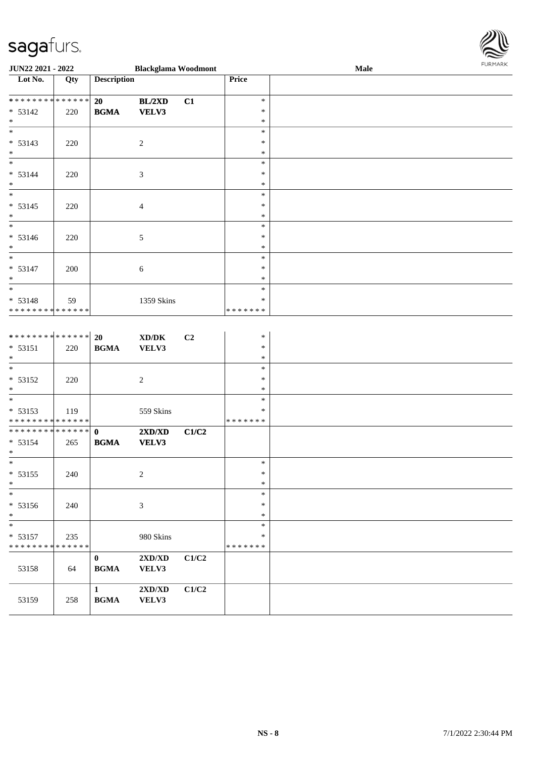

| JUN22 2021 - 2022                                                  |     |                                 | <b>Blackglama Woodmont</b>                  |                |                                   | Male | 101111111111 |
|--------------------------------------------------------------------|-----|---------------------------------|---------------------------------------------|----------------|-----------------------------------|------|--------------|
| Lot No.                                                            | Qty | <b>Description</b>              |                                             |                | Price                             |      |              |
| **************<br>$* 53142$<br>$\ast$                              | 220 | 20<br><b>BGMA</b>               | <b>BL/2XD</b><br>VELV3                      | C1             | $\ast$<br>$\ast$<br>$\ast$        |      |              |
| $\ast$<br>$* 53143$<br>$\ast$                                      | 220 |                                 | $\sqrt{2}$                                  |                | $\ast$<br>$\ast$<br>$\ast$        |      |              |
| $\overline{\phantom{0}}$<br>$* 53144$<br>$\ast$                    | 220 |                                 | $\mathfrak{Z}$                              |                | $\ast$<br>$\ast$<br>$\ast$        |      |              |
| $*$<br>$* 53145$<br>$\ast$                                         | 220 |                                 | $\overline{4}$                              |                | $\ast$<br>$\ast$<br>$\ast$        |      |              |
| $\overline{\phantom{0}}$<br>$* 53146$<br>$\ast$                    | 220 |                                 | 5                                           |                | $\ast$<br>$\ast$<br>$\ast$        |      |              |
| $*$<br>$* 53147$<br>$*$                                            | 200 |                                 | $\sqrt{6}$                                  |                | $\ast$<br>$\ast$<br>$\ast$        |      |              |
| $*$<br>* 53148<br>******** <mark>******</mark>                     | 59  |                                 | 1359 Skins                                  |                | $\ast$<br>$\ast$<br>*******       |      |              |
| ******** <mark>******</mark><br>$* 53151$<br>$\ast$                | 220 | 20<br><b>BGMA</b>               | $\boldsymbol{\text{XD}/\text{DK}}$<br>VELV3 | C <sub>2</sub> | $\ast$<br>$\ast$<br>$\ast$        |      |              |
| $\overline{\ast}$<br>* 53152<br>$\ast$                             | 220 |                                 | $\sqrt{2}$                                  |                | $\ast$<br>$\ast$<br>$\ast$        |      |              |
| $\overline{\phantom{0}}$<br>* 53153<br>* * * * * * * * * * * * * * | 119 |                                 | 559 Skins                                   |                | $\ast$<br>$\ast$<br>*******       |      |              |
| ******** <mark>******</mark><br>$* 53154$<br>$\ast$                | 265 | $\mathbf{0}$<br><b>BGMA</b>     | 2XD/XD<br>VELV3                             | C1/C2          |                                   |      |              |
| $\overline{\ast}$<br>$* 53155$<br>$\ast$                           | 240 |                                 | $\sqrt{2}$                                  |                | $\ast$<br>$\ast$<br>$\ast$        |      |              |
| $\ast$<br>$* 53156$<br>$\ast$                                      | 240 |                                 | $\mathfrak{Z}$                              |                | $\ast$<br>$\ast$<br>$\ast$        |      |              |
| $\ast$<br>$* 53157$<br>* * * * * * * * * * * * * *                 | 235 |                                 | 980 Skins                                   |                | $\ast$<br>$\ast$<br>* * * * * * * |      |              |
| 53158                                                              | 64  | $\boldsymbol{0}$<br><b>BGMA</b> | 2XD/XD<br>VELV3                             | C1/C2          |                                   |      |              |
| 53159                                                              | 258 | $\mathbf{1}$<br><b>BGMA</b>     | $2{\bf X}{\bf D}/{\bf X}{\bf D}$<br>VELV3   | C1/C2          |                                   |      |              |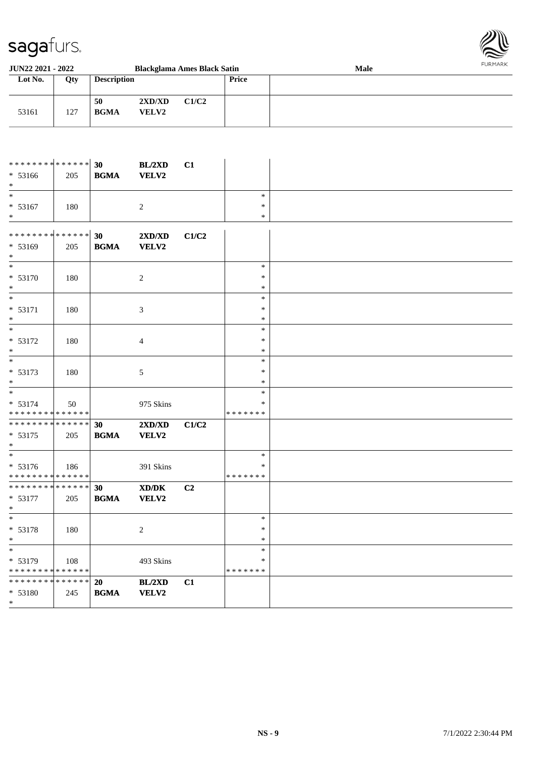

| <b>JUN22 2021 - 2022</b> |     |                    |                        | <b>Blackglama Ames Black Satin</b> |       | <b>Male</b> | FURMARK |
|--------------------------|-----|--------------------|------------------------|------------------------------------|-------|-------------|---------|
| Lot No.                  | Qty | <b>Description</b> |                        |                                    | Price |             |         |
| 53161                    | 127 | 50<br><b>BGMA</b>  | 2XD/XD<br><b>VELV2</b> | C1/C2                              |       |             |         |

| ************** 30<br>$* 53166$<br>$*$               | 205 | $\mathbf{B}\mathbf{G}\mathbf{M}\mathbf{A}$       | BL/2XD<br>VELV2        | C1    |                                   |  |
|-----------------------------------------------------|-----|--------------------------------------------------|------------------------|-------|-----------------------------------|--|
| $\ast$<br>$* 53167$<br>$*$                          | 180 |                                                  | 2                      |       | $\ast$<br>$\ast$<br>$\ast$        |  |
| **************<br>$* 53169$<br>$*$                  | 205 | 30<br><b>BGMA</b>                                | 2XD/XD<br>VELV2        | C1/C2 |                                   |  |
| $\ast$<br>$* 53170$<br>$\ast$                       | 180 |                                                  | $\overline{c}$         |       | $\ast$<br>$\ast$<br>$\ast$        |  |
| $*$<br>$* 53171$<br>$\ast$                          | 180 |                                                  | $\mathfrak{Z}$         |       | $\ast$<br>$\ast$<br>$\ast$        |  |
| $\ast$<br>* 53172<br>$\ast$                         | 180 |                                                  | $\overline{4}$         |       | $\ast$<br>$\ast$<br>$\ast$        |  |
| $\overline{\phantom{0}}$<br>$* 53173$<br>$\ast$     | 180 |                                                  | 5                      |       | $\ast$<br>$\ast$<br>$\ast$        |  |
| $\ast$<br>$* 53174$<br>**************               | 50  |                                                  | 975 Skins              |       | $\ast$<br>$\ast$<br>* * * * * * * |  |
| ******** <mark>******</mark><br>$* 53175$<br>$\ast$ | 205 | 30<br><b>BGMA</b>                                | 2XD/XD<br>VELV2        | C1/C2 |                                   |  |
| $*$<br>$* 53176$<br>* * * * * * * * * * * * * *     | 186 |                                                  | 391 Skins              |       | $\ast$<br>*<br>* * * * * * *      |  |
| ******** <mark>******</mark><br>* 53177<br>$\ast$   | 205 | 30<br><b>BGMA</b>                                | XD/DK<br>VELV2         | C2    |                                   |  |
| $\ast$<br>* 53178<br>$\ast$                         | 180 |                                                  | $\sqrt{2}$             |       | $\ast$<br>$\ast$<br>$\ast$        |  |
| $\ast$<br>* 53179<br>**************                 | 108 |                                                  | 493 Skins              |       | $\ast$<br>$\ast$<br>* * * * * * * |  |
| ******** <mark>******</mark><br>* 53180<br>$*$      | 245 | 20<br>$\mathbf{B}\mathbf{G}\mathbf{M}\mathbf{A}$ | BL/2XD<br><b>VELV2</b> | C1    |                                   |  |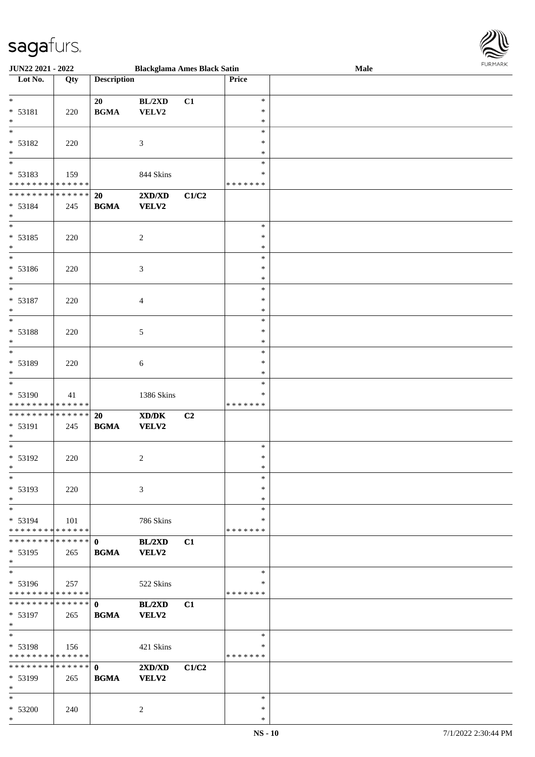

| <b>JUN22 2021 - 2022</b>                   |     |                    | <b>Blackglama Ames Black Satin</b>          |                |               | Male | 10111111111 |
|--------------------------------------------|-----|--------------------|---------------------------------------------|----------------|---------------|------|-------------|
| Lot No.                                    | Qty | <b>Description</b> |                                             |                | Price         |      |             |
|                                            |     |                    |                                             |                |               |      |             |
| $*$                                        |     | 20                 | BL/2XD                                      | C1             | $\ast$        |      |             |
| * 53181                                    | 220 | <b>BGMA</b>        | VELV2                                       |                | $\ast$        |      |             |
| $*$                                        |     |                    |                                             |                | ∗             |      |             |
| $*$                                        |     |                    |                                             |                | $\ast$        |      |             |
|                                            |     |                    |                                             |                |               |      |             |
| * 53182                                    | 220 |                    | 3                                           |                | $\ast$        |      |             |
| $*$                                        |     |                    |                                             |                | $\ast$        |      |             |
| $\frac{1}{1}$                              |     |                    |                                             |                | $\ast$        |      |             |
| * 53183                                    | 159 |                    | 844 Skins                                   |                | *             |      |             |
| * * * * * * * * <mark>* * * * * * *</mark> |     |                    |                                             |                | * * * * * * * |      |             |
| * * * * * * * * <mark>* * * * * * *</mark> |     | <b>20</b>          | $2{\bf X}{\bf D}/{\bf X}{\bf D}$            | C1/C2          |               |      |             |
| * 53184                                    | 245 | <b>BGMA</b>        | <b>VELV2</b>                                |                |               |      |             |
| $*$                                        |     |                    |                                             |                |               |      |             |
| $_{*}$                                     |     |                    |                                             |                |               |      |             |
|                                            |     |                    |                                             |                | $\ast$        |      |             |
| * 53185                                    | 220 |                    | $\overline{c}$                              |                | $\ast$        |      |             |
| $*$                                        |     |                    |                                             |                | $\ast$        |      |             |
| $\ast$                                     |     |                    |                                             |                | $\ast$        |      |             |
| * 53186                                    | 220 |                    | 3                                           |                | $\ast$        |      |             |
| $*$                                        |     |                    |                                             |                | $\ast$        |      |             |
| $*$                                        |     |                    |                                             |                | $\ast$        |      |             |
|                                            |     |                    |                                             |                |               |      |             |
| * 53187                                    | 220 |                    | 4                                           |                | $\ast$        |      |             |
| $*$                                        |     |                    |                                             |                | $\ast$        |      |             |
|                                            |     |                    |                                             |                | $\ast$        |      |             |
| * 53188                                    | 220 |                    | 5                                           |                | $\ast$        |      |             |
| $\ast$                                     |     |                    |                                             |                | $\ast$        |      |             |
| $\overline{\phantom{0}}$                   |     |                    |                                             |                | $\ast$        |      |             |
|                                            |     |                    |                                             |                |               |      |             |
| * 53189                                    | 220 |                    | 6                                           |                | $\ast$        |      |             |
| $*$                                        |     |                    |                                             |                | *             |      |             |
|                                            |     |                    |                                             |                | $\ast$        |      |             |
| * 53190                                    | 41  |                    | 1386 Skins                                  |                | *             |      |             |
| * * * * * * * * * * * * * *                |     |                    |                                             |                | * * * * * * * |      |             |
| * * * * * * * * <mark>* * * * * * *</mark> |     | 20                 | $\mathbf{X}\mathbf{D}/\mathbf{D}\mathbf{K}$ | C <sub>2</sub> |               |      |             |
| * 53191                                    | 245 | <b>BGMA</b>        | VELV2                                       |                |               |      |             |
| $*$                                        |     |                    |                                             |                |               |      |             |
| $*$                                        |     |                    |                                             |                |               |      |             |
|                                            |     |                    |                                             |                | $\ast$        |      |             |
| * 53192                                    | 220 |                    | 2                                           |                | $\ast$        |      |             |
| $*$                                        |     |                    |                                             |                | $*$           |      |             |
| $*$                                        |     |                    |                                             |                | $\ast$        |      |             |
| * 53193                                    | 220 |                    | 3                                           |                | $\ast$        |      |             |
| $*$                                        |     |                    |                                             |                | $\ast$        |      |             |
| $\ast$                                     |     |                    |                                             |                | ∗             |      |             |
|                                            |     |                    |                                             |                |               |      |             |
| $* 53194$                                  | 101 |                    | 786 Skins                                   |                | ∗             |      |             |
| * * * * * * * * * * * * * *                |     |                    |                                             |                | *******       |      |             |
|                                            |     |                    | BL/2XD                                      | C1             |               |      |             |
| $* 53195$                                  | 265 | <b>BGMA</b>        | <b>VELV2</b>                                |                |               |      |             |
| $*$                                        |     |                    |                                             |                |               |      |             |
| $_{*}$                                     |     |                    |                                             |                | $\ast$        |      |             |
| * 53196                                    | 257 |                    | 522 Skins                                   |                | ∗             |      |             |
| * * * * * * * * <mark>* * * * * *</mark>   |     |                    |                                             |                | *******       |      |             |
|                                            |     |                    |                                             |                |               |      |             |
|                                            |     |                    | BL/2XD                                      | C1             |               |      |             |
| $* 53197$                                  | 265 | <b>BGMA</b>        | <b>VELV2</b>                                |                |               |      |             |
| $*$                                        |     |                    |                                             |                |               |      |             |
| $*$                                        |     |                    |                                             |                | $\ast$        |      |             |
| * 53198                                    | 156 |                    | 421 Skins                                   |                | ∗             |      |             |
| * * * * * * * * * * * * * * *              |     |                    |                                             |                | *******       |      |             |
|                                            |     |                    | 2XD/XD                                      | C1/C2          |               |      |             |
|                                            |     |                    |                                             |                |               |      |             |
| * 53199                                    | 265 | <b>BGMA</b>        | <b>VELV2</b>                                |                |               |      |             |
| $*$                                        |     |                    |                                             |                |               |      |             |
| $*$                                        |     |                    |                                             |                | $\ast$        |      |             |
| * 53200                                    | 240 |                    | 2                                           |                | $\ast$        |      |             |
| $*$                                        |     |                    |                                             |                | $\ast$        |      |             |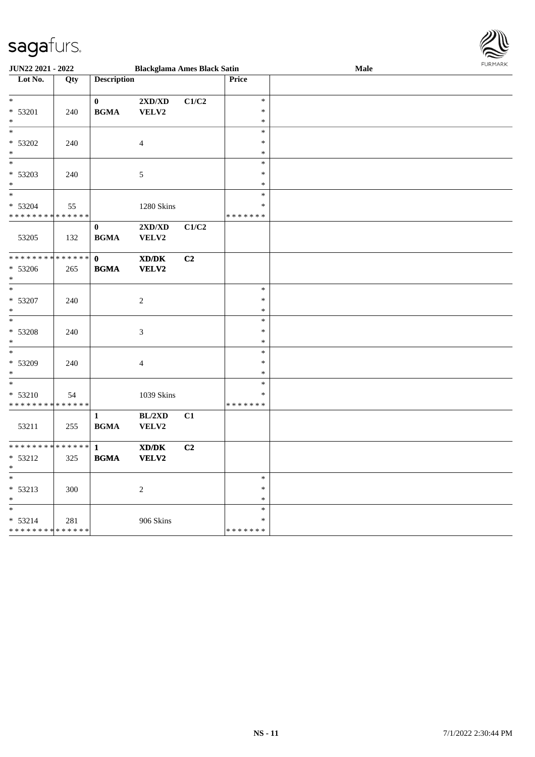

| <b>JUN22 2021 - 2022</b>                   |     |                    | <b>Blackglama Ames Black Satin</b> |       |               | Male | FURMARK |
|--------------------------------------------|-----|--------------------|------------------------------------|-------|---------------|------|---------|
| Lot No.                                    | Qty | <b>Description</b> |                                    |       | Price         |      |         |
|                                            |     |                    |                                    |       |               |      |         |
| $*$                                        |     | $\bf{0}$           | $2{\bf X}{\bf D}/{\bf X}{\bf D}$   | C1/C2 | $\ast$        |      |         |
| * 53201                                    | 240 | <b>BGMA</b>        | VELV2                              |       | ∗             |      |         |
| $*$                                        |     |                    |                                    |       | $\ast$        |      |         |
| $\overline{\ }$                            |     |                    |                                    |       | $\ast$        |      |         |
| $* 53202$                                  | 240 |                    | $\overline{4}$                     |       | ∗             |      |         |
| $*$                                        |     |                    |                                    |       | $\ast$        |      |         |
| $\ast$                                     |     |                    |                                    |       | $\ast$        |      |         |
| * 53203                                    | 240 |                    | $\sqrt{5}$                         |       | $\ast$        |      |         |
| $*$                                        |     |                    |                                    |       | $\ast$        |      |         |
| $*$                                        |     |                    |                                    |       | $\ast$        |      |         |
| * 53204                                    | 55  |                    | 1280 Skins                         |       | $\ast$        |      |         |
| * * * * * * * * * * * * * *                |     |                    |                                    |       | *******       |      |         |
|                                            |     | $\bf{0}$           | $2{\bf X}{\bf D}/{\bf X}{\bf D}$   | C1/C2 |               |      |         |
| 53205                                      | 132 | <b>BGMA</b>        | VELV2                              |       |               |      |         |
|                                            |     |                    |                                    |       |               |      |         |
| ******** <mark>******</mark>               |     | $\mathbf{0}$       | XD/DK                              | C2    |               |      |         |
| * 53206                                    | 265 | <b>BGMA</b>        | <b>VELV2</b>                       |       |               |      |         |
| $*$                                        |     |                    |                                    |       |               |      |         |
| $*$                                        |     |                    |                                    |       | $\ast$        |      |         |
| $* 53207$                                  | 240 |                    | 2                                  |       | $\ast$        |      |         |
| $*$                                        |     |                    |                                    |       | $\ast$        |      |         |
|                                            |     |                    |                                    |       | $\ast$        |      |         |
| * 53208                                    | 240 |                    | $\mathfrak{Z}$                     |       | $\ast$        |      |         |
| $*$                                        |     |                    |                                    |       | $\ast$        |      |         |
| $\overline{\phantom{0}}$                   |     |                    |                                    |       | $\ast$        |      |         |
| * 53209                                    | 240 |                    | $\overline{4}$                     |       | $\ast$        |      |         |
| $*$                                        |     |                    |                                    |       | $\ast$        |      |         |
| $\ast$                                     |     |                    |                                    |       | $\ast$        |      |         |
| * 53210                                    | 54  |                    | 1039 Skins                         |       | $\ast$        |      |         |
| * * * * * * * * <mark>* * * * * * *</mark> |     |                    |                                    |       | * * * * * * * |      |         |
|                                            |     | $\mathbf{1}$       | BL/2XD                             | C1    |               |      |         |
| 53211                                      | 255 | <b>BGMA</b>        | VELV2                              |       |               |      |         |
|                                            |     |                    |                                    |       |               |      |         |
| * * * * * * * * <mark>* * * * * * *</mark> |     | $\mathbf{1}$       | XD/DK                              | C2    |               |      |         |
| * 53212                                    | 325 | <b>BGMA</b>        | <b>VELV2</b>                       |       |               |      |         |
| *                                          |     |                    |                                    |       |               |      |         |
| $\frac{1}{1}$                              |     |                    |                                    |       | $\ast$        |      |         |
| * 53213                                    | 300 |                    | $\sqrt{2}$                         |       | $\ast$        |      |         |
| $\ast$                                     |     |                    |                                    |       | $\ast$        |      |         |
| $\ast$                                     |     |                    |                                    |       | $\ast$        |      |         |
| * 53214                                    | 281 |                    | 906 Skins                          |       | $\ast$        |      |         |
| * * * * * * * * <mark>* * * * * * *</mark> |     |                    |                                    |       | * * * * * * * |      |         |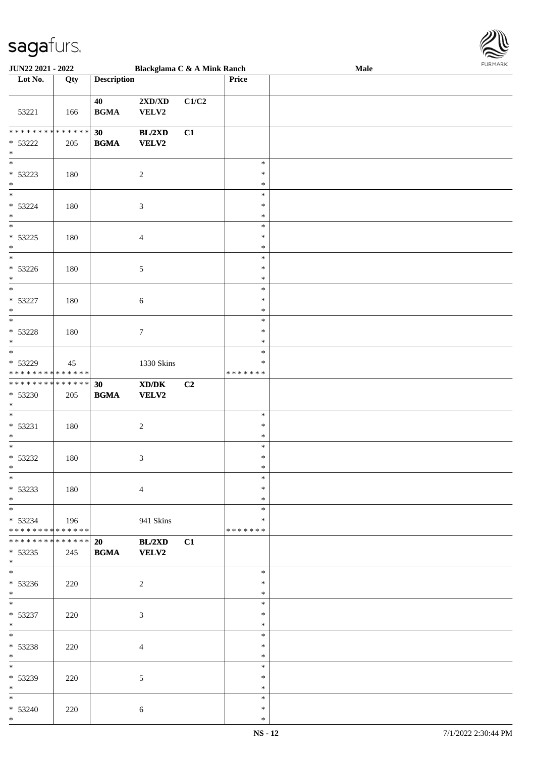

| <b>JUN22 2021 - 2022</b>                                                                            |     |                    | Blackglama C & A Mink Ranch                                          |       |                                      | Male |  |
|-----------------------------------------------------------------------------------------------------|-----|--------------------|----------------------------------------------------------------------|-------|--------------------------------------|------|--|
| Lot No.                                                                                             | Qty | <b>Description</b> |                                                                      |       | Price                                |      |  |
|                                                                                                     |     |                    |                                                                      |       |                                      |      |  |
| 53221                                                                                               | 166 | 40<br><b>BGMA</b>  | 2XD/XD<br>VELV2                                                      | C1/C2 |                                      |      |  |
| * * * * * * * * <mark>* * * * * * *</mark><br>* 53222<br>$\ast$                                     | 205 | 30<br><b>BGMA</b>  | BL/2XD<br>VELV2                                                      | C1    |                                      |      |  |
| $\overline{\phantom{0}}$<br>* 53223<br>$\ast$<br>$*$                                                | 180 |                    | $\boldsymbol{2}$                                                     |       | $\ast$<br>$\ast$<br>$\ast$           |      |  |
| $* 53224$<br>$\ast$<br>$\overline{\ast}$                                                            | 180 |                    | $\mathfrak{Z}$                                                       |       | $\ast$<br>$\ast$<br>$\ast$           |      |  |
| $* 53225$<br>$\ast$<br>$\overline{\ast}$                                                            | 180 |                    | $\overline{4}$                                                       |       | $\ast$<br>$\ast$<br>$\ast$           |      |  |
| $* 53226$<br>$\ast$<br>$\overline{\ast}$                                                            | 180 |                    | 5                                                                    |       | $\ast$<br>$\ast$<br>$\ast$           |      |  |
| $* 53227$<br>$\ast$                                                                                 | 180 |                    | 6                                                                    |       | $\ast$<br>$\ast$<br>$\ast$<br>$\ast$ |      |  |
| $* 53228$<br>$\ast$<br>$\overline{\ast}$                                                            | 180 |                    | 7                                                                    |       | $\ast$<br>$\ast$<br>$\ast$           |      |  |
| * 53229<br>* * * * * * * * * * * * * *<br>* * * * * * * * <mark>* * * * * * *</mark>                | 45  |                    | 1330 Skins                                                           |       | $\ast$<br>* * * * * * *              |      |  |
| $* 53230$<br>$\ast$<br>$\ast$                                                                       | 205 | 30<br><b>BGMA</b>  | $\boldsymbol{\text{X} \text{D} \text{/} \text{D} \text{K}}$<br>VELV2 | C2    |                                      |      |  |
| $* 53231$<br>*<br>$*$                                                                               | 180 |                    | $\boldsymbol{2}$                                                     |       | $\ast$<br>$\ast$<br>$\ast$<br>$\ast$ |      |  |
| * 53232<br>$*$<br>$*$                                                                               | 180 |                    | 3                                                                    |       | $\ast$<br>$\ast$                     |      |  |
| $* 53233$<br>$*$                                                                                    | 180 |                    | $\overline{4}$                                                       |       | $\ast$<br>$\ast$<br>$\ast$           |      |  |
| $* 53234$<br>* * * * * * * * <mark>* * * * * *</mark><br>* * * * * * * * <mark>* * * * * *</mark> * | 196 |                    | 941 Skins                                                            |       | $\ast$<br>$\ast$<br>*******          |      |  |
| * 53235<br>$*$<br>$\overline{\ }$                                                                   | 245 | 20<br><b>BGMA</b>  | BL/2XD<br>VELV2                                                      | C1    | $\ast$                               |      |  |
| $* 53236$<br>$*$<br>$\overline{\mathbf{r}^*}$                                                       | 220 |                    | $\overline{2}$                                                       |       | $\ast$<br>$\ast$<br>$\ast$           |      |  |
| $* 53237$<br>$*$<br>$*$ $*$                                                                         | 220 |                    | $\mathfrak{Z}$                                                       |       | $\ast$<br>$\ast$<br>$\ast$           |      |  |
| $* 53238$<br>$*$                                                                                    | 220 |                    | $\overline{4}$                                                       |       | $\ast$<br>$\ast$                     |      |  |
| $*$<br>* 53239<br>$*$                                                                               | 220 |                    | $\mathfrak{S}$                                                       |       | $\ast$<br>$\ast$<br>$\ast$           |      |  |
| $*$<br>$* 53240$<br>$\ast$                                                                          | 220 |                    | 6                                                                    |       | $\ast$<br>$\ast$<br>$\ast$           |      |  |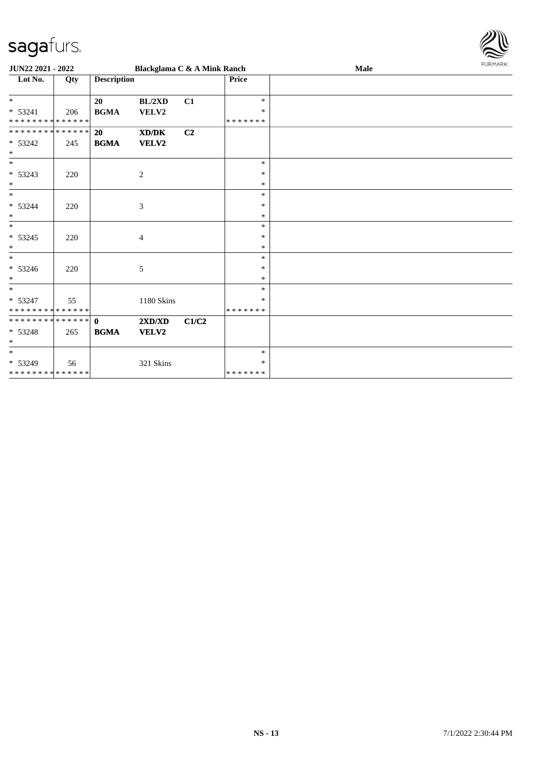

| JUN22 2021 - 2022           |     |                    | Blackglama C & A Mink Ranch |       |              | Male | <b>FURMARK</b> |
|-----------------------------|-----|--------------------|-----------------------------|-------|--------------|------|----------------|
| Lot No.                     | Qty | <b>Description</b> |                             |       | <b>Price</b> |      |                |
| $*$                         |     | 20                 | BL/2XD                      | C1    | $\ast$       |      |                |
| $* 53241$                   | 206 | <b>BGMA</b>        | VELV2                       |       | $\ast$       |      |                |
| * * * * * * * * * * * * * * |     |                    |                             |       | *******      |      |                |
| **************              |     | <b>20</b>          | XD/DK                       | C2    |              |      |                |
| $* 53242$<br>$\ast$         | 245 | <b>BGMA</b>        | <b>VELV2</b>                |       |              |      |                |
| $\ast$                      |     |                    |                             |       | $\ast$       |      |                |
| * 53243                     | 220 |                    | $\overline{2}$              |       | $\ast$       |      |                |
| $\ast$                      |     |                    |                             |       | $\ast$       |      |                |
| $*$                         |     |                    |                             |       | $\ast$       |      |                |
| $* 53244$                   | 220 |                    | $\ensuremath{\mathfrak{Z}}$ |       | $\ast$       |      |                |
| $\ast$                      |     |                    |                             |       | $\ast$       |      |                |
| $\ast$                      |     |                    |                             |       | $\ast$       |      |                |
| $* 53245$                   | 220 |                    | 4                           |       | $\ast$       |      |                |
| $\ast$                      |     |                    |                             |       | $\ast$       |      |                |
| $*$                         |     |                    |                             |       | $\ast$       |      |                |
| $* 53246$                   | 220 |                    | $\sqrt{5}$                  |       | $\ast$       |      |                |
| $\ast$                      |     |                    |                             |       | $\ast$       |      |                |
| $*$                         |     |                    |                             |       | $\ast$       |      |                |
| * 53247                     | 55  |                    | 1180 Skins                  |       | $\ast$       |      |                |
| * * * * * * * * * * * * * * |     |                    |                             |       | *******      |      |                |
| **************              |     | $\mathbf{0}$       | 2XD/XD                      | C1/C2 |              |      |                |
| $* 53248$                   | 265 | <b>BGMA</b>        | VELV2                       |       |              |      |                |
| $\ast$                      |     |                    |                             |       |              |      |                |
| $\ast$                      |     |                    |                             |       | $\ast$       |      |                |
| $* 53249$                   | 56  |                    | 321 Skins                   |       | $\ast$       |      |                |
| * * * * * * * * * * * * * * |     |                    |                             |       | *******      |      |                |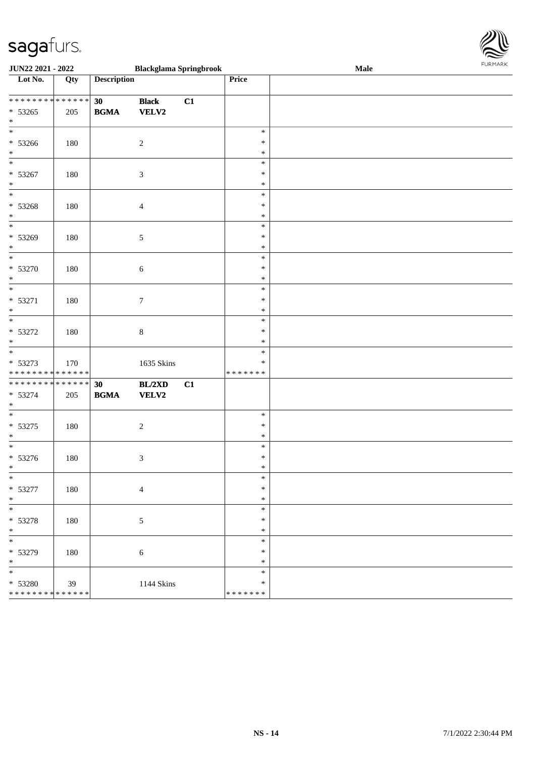

| JUN22 2021 - 2022                                                  | <b>Blackglama Springbrook</b> |                                                  |                              |    |                                   | Male | 10111111111 |
|--------------------------------------------------------------------|-------------------------------|--------------------------------------------------|------------------------------|----|-----------------------------------|------|-------------|
| Lot No.                                                            | Qty                           | <b>Description</b>                               |                              |    | Price                             |      |             |
| ******** <mark>******</mark><br>$* 53265$<br>$\ast$                | 205                           | 30<br><b>BGMA</b>                                | <b>Black</b><br><b>VELV2</b> | C1 |                                   |      |             |
| $\overline{\ast}$<br>* 53266<br>$\ast$                             | 180                           |                                                  | $\sqrt{2}$                   |    | $\ast$<br>$\ast$<br>$\ast$        |      |             |
| $\overline{\phantom{0}}$<br>* 53267<br>$\ast$                      | 180                           |                                                  | $\mathfrak{Z}$               |    | $\ast$<br>$\ast$<br>$\ast$        |      |             |
| $*$<br>$* 53268$<br>$\ast$                                         | 180                           |                                                  | $\overline{4}$               |    | $\ast$<br>$\ast$<br>$\ast$        |      |             |
| $\overline{\phantom{0}}$<br>$* 53269$<br>$\ast$                    | 180                           |                                                  | $\sqrt{5}$                   |    | $\ast$<br>$\ast$<br>$\ast$        |      |             |
| $*$<br>$* 53270$<br>$\ast$                                         | 180                           |                                                  | $\sqrt{6}$                   |    | $\ast$<br>$\ast$<br>$\ast$        |      |             |
| $\ast$<br>$* 53271$<br>$\ast$                                      | 180                           |                                                  | $\tau$                       |    | $\ast$<br>$\ast$<br>$\ast$        |      |             |
| $* 53272$<br>$\ast$                                                | 180                           |                                                  | $\,8\,$                      |    | $\ast$<br>$\ast$<br>$\ast$        |      |             |
| $*$<br>* 53273<br>* * * * * * * * * * * * * *                      | 170                           |                                                  | 1635 Skins                   |    | $\ast$<br>∗<br>* * * * * * *      |      |             |
| ******** <mark>******</mark><br>* 53274<br>$\ast$                  | 205                           | 30<br>$\mathbf{B}\mathbf{G}\mathbf{M}\mathbf{A}$ | BL/2XD<br>VELV2              | C1 |                                   |      |             |
| $\ast$<br>$* 53275$<br>$\ast$                                      | 180                           |                                                  | $\sqrt{2}$                   |    | $\ast$<br>$\ast$<br>$\ast$        |      |             |
| $*$<br>$* 53276$<br>$*$                                            | 180                           |                                                  | $\mathfrak{Z}$               |    | $\ast$<br>$\ast$<br>$\ast$        |      |             |
| $\ast$<br>* 53277<br>$*$                                           | 180                           |                                                  | $\overline{4}$               |    | $\ast$<br>$\ast$<br>$\ast$        |      |             |
| $\ast$<br>* 53278<br>$*$                                           | 180                           |                                                  | $\sqrt{5}$                   |    | $\ast$<br>$\ast$<br>$\ast$        |      |             |
| $\overline{\phantom{0}}$<br>* 53279<br>$*$                         | 180                           |                                                  | 6                            |    | $\ast$<br>$\ast$<br>$\ast$        |      |             |
| $\overline{\phantom{0}}$<br>* 53280<br>* * * * * * * * * * * * * * | 39                            |                                                  | 1144 Skins                   |    | $\ast$<br>$\ast$<br>* * * * * * * |      |             |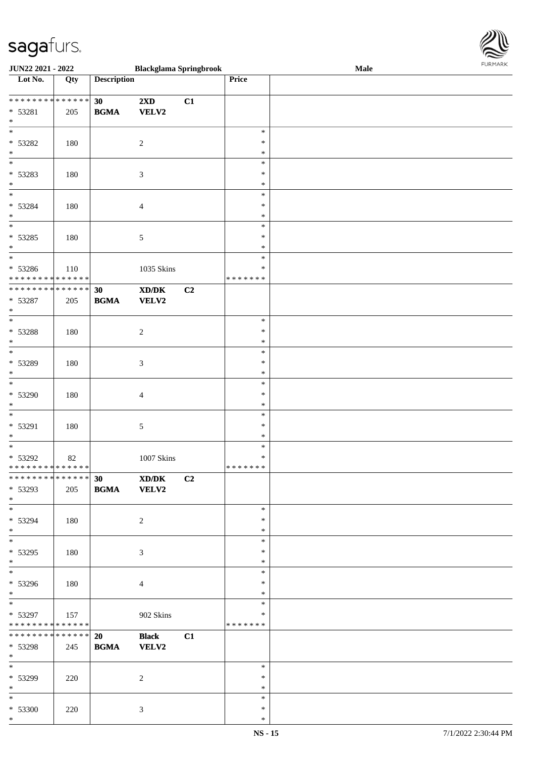

| <b>JUN22 2021 - 2022</b>                   |                   |                    | <b>Blackglama Springbrook</b> |                |               | <b>Male</b> |
|--------------------------------------------|-------------------|--------------------|-------------------------------|----------------|---------------|-------------|
| Lot No.                                    | $\overline{Q}$ ty | <b>Description</b> |                               |                | Price         |             |
|                                            |                   |                    |                               |                |               |             |
|                                            |                   | 30                 | $2\mathbf{X}\mathbf{D}$       | C1             |               |             |
|                                            |                   |                    |                               |                |               |             |
| * 53281                                    | 205               | <b>BGMA</b>        | VELV2                         |                |               |             |
| $\ast$                                     |                   |                    |                               |                |               |             |
|                                            |                   |                    |                               |                | $\ast$        |             |
| * 53282                                    | 180               |                    | $\overline{c}$                |                | ∗             |             |
| $\ast$                                     |                   |                    |                               |                | *             |             |
|                                            |                   |                    |                               |                | $\ast$        |             |
|                                            |                   |                    |                               |                |               |             |
| * 53283                                    | 180               |                    | $\mathfrak{Z}$                |                | ∗             |             |
| $*$                                        |                   |                    |                               |                | $\ast$        |             |
| $*$                                        |                   |                    |                               |                | $\ast$        |             |
| * 53284                                    | 180               |                    | $\overline{4}$                |                | $\ast$        |             |
|                                            |                   |                    |                               |                |               |             |
| $*$                                        |                   |                    |                               |                | $\ast$        |             |
| $\overline{\ }$                            |                   |                    |                               |                | $\ast$        |             |
| * 53285                                    | 180               |                    | $\sqrt{5}$                    |                | $\ast$        |             |
| $*$                                        |                   |                    |                               |                | $\ast$        |             |
| $\overline{\phantom{0}}$                   |                   |                    |                               |                | $\ast$        |             |
|                                            |                   |                    |                               |                |               |             |
| * 53286                                    | 110               |                    | 1035 Skins                    |                | $\ast$        |             |
| * * * * * * * * <mark>* * * * * * *</mark> |                   |                    |                               |                | * * * * * * * |             |
| ******** <mark>******</mark>               |                   | 30                 | XD/DK                         | C <sub>2</sub> |               |             |
| $* 53287$                                  | 205               | <b>BGMA</b>        | <b>VELV2</b>                  |                |               |             |
| $*$                                        |                   |                    |                               |                |               |             |
|                                            |                   |                    |                               |                | $\ast$        |             |
|                                            |                   |                    |                               |                |               |             |
| * 53288                                    | 180               |                    | $\sqrt{2}$                    |                | ∗             |             |
| $\ast$                                     |                   |                    |                               |                | *             |             |
| $\overline{\phantom{0}}$                   |                   |                    |                               |                | $\ast$        |             |
| * 53289                                    | 180               |                    |                               |                | ∗             |             |
|                                            |                   |                    | $\mathfrak{Z}$                |                |               |             |
| $*$                                        |                   |                    |                               |                | $\ast$        |             |
| $\overline{\ }$                            |                   |                    |                               |                | $\ast$        |             |
| * 53290                                    | 180               |                    | $\overline{4}$                |                | $\ast$        |             |
| $*$                                        |                   |                    |                               |                | $\ast$        |             |
| $\ast$                                     |                   |                    |                               |                |               |             |
|                                            |                   |                    |                               |                | $\ast$        |             |
| * 53291                                    | 180               |                    | $\sqrt{5}$                    |                | $\ast$        |             |
| $\ast$                                     |                   |                    |                               |                | $\ast$        |             |
| $*$                                        |                   |                    |                               |                | $\ast$        |             |
| * 53292                                    | 82                |                    | 1007 Skins                    |                | $\ast$        |             |
| * * * * * * * * <mark>* * * * * * *</mark> |                   |                    |                               |                | * * * * * * * |             |
|                                            |                   |                    |                               |                |               |             |
|                                            |                   | 30                 | XD/DK                         | C2             |               |             |
| * 53293                                    | 205               | <b>BGMA</b>        | <b>VELV2</b>                  |                |               |             |
| $*$                                        |                   |                    |                               |                |               |             |
| $*$                                        |                   |                    |                               |                | $\ast$        |             |
|                                            |                   |                    |                               |                |               |             |
| * 53294                                    | 180               |                    | 2                             |                | ∗             |             |
| $*$                                        |                   |                    |                               |                | ∗             |             |
| $*$                                        |                   |                    |                               |                | $\ast$        |             |
| * 53295                                    | 180               |                    | 3                             |                | ∗             |             |
| $*$                                        |                   |                    |                               |                | $\ast$        |             |
| $\overline{\ }$                            |                   |                    |                               |                | $\ast$        |             |
|                                            |                   |                    |                               |                |               |             |
| * 53296                                    | 180               |                    | $\overline{4}$                |                | ∗             |             |
| $*$                                        |                   |                    |                               |                | $\ast$        |             |
| $*$                                        |                   |                    |                               |                | $\ast$        |             |
| * 53297                                    | 157               |                    | 902 Skins                     |                | $\ast$        |             |
| * * * * * * * * * * * * * *                |                   |                    |                               |                | *******       |             |
|                                            |                   |                    |                               |                |               |             |
| * * * * * * * * <mark>* * * * * * *</mark> |                   | 20                 | <b>Black</b>                  | C1             |               |             |
| * 53298                                    | 245               | <b>BGMA</b>        | <b>VELV2</b>                  |                |               |             |
| $*$                                        |                   |                    |                               |                |               |             |
| $*$                                        |                   |                    |                               |                | $\ast$        |             |
|                                            |                   |                    |                               |                | $\ast$        |             |
| * 53299                                    | 220               |                    | 2                             |                |               |             |
| $*$                                        |                   |                    |                               |                | $\ast$        |             |
| $*$                                        |                   |                    |                               |                | $\ast$        |             |
| * 53300                                    | 220               |                    | $\mathfrak{Z}$                |                | $\ast$        |             |
| $*$                                        |                   |                    |                               |                | ∗             |             |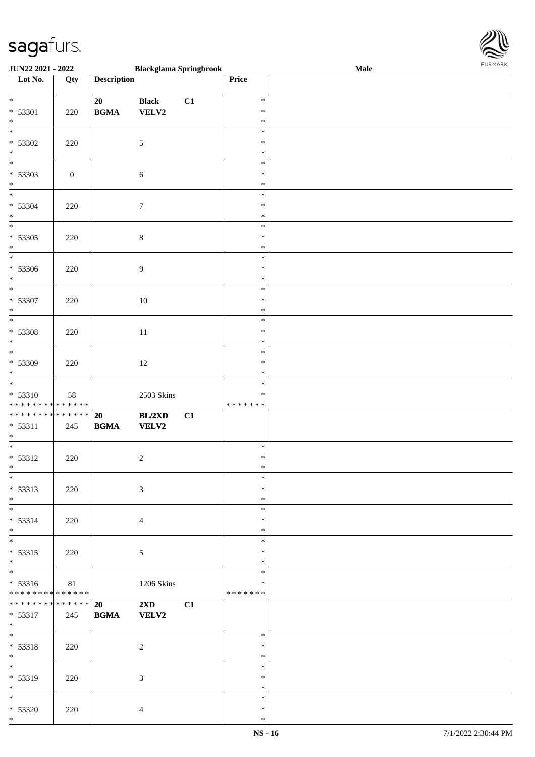

| <b>JUN22 2021 - 2022</b>                   |                  |                    | <b>Blackglama Springbrook</b> |    |         | <b>Male</b> |
|--------------------------------------------|------------------|--------------------|-------------------------------|----|---------|-------------|
| Lot No.                                    | Qty              | <b>Description</b> |                               |    | Price   |             |
|                                            |                  |                    |                               |    |         |             |
| $*$                                        |                  | 20                 | <b>Black</b>                  | C1 | $\ast$  |             |
| $* 53301$                                  | 220              | <b>BGMA</b>        | VELV2                         |    | $\ast$  |             |
| $*$                                        |                  |                    |                               |    | $\ast$  |             |
|                                            |                  |                    |                               |    | $\ast$  |             |
|                                            |                  |                    |                               |    |         |             |
| * 53302                                    | 220              |                    | $\mathfrak{S}$                |    | $\ast$  |             |
| $*$                                        |                  |                    |                               |    | $\ast$  |             |
|                                            |                  |                    |                               |    | $\ast$  |             |
| * 53303                                    | $\boldsymbol{0}$ |                    | $6\,$                         |    | $\ast$  |             |
| $*$                                        |                  |                    |                               |    | $\ast$  |             |
| $\overline{\phantom{0}}$                   |                  |                    |                               |    | $\ast$  |             |
| * 53304                                    | 220              |                    | $\boldsymbol{7}$              |    | $\ast$  |             |
| $*$                                        |                  |                    |                               |    | $\ast$  |             |
|                                            |                  |                    |                               |    | $\ast$  |             |
| * 53305                                    | 220              |                    |                               |    | $\ast$  |             |
|                                            |                  |                    | $\,8\,$                       |    | $\ast$  |             |
| $*$                                        |                  |                    |                               |    |         |             |
|                                            |                  |                    |                               |    | $\ast$  |             |
| * 53306                                    | 220              |                    | $\overline{9}$                |    | $\ast$  |             |
| $*$                                        |                  |                    |                               |    | $\ast$  |             |
|                                            |                  |                    |                               |    | $\ast$  |             |
| * 53307                                    | 220              |                    | 10                            |    | $\ast$  |             |
| $*$                                        |                  |                    |                               |    | $\ast$  |             |
|                                            |                  |                    |                               |    | $\ast$  |             |
| $* 53308$                                  | 220              |                    | 11                            |    | $\ast$  |             |
| $\ast$                                     |                  |                    |                               |    | $\ast$  |             |
|                                            |                  |                    |                               |    | $\ast$  |             |
| * 53309                                    | 220              |                    | 12                            |    | $\ast$  |             |
| $*$                                        |                  |                    |                               |    | $\ast$  |             |
| $\overline{\phantom{0}}$                   |                  |                    |                               |    | $\ast$  |             |
|                                            |                  |                    |                               |    |         |             |
| $* 53310$                                  | 58               |                    | $2503$ Skins                  |    | $\ast$  |             |
| * * * * * * * * * * * * * *                |                  |                    |                               |    | ******* |             |
| * * * * * * * * <mark>* * * * * * *</mark> |                  | 20                 | BL/2XD                        | C1 |         |             |
| $* 53311$                                  | 245              | <b>BGMA</b>        | <b>VELV2</b>                  |    |         |             |
| $*$                                        |                  |                    |                               |    |         |             |
|                                            |                  |                    |                               |    | $\ast$  |             |
| $* 53312$                                  | 220              |                    | $\overline{c}$                |    | $\ast$  |             |
| $*$                                        |                  |                    |                               |    | $\ast$  |             |
| $\overline{\ast}$                          |                  |                    |                               |    | $\ast$  |             |
| * 53313                                    | 220              |                    | $\mathfrak{Z}$                |    | $\ast$  |             |
| $*$                                        |                  |                    |                               |    | $\ast$  |             |
| $*$                                        |                  |                    |                               |    | $\ast$  |             |
| $* 53314$                                  | 220              |                    |                               |    | $\ast$  |             |
| $*$                                        |                  |                    | $\overline{4}$                |    | $\ast$  |             |
| $\overline{\mathbf{r}}$                    |                  |                    |                               |    |         |             |
|                                            |                  |                    |                               |    | $\ast$  |             |
| $* 53315$                                  | 220              |                    | 5                             |    | $\ast$  |             |
| $*$                                        |                  |                    |                               |    | $\ast$  |             |
| $\overline{\phantom{0}}$                   |                  |                    |                               |    | $\ast$  |             |
| $* 53316$                                  | 81               |                    | 1206 Skins                    |    | $\ast$  |             |
| * * * * * * * * <mark>* * * * * *</mark>   |                  |                    |                               |    | ******* |             |
| * * * * * * * * * * * * * * *              |                  | 20                 | $2\mathbf{X}\mathbf{D}$       | C1 |         |             |
| $* 53317$                                  | 245              | <b>BGMA</b>        | <b>VELV2</b>                  |    |         |             |
| $*$                                        |                  |                    |                               |    |         |             |
| $*$                                        |                  |                    |                               |    | $\ast$  |             |
| * 53318                                    | 220              |                    | $\overline{c}$                |    | $\ast$  |             |
| $*$                                        |                  |                    |                               |    | $\ast$  |             |
| $\overline{\ast}$                          |                  |                    |                               |    | $\ast$  |             |
|                                            |                  |                    |                               |    | $\ast$  |             |
| * 53319<br>$*$                             | 220              |                    | 3                             |    | $\ast$  |             |
| $*$                                        |                  |                    |                               |    | $\ast$  |             |
|                                            |                  |                    |                               |    |         |             |
| $* 53320$                                  | 220              |                    | $\overline{4}$                |    | $\ast$  |             |
| $*$                                        |                  |                    |                               |    | $\ast$  |             |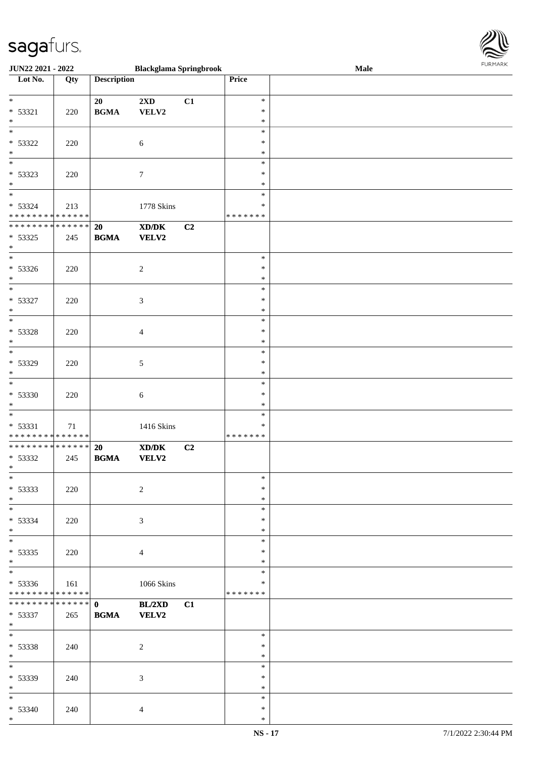

| <b>JUN22 2021 - 2022</b>                   |     |                    | <b>Blackglama Springbrook</b>                                                                        |    |               | Male |
|--------------------------------------------|-----|--------------------|------------------------------------------------------------------------------------------------------|----|---------------|------|
| Lot No.                                    | Qty | <b>Description</b> |                                                                                                      |    | Price         |      |
|                                            |     |                    |                                                                                                      |    |               |      |
| $*$                                        |     | 20                 | $2\mathbf{X}\mathbf{D}$                                                                              | C1 | $\ast$        |      |
| $* 53321$                                  | 220 | <b>BGMA</b>        | VELV2                                                                                                |    | $\ast$        |      |
| $\ast$                                     |     |                    |                                                                                                      |    | $\ast$        |      |
|                                            |     |                    |                                                                                                      |    | $\ast$        |      |
|                                            |     |                    |                                                                                                      |    |               |      |
| $* 53322$                                  | 220 |                    | $\sqrt{6}$                                                                                           |    | $\ast$        |      |
| $\ast$                                     |     |                    |                                                                                                      |    | $\ast$        |      |
|                                            |     |                    |                                                                                                      |    | $\ast$        |      |
| $* 53323$                                  | 220 |                    | $\boldsymbol{7}$                                                                                     |    | $\ast$        |      |
| $*$                                        |     |                    |                                                                                                      |    | $\ast$        |      |
| $*$                                        |     |                    |                                                                                                      |    | $\ast$        |      |
|                                            |     |                    |                                                                                                      |    |               |      |
| * 53324                                    | 213 |                    | 1778 Skins                                                                                           |    | $\ast$        |      |
| * * * * * * * * * * * * * *                |     |                    |                                                                                                      |    | * * * * * * * |      |
| * * * * * * * * <mark>* * * * * * *</mark> |     | 20                 | XD/DK                                                                                                | C2 |               |      |
| * 53325                                    | 245 | <b>BGMA</b>        | VELV2                                                                                                |    |               |      |
| $*$                                        |     |                    |                                                                                                      |    |               |      |
|                                            |     |                    |                                                                                                      |    | $\ast$        |      |
|                                            |     |                    |                                                                                                      |    | $\ast$        |      |
| $* 53326$                                  | 220 |                    | $\overline{c}$                                                                                       |    |               |      |
| $*$                                        |     |                    |                                                                                                      |    | $\ast$        |      |
|                                            |     |                    |                                                                                                      |    | $\ast$        |      |
| * 53327                                    | 220 |                    | $\mathfrak{Z}$                                                                                       |    | $\ast$        |      |
| $*$                                        |     |                    |                                                                                                      |    | $\ast$        |      |
|                                            |     |                    |                                                                                                      |    | $\ast$        |      |
| $* 53328$                                  | 220 |                    | $\overline{4}$                                                                                       |    | $\ast$        |      |
| $\ast$                                     |     |                    |                                                                                                      |    | $\ast$        |      |
|                                            |     |                    |                                                                                                      |    |               |      |
|                                            |     |                    |                                                                                                      |    | $\ast$        |      |
| * 53329                                    | 220 |                    | $\mathfrak{S}$                                                                                       |    | $\ast$        |      |
| $*$                                        |     |                    |                                                                                                      |    | $\ast$        |      |
| $\overline{\phantom{0}}$                   |     |                    |                                                                                                      |    | $\ast$        |      |
| $* 53330$                                  | 220 |                    | 6                                                                                                    |    | $\ast$        |      |
| $*$                                        |     |                    |                                                                                                      |    | $\ast$        |      |
| $\ast$                                     |     |                    |                                                                                                      |    |               |      |
|                                            |     |                    |                                                                                                      |    | $\ast$        |      |
| * 53331                                    | 71  |                    | 1416 Skins                                                                                           |    | $\ast$        |      |
| * * * * * * * * * * * * * *                |     |                    |                                                                                                      |    | *******       |      |
| ******** <mark>******</mark>               |     | 20                 | $\boldsymbol{\text{X}}\boldsymbol{\text{D}}\boldsymbol{/}\boldsymbol{\text{D}}\boldsymbol{\text{K}}$ | C2 |               |      |
| * 53332                                    | 245 | <b>BGMA</b>        | <b>VELV2</b>                                                                                         |    |               |      |
| $*$                                        |     |                    |                                                                                                      |    |               |      |
| $*$                                        |     |                    |                                                                                                      |    | $\ast$        |      |
| * 53333                                    |     |                    | $\overline{2}$                                                                                       |    | $\ast$        |      |
|                                            | 220 |                    |                                                                                                      |    |               |      |
| $*$                                        |     |                    |                                                                                                      |    | $\ast$        |      |
| $*$                                        |     |                    |                                                                                                      |    | $\ast$        |      |
| $* 53334$                                  | 220 |                    | $\mathfrak{Z}$                                                                                       |    | $\ast$        |      |
| $\ast$                                     |     |                    |                                                                                                      |    | $\ast$        |      |
| $\overline{\mathbf{r}}$                    |     |                    |                                                                                                      |    | $\ast$        |      |
| * 53335                                    | 220 |                    | $\overline{4}$                                                                                       |    | $\ast$        |      |
| $*$                                        |     |                    |                                                                                                      |    | $\ast$        |      |
| $\overline{\ast}$                          |     |                    |                                                                                                      |    |               |      |
|                                            |     |                    |                                                                                                      |    | $\ast$        |      |
| * 53336                                    | 161 |                    | 1066 Skins                                                                                           |    | ∗             |      |
| * * * * * * * * * * * * * *                |     |                    |                                                                                                      |    | *******       |      |
|                                            |     |                    | BL/2XD                                                                                               | C1 |               |      |
| $* 53337$                                  | 265 | <b>BGMA</b>        | <b>VELV2</b>                                                                                         |    |               |      |
| $*$                                        |     |                    |                                                                                                      |    |               |      |
| $*$ $-$                                    |     |                    |                                                                                                      |    | $\ast$        |      |
|                                            |     |                    |                                                                                                      |    |               |      |
| $* 53338$                                  | 240 |                    | $\overline{c}$                                                                                       |    | $\ast$        |      |
| $*$                                        |     |                    |                                                                                                      |    | $\ast$        |      |
| $*$                                        |     |                    |                                                                                                      |    | $\ast$        |      |
| * 53339                                    | 240 |                    | 3                                                                                                    |    | $\ast$        |      |
| $*$                                        |     |                    |                                                                                                      |    | $\ast$        |      |
| $*$                                        |     |                    |                                                                                                      |    | $\ast$        |      |
|                                            |     |                    |                                                                                                      |    | $\ast$        |      |
| $* 53340$                                  | 240 |                    | $\overline{4}$                                                                                       |    |               |      |
| $*$                                        |     |                    |                                                                                                      |    | $\ast$        |      |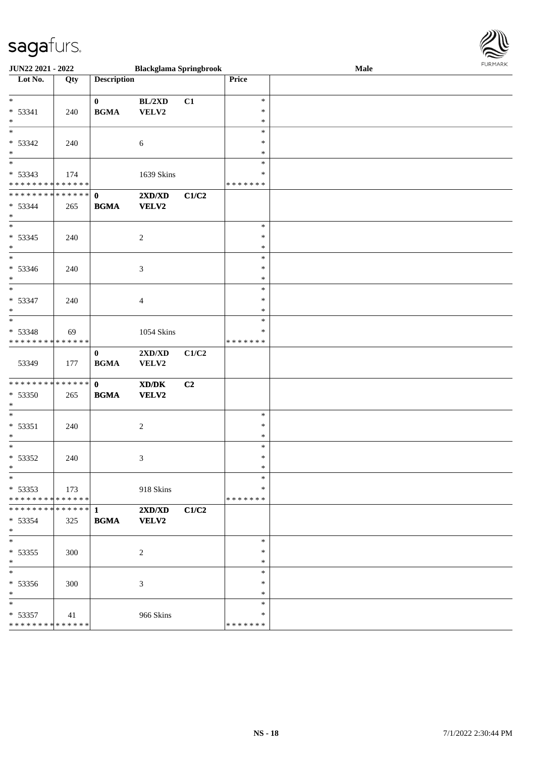

| JUN22 2021 - 2022                                                                        |                        |                             | <b>Blackglama Springbrook</b>                                                                                        |       |                                   | 1.91111111<br>Male |  |  |  |
|------------------------------------------------------------------------------------------|------------------------|-----------------------------|----------------------------------------------------------------------------------------------------------------------|-------|-----------------------------------|--------------------|--|--|--|
| Lot No.                                                                                  | Qty                    | <b>Description</b>          |                                                                                                                      |       | Price                             |                    |  |  |  |
| $*$<br>$* 53341$<br>$*$                                                                  | 240                    | $\mathbf{0}$<br><b>BGMA</b> | BL/2XD<br>VELV2                                                                                                      | C1    | $\ast$<br>$\ast$<br>$\ast$        |                    |  |  |  |
| $* 53342$                                                                                | 240                    |                             | $\sqrt{6}$                                                                                                           |       | $\ast$<br>$\ast$                  |                    |  |  |  |
| $*$<br>$* 53343$                                                                         | 174                    |                             | 1639 Skins                                                                                                           |       | $\ast$<br>$\ast$<br>*             |                    |  |  |  |
| * * * * * * * * <mark>* * * * * * *</mark><br>* * * * * * * * * * * * * * *<br>$* 53344$ | 265                    | $\mathbf{0}$<br><b>BGMA</b> | $2{\bf X}{\bf D}/{\bf X}{\bf D}$<br><b>VELV2</b>                                                                     | C1/C2 | * * * * * * *                     |                    |  |  |  |
| $*$<br>$* 53345$<br>$*$                                                                  | 240                    |                             | $\overline{c}$                                                                                                       |       | $\ast$<br>$\ast$<br>$\ast$        |                    |  |  |  |
| $\overline{\ast}$<br>* 53346<br>$*$                                                      | 240                    |                             | $\mathfrak{Z}$                                                                                                       |       | $\ast$<br>$\ast$<br>$\ast$        |                    |  |  |  |
| $\overline{\ast}$<br>$* 53347$<br>$*$                                                    | 240                    |                             | $\overline{4}$                                                                                                       |       | $\ast$<br>$\ast$<br>$\ast$        |                    |  |  |  |
| $_{*}$<br>* 53348<br>* * * * * * * * * * * * * * *                                       | 69                     |                             | 1054 Skins                                                                                                           |       | $\ast$<br>∗<br>* * * * * * *      |                    |  |  |  |
| 53349                                                                                    | 177                    | $\bf{0}$<br><b>BGMA</b>     | 2XD/XD<br>VELV2                                                                                                      | C1/C2 |                                   |                    |  |  |  |
| * * * * * * * * <mark>* * * * * * *</mark><br>* 53350<br>$\ast$                          | 265                    | $\mathbf{0}$<br><b>BGMA</b> | $\boldsymbol{\text{X}}\boldsymbol{\text{D}}\boldsymbol{/}\boldsymbol{\text{D}}\boldsymbol{\text{K}}$<br><b>VELV2</b> | C2    |                                   |                    |  |  |  |
| $\overline{\ast}$<br>$* 53351$<br>$*$                                                    | 240                    |                             | $\overline{c}$                                                                                                       |       | $\ast$<br>∗<br>$\ast$             |                    |  |  |  |
| $*$<br>* 53352<br>$*$ $-$                                                                | 240                    |                             | $\mathfrak{Z}$                                                                                                       |       | $\ast$<br>$\ast$<br>*             |                    |  |  |  |
| $*$<br>$* 53353$<br>* * * * * * * * <mark>* * * * * * *</mark>                           | 173                    |                             | 918 Skins                                                                                                            |       | $\ast$<br>$\ast$<br>* * * * * * * |                    |  |  |  |
| * * * * * * * *<br>$* 53354$<br>$*$                                                      | $* * * * * * *$<br>325 | $\mathbf{1}$<br><b>BGMA</b> | $2{\bf X}{\bf D}/{\bf X}{\bf D}$<br><b>VELV2</b>                                                                     | C1/C2 |                                   |                    |  |  |  |
| $*$<br>$* 53355$<br>$*$                                                                  | 300                    |                             | 2                                                                                                                    |       | $\ast$<br>$\ast$<br>∗             |                    |  |  |  |
| $*$<br>* 53356<br>$*$                                                                    | 300                    |                             | 3                                                                                                                    |       | $\ast$<br>∗<br>$\ast$             |                    |  |  |  |
| $*$<br>$* 53357$<br>* * * * * * * * <mark>* * * * * * *</mark>                           | 41                     |                             | 966 Skins                                                                                                            |       | $\ast$<br>∗<br>* * * * * * *      |                    |  |  |  |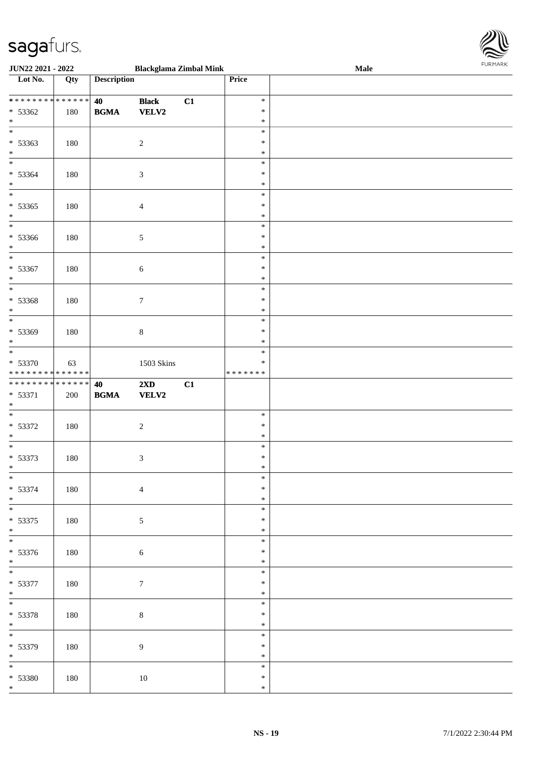

| <b>JUN22 2021 - 2022</b>                   |     |                                            | <b>Blackglama Zimbal Mink</b> |    |               | Male |  |
|--------------------------------------------|-----|--------------------------------------------|-------------------------------|----|---------------|------|--|
| Lot No.                                    | Qty | <b>Description</b>                         |                               |    | Price         |      |  |
|                                            |     |                                            |                               |    |               |      |  |
| ******** <mark>******</mark>               |     | 40                                         | <b>Black</b>                  | C1 | $\ast$        |      |  |
| $* 53362$                                  | 180 | <b>BGMA</b>                                | <b>VELV2</b>                  |    | $\ast$        |      |  |
| $\ast$                                     |     |                                            |                               |    | $\ast$        |      |  |
| $\overline{\ast}$                          |     |                                            |                               |    | $\ast$        |      |  |
|                                            |     |                                            |                               |    | ∗             |      |  |
| * 53363                                    | 180 |                                            | $\sqrt{2}$                    |    |               |      |  |
| $*$                                        |     |                                            |                               |    | $\ast$        |      |  |
|                                            |     |                                            |                               |    | $\ast$        |      |  |
| * 53364                                    | 180 |                                            | $\mathfrak{Z}$                |    | $\ast$        |      |  |
| $\ast$                                     |     |                                            |                               |    | $\ast$        |      |  |
| $*$                                        |     |                                            |                               |    | $\ast$        |      |  |
| $* 53365$                                  | 180 |                                            | $\overline{4}$                |    | $\ast$        |      |  |
| $*$                                        |     |                                            |                               |    | $\ast$        |      |  |
| $\overline{\ast}$                          |     |                                            |                               |    | $\ast$        |      |  |
| $* 53366$                                  | 180 |                                            | $\sqrt{5}$                    |    | $\ast$        |      |  |
| $*$                                        |     |                                            |                               |    | $\ast$        |      |  |
| $\overline{\phantom{0}}$                   |     |                                            |                               |    | $\ast$        |      |  |
|                                            |     |                                            |                               |    |               |      |  |
| $* 53367$                                  | 180 |                                            | $\sqrt{6}$                    |    | $\ast$        |      |  |
| $\ast$                                     |     |                                            |                               |    | $\ast$        |      |  |
| $\overline{\ast}$                          |     |                                            |                               |    | $\ast$        |      |  |
| $* 53368$                                  | 180 |                                            | $\tau$                        |    | $\ast$        |      |  |
| $\ast$                                     |     |                                            |                               |    | $\ast$        |      |  |
| $\overline{\ast}$                          |     |                                            |                               |    | $\ast$        |      |  |
| $* 53369$                                  | 180 |                                            | $\,8\,$                       |    | $\ast$        |      |  |
| $\ast$                                     |     |                                            |                               |    | *             |      |  |
| $\overline{\ast}$                          |     |                                            |                               |    | $\ast$        |      |  |
| * 53370                                    |     |                                            |                               |    | ∗             |      |  |
| * * * * * * * * <mark>* * * * * * *</mark> | 63  |                                            | 1503 Skins                    |    | * * * * * * * |      |  |
| * * * * * * * * <mark>* * * * * * *</mark> |     |                                            |                               |    |               |      |  |
|                                            |     | 40                                         | $2\mathbf{X}\mathbf{D}$       | C1 |               |      |  |
| * 53371                                    | 200 | $\mathbf{B}\mathbf{G}\mathbf{M}\mathbf{A}$ | <b>VELV2</b>                  |    |               |      |  |
| $*$                                        |     |                                            |                               |    |               |      |  |
| $\ast$                                     |     |                                            |                               |    | $\ast$        |      |  |
| * 53372                                    | 180 |                                            | $\sqrt{2}$                    |    | $\ast$        |      |  |
| $*$                                        |     |                                            |                               |    | $\ast$        |      |  |
| $\overline{\ast}$                          |     |                                            |                               |    | $\ast$        |      |  |
| * 53373                                    | 180 |                                            | $\mathfrak{Z}$                |    | $\ast$        |      |  |
| $\ast$                                     |     |                                            |                               |    | $\ast$        |      |  |
| $*$                                        |     |                                            |                               |    | $\ast$        |      |  |
| * 53374                                    | 180 |                                            | $\overline{4}$                |    | $\ast$        |      |  |
| $*$                                        |     |                                            |                               |    | $\ast$        |      |  |
| $\overline{\phantom{0}}$                   |     |                                            |                               |    | $\ast$        |      |  |
|                                            |     |                                            |                               |    |               |      |  |
| * 53375                                    | 180 |                                            | $\mathfrak{S}$                |    | *             |      |  |
| $*$                                        |     |                                            |                               |    | $\ast$        |      |  |
| $*$                                        |     |                                            |                               |    | $\ast$        |      |  |
| * 53376                                    | 180 |                                            | $\sqrt{6}$                    |    | ∗             |      |  |
| $*$                                        |     |                                            |                               |    | $\ast$        |      |  |
| $\overline{\mathbf{r}}$                    |     |                                            |                               |    | $\ast$        |      |  |
| * 53377                                    | 180 |                                            | $\boldsymbol{7}$              |    | *             |      |  |
| $*$                                        |     |                                            |                               |    | $\ast$        |      |  |
| $\overline{\mathbf{r}}$                    |     |                                            |                               |    | $\ast$        |      |  |
| * 53378                                    | 180 |                                            | $\,8\,$                       |    | $\ast$        |      |  |
| $*$                                        |     |                                            |                               |    | $\ast$        |      |  |
| $\ddot{x}$                                 |     |                                            |                               |    | $\ast$        |      |  |
|                                            |     |                                            |                               |    | $\ast$        |      |  |
| * 53379                                    | 180 |                                            | $\boldsymbol{9}$              |    |               |      |  |
| $*$<br>$\overline{\ast}$                   |     |                                            |                               |    | $\ast$        |      |  |
|                                            |     |                                            |                               |    | $\ast$        |      |  |
|                                            |     |                                            |                               |    |               |      |  |
| * 53380                                    | 180 |                                            | 10                            |    | $\ast$        |      |  |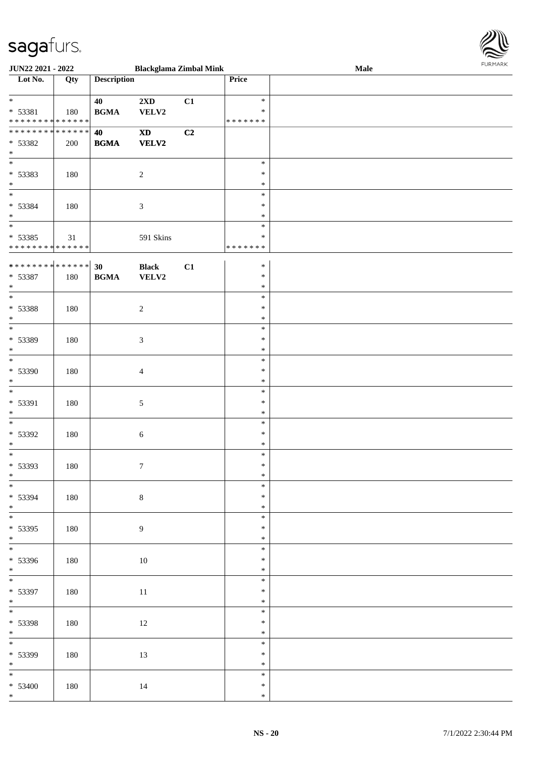

| <b>JUN22 2021 - 2022</b>                   |     |                    |                            | <b>Blackglama Zimbal Mink</b> |               | Male |  |
|--------------------------------------------|-----|--------------------|----------------------------|-------------------------------|---------------|------|--|
| Lot No.                                    | Qty | <b>Description</b> |                            |                               | <b>Price</b>  |      |  |
|                                            |     |                    |                            |                               |               |      |  |
| $*$                                        |     | 40                 | $2{\bf X}{\bf D}$          | C1                            | $\ast$        |      |  |
| * 53381                                    | 180 | <b>BGMA</b>        | VELV2                      |                               | $\ast$        |      |  |
| * * * * * * * * <mark>* * * * * * *</mark> |     |                    |                            |                               | * * * * * * * |      |  |
| ******** <mark>******</mark>               |     | 40                 | $\boldsymbol{\mathrm{XD}}$ | C2                            |               |      |  |
| * 53382                                    | 200 | <b>BGMA</b>        | <b>VELV2</b>               |                               |               |      |  |
| $\ast$                                     |     |                    |                            |                               |               |      |  |
|                                            |     |                    |                            |                               | $\ast$        |      |  |
|                                            |     |                    |                            |                               | $\ast$        |      |  |
| * 53383<br>$*$                             | 180 |                    | $\overline{2}$             |                               | $\ast$        |      |  |
| $\overline{\ast}$                          |     |                    |                            |                               |               |      |  |
|                                            |     |                    |                            |                               | $\ast$        |      |  |
| * 53384                                    | 180 |                    | $\mathfrak{Z}$             |                               | $\ast$        |      |  |
| $*$                                        |     |                    |                            |                               | $\ast$        |      |  |
|                                            |     |                    |                            |                               | $\ast$        |      |  |
| $* 53385$                                  | 31  |                    | 591 Skins                  |                               | $\ast$        |      |  |
| * * * * * * * * <mark>* * * * * *</mark> * |     |                    |                            |                               | * * * * * * * |      |  |
|                                            |     |                    |                            |                               |               |      |  |
|                                            |     |                    | <b>Black</b>               | C1                            | $\ast$        |      |  |
| * 53387                                    | 180 | <b>BGMA</b>        | VELV2                      |                               | $\ast$        |      |  |
| $\ast$                                     |     |                    |                            |                               | $\ast$        |      |  |
| $*$                                        |     |                    |                            |                               | $\ast$        |      |  |
| * 53388                                    | 180 |                    | $\overline{2}$             |                               | $\ast$        |      |  |
| $*$                                        |     |                    |                            |                               | $\ast$        |      |  |
| $\overline{\phantom{0}}$                   |     |                    |                            |                               | $\ast$        |      |  |
| * 53389                                    | 180 |                    | $\mathfrak{Z}$             |                               | $\ast$        |      |  |
| $*$                                        |     |                    |                            |                               | $\ast$        |      |  |
|                                            |     |                    |                            |                               | $\ast$        |      |  |
| * 53390                                    | 180 |                    | $\overline{4}$             |                               | $\ast$        |      |  |
| $\ast$                                     |     |                    |                            |                               | $\ast$        |      |  |
|                                            |     |                    |                            |                               | $\ast$        |      |  |
| * 53391                                    | 180 |                    | $\mathfrak{S}$             |                               | $\ast$        |      |  |
| $*$                                        |     |                    |                            |                               | $\ast$        |      |  |
|                                            |     |                    |                            |                               | $\ast$        |      |  |
| * 53392                                    | 180 |                    | 6                          |                               | $\ast$        |      |  |
| $\ast$                                     |     |                    |                            |                               | $\ast$        |      |  |
|                                            |     |                    |                            |                               | $\ast$        |      |  |
| * 53393                                    |     |                    |                            |                               | $\ast$        |      |  |
| $*$                                        | 180 |                    | $\boldsymbol{7}$           |                               | $\ast$        |      |  |
|                                            |     |                    |                            |                               | $\ast$        |      |  |
|                                            |     |                    |                            |                               | $\ast$        |      |  |
| * 53394                                    | 180 |                    | $\,8\,$                    |                               |               |      |  |
| $*$<br>$\overline{\ast}$                   |     |                    |                            |                               | $\ast$        |      |  |
|                                            |     |                    |                            |                               | $\ast$        |      |  |
| * 53395                                    | 180 |                    | $\overline{9}$             |                               | $\ast$        |      |  |
| $*$<br>$*$                                 |     |                    |                            |                               | $\ast$        |      |  |
|                                            |     |                    |                            |                               | $\ast$        |      |  |
| * 53396                                    | 180 |                    | $10\,$                     |                               | $\ast$        |      |  |
| $*$                                        |     |                    |                            |                               | $\ast$        |      |  |
|                                            |     |                    |                            |                               | $\ast$        |      |  |
| * 53397                                    | 180 |                    | $11\,$                     |                               | $\ast$        |      |  |
| $*$                                        |     |                    |                            |                               | $\ast$        |      |  |
| $\overline{\mathbf{r}}$                    |     |                    |                            |                               | $\ast$        |      |  |
| * 53398                                    | 180 |                    | 12                         |                               | $\ast$        |      |  |
| $*$                                        |     |                    |                            |                               | $\ast$        |      |  |
| $*$                                        |     |                    |                            |                               | $\ast$        |      |  |
| * 53399                                    | 180 |                    | 13                         |                               | $\ast$        |      |  |
| $*$                                        |     |                    |                            |                               | $\ast$        |      |  |
|                                            |     |                    |                            |                               | $\ast$        |      |  |
| $* 53400$                                  | 180 |                    | 14                         |                               | $\ast$        |      |  |
| $*$                                        |     |                    |                            |                               | $\ast$        |      |  |
|                                            |     |                    |                            |                               |               |      |  |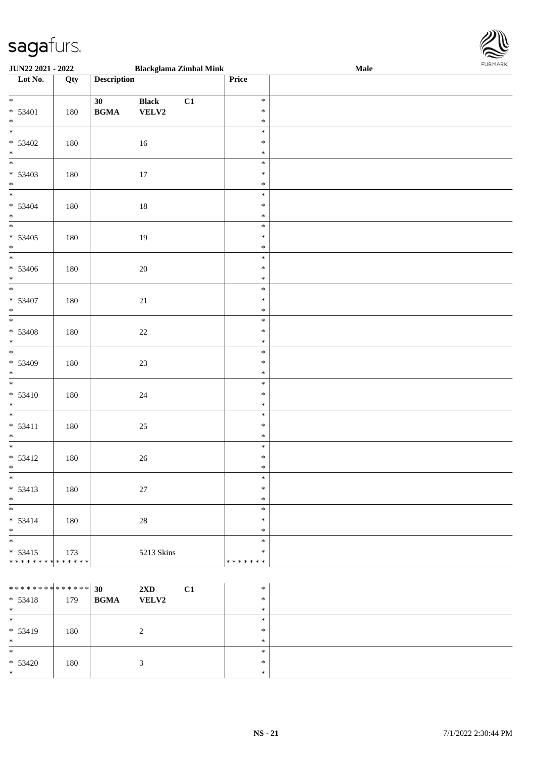

| JUN22 2021 - 2022                                       |     |                                                  |                       | <b>Blackglama Zimbal Mink</b> |                                   | Male | <b>FURPIARR</b> |
|---------------------------------------------------------|-----|--------------------------------------------------|-----------------------|-------------------------------|-----------------------------------|------|-----------------|
| $\overline{\phantom{a}}$ Lot No.                        | Qty | <b>Description</b>                               |                       |                               | Price                             |      |                 |
| $\overline{\ast}$<br>$* 53401$<br>$*$                   | 180 | 30<br>$\mathbf{B}\mathbf{G}\mathbf{M}\mathbf{A}$ | <b>Black</b><br>VELV2 | C1                            | $\ast$<br>$\ast$<br>$\ast$        |      |                 |
| $* 53402$<br>$*$ $*$                                    | 180 |                                                  | 16                    |                               | $\ast$<br>$\ast$<br>$\ast$        |      |                 |
| $* 53403$<br>$*$                                        | 180 |                                                  | 17                    |                               | $\ast$<br>$\ast$<br>$\ast$        |      |                 |
| $* 53404$<br>$*$                                        | 180 |                                                  | 18                    |                               | $\ast$<br>$\ast$<br>$\ast$        |      |                 |
| $* 53405$<br>$*$                                        | 180 |                                                  | 19                    |                               | $\ast$<br>$\ast$<br>$\ast$        |      |                 |
| $* 53406$<br>$*$                                        | 180 |                                                  | $20\,$                |                               | $\ast$<br>$\ast$<br>$\ast$        |      |                 |
| * 53407<br>$*$                                          | 180 |                                                  | 21                    |                               | $\ast$<br>$\ast$<br>$\ast$        |      |                 |
| $* 53408$<br>$*$                                        | 180 |                                                  | $22\,$                |                               | $\ast$<br>$\ast$<br>$\ast$        |      |                 |
| * 53409<br>$*$                                          | 180 |                                                  | 23                    |                               | $\ast$<br>$\ast$<br>$\ast$        |      |                 |
| $\frac{1}{1}$<br>$* 53410$<br>$*$                       | 180 |                                                  | $24\,$                |                               | $\ast$<br>$\ast$<br>$\ast$        |      |                 |
| $* 53411$<br>$*$                                        | 180 |                                                  | 25                    |                               | $\ast$<br>$\ast$<br>$\ast$        |      |                 |
| $* 53412$<br>$*$ $-$                                    | 180 |                                                  | 26                    |                               | $\ast$<br>$\ast$<br>$\ast$        |      |                 |
| $*$<br>$* 53413$<br>$*$                                 | 180 |                                                  | $27\,$                |                               | $\ast$<br>$\ast$<br>$\ast$        |      |                 |
| $*$<br>$* 53414$<br>$*$                                 | 180 |                                                  | $28\,$                |                               | $\ast$<br>$\ast$<br>$\ast$        |      |                 |
| $* 53415$<br>* * * * * * * * <mark>* * * * * * *</mark> | 173 |                                                  | 5213 Skins            |                               | $\ast$<br>$\ast$<br>* * * * * * * |      |                 |
|                                                         |     |                                                  |                       |                               |                                   |      |                 |

| ************** 30<br>$* 53418$<br>$*$ | 179 | $2\mathbf{X}\mathbf{D}$<br><b>VELV2</b><br><b>BGMA</b> | C1 | $\ast$<br>$\ast$<br>$*$ |  |
|---------------------------------------|-----|--------------------------------------------------------|----|-------------------------|--|
| $\ast$<br>$* 53419$<br>$*$            | 180 |                                                        |    | $\ast$<br>$\ast$<br>$*$ |  |
| $\ast$<br>$* 53420$<br>$*$            | 180 |                                                        |    | $*$<br>$*$<br>$*$       |  |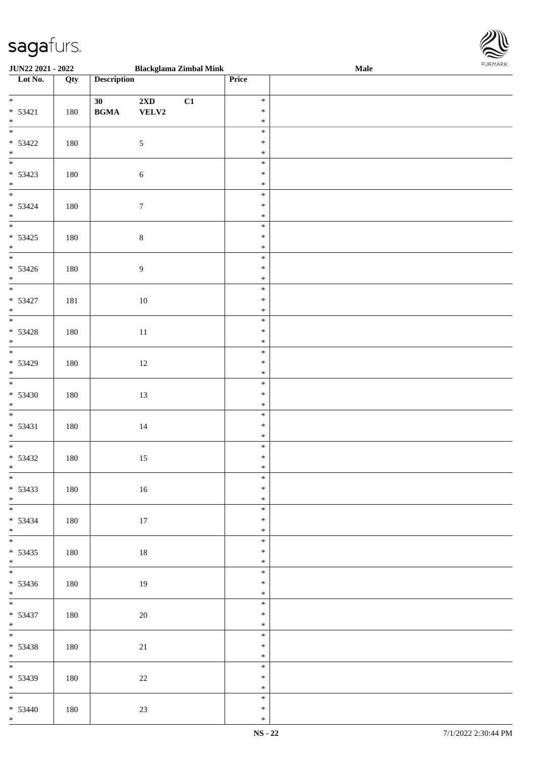

| <b>JUN22 2021 - 2022</b> |     |                                            | <b>Blackglama Zimbal Mink</b> |    |        | Male |
|--------------------------|-----|--------------------------------------------|-------------------------------|----|--------|------|
| Lot No.                  | Qty | <b>Description</b>                         |                               |    | Price  |      |
|                          |     |                                            |                               |    |        |      |
| $*$                      |     | 30                                         | 2XD                           | C1 | $\ast$ |      |
| $* 53421$                | 180 | $\mathbf{B}\mathbf{G}\mathbf{M}\mathbf{A}$ | VELV2                         |    | $\ast$ |      |
| $*$                      |     |                                            |                               |    | $\ast$ |      |
|                          |     |                                            |                               |    | $\ast$ |      |
|                          |     |                                            |                               |    |        |      |
| $* 53422$                | 180 |                                            | $\mathfrak{S}$                |    | $\ast$ |      |
| $*$                      |     |                                            |                               |    | $\ast$ |      |
|                          |     |                                            |                               |    | $\ast$ |      |
| $* 53423$                | 180 |                                            | $\sqrt{6}$                    |    | $\ast$ |      |
| $*$                      |     |                                            |                               |    | $\ast$ |      |
|                          |     |                                            |                               |    | $\ast$ |      |
| $* 53424$                | 180 |                                            | $\boldsymbol{7}$              |    | $\ast$ |      |
| $*$                      |     |                                            |                               |    | $\ast$ |      |
|                          |     |                                            |                               |    | $\ast$ |      |
| $* 53425$                |     |                                            |                               |    | $\ast$ |      |
|                          | 180 |                                            | $\,8\,$                       |    | $\ast$ |      |
| $*$                      |     |                                            |                               |    |        |      |
|                          |     |                                            |                               |    | $\ast$ |      |
| $* 53426$                | 180 |                                            | $\overline{9}$                |    | $\ast$ |      |
| $*$                      |     |                                            |                               |    | $\ast$ |      |
| $\overline{\phantom{0}}$ |     |                                            |                               |    | $\ast$ |      |
| $* 53427$                | 181 |                                            | $10\,$                        |    | $\ast$ |      |
| $*$                      |     |                                            |                               |    | $\ast$ |      |
|                          |     |                                            |                               |    | $\ast$ |      |
| $* 53428$                | 180 |                                            | 11                            |    | $\ast$ |      |
| $*$                      |     |                                            |                               |    | $\ast$ |      |
|                          |     |                                            |                               |    | $\ast$ |      |
| $* 53429$                |     |                                            |                               |    | $\ast$ |      |
| $*$                      | 180 |                                            | 12                            |    | $\ast$ |      |
|                          |     |                                            |                               |    |        |      |
|                          |     |                                            |                               |    | $\ast$ |      |
| $* 53430$                | 180 |                                            | 13                            |    | $\ast$ |      |
| $*$                      |     |                                            |                               |    | $\ast$ |      |
| $*$                      |     |                                            |                               |    | $\ast$ |      |
| $* 53431$                | 180 |                                            | 14                            |    | $\ast$ |      |
| $*$                      |     |                                            |                               |    | $\ast$ |      |
|                          |     |                                            |                               |    | $\ast$ |      |
| $* 53432$                | 180 |                                            | 15                            |    | $\ast$ |      |
| $*$                      |     |                                            |                               |    | $\ast$ |      |
| $\overline{\ast}$        |     |                                            |                               |    | $\ast$ |      |
| $* 53433$                | 180 |                                            | 16                            |    | $\ast$ |      |
| $*$                      |     |                                            |                               |    | $\ast$ |      |
|                          |     |                                            |                               |    | $\ast$ |      |
|                          |     |                                            |                               |    |        |      |
| * 53434                  | 180 |                                            | 17                            |    | $\ast$ |      |
| $*$                      |     |                                            |                               |    | $\ast$ |      |
| $*$                      |     |                                            |                               |    | $\ast$ |      |
| $* 53435$                | 180 |                                            | 18                            |    | $\ast$ |      |
| $*$                      |     |                                            |                               |    | $\ast$ |      |
|                          |     |                                            |                               |    | $\ast$ |      |
| $* 53436$                | 180 |                                            | 19                            |    | $\ast$ |      |
| $*$                      |     |                                            |                               |    | $\ast$ |      |
| $*$                      |     |                                            |                               |    | $\ast$ |      |
| $* 53437$                | 180 |                                            | 20                            |    | $\ast$ |      |
| $*$                      |     |                                            |                               |    | $\ast$ |      |
| $*$                      |     |                                            |                               |    | $\ast$ |      |
|                          |     |                                            |                               |    |        |      |
| $* 53438$                | 180 |                                            | 21                            |    | $\ast$ |      |
| $*$                      |     |                                            |                               |    | $\ast$ |      |
| $\overline{\ast}$        |     |                                            |                               |    | $\ast$ |      |
| $* 53439$                | 180 |                                            | $22\,$                        |    | $\ast$ |      |
| $*$                      |     |                                            |                               |    | $\ast$ |      |
|                          |     |                                            |                               |    | $\ast$ |      |
| $* 53440$                | 180 |                                            | 23                            |    | $\ast$ |      |
| $*$                      |     |                                            |                               |    | $\ast$ |      |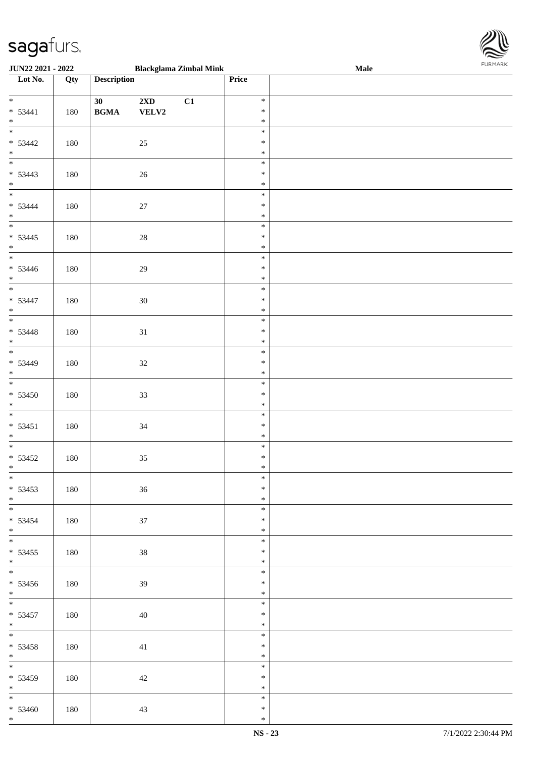

| <b>JUN22 2021 - 2022</b> |     |                                            | <b>Blackglama Zimbal Mink</b> |    |        | <b>Male</b> |
|--------------------------|-----|--------------------------------------------|-------------------------------|----|--------|-------------|
| Lot No.                  | Qty | <b>Description</b>                         |                               |    | Price  |             |
|                          |     |                                            |                               |    |        |             |
| $*$                      |     | 30                                         | $2\mathbf{X}\mathbf{D}$       | C1 | $\ast$ |             |
| $* 53441$                | 180 | $\mathbf{B}\mathbf{G}\mathbf{M}\mathbf{A}$ | VELV2                         |    | $\ast$ |             |
| $*$                      |     |                                            |                               |    | $\ast$ |             |
|                          |     |                                            |                               |    | $\ast$ |             |
| $* 53442$                | 180 |                                            | 25                            |    | $\ast$ |             |
| $*$                      |     |                                            |                               |    | $\ast$ |             |
|                          |     |                                            |                               |    | $\ast$ |             |
|                          |     |                                            |                               |    | $\ast$ |             |
| $* 53443$<br>$*$         | 180 |                                            | 26                            |    | $\ast$ |             |
|                          |     |                                            |                               |    |        |             |
|                          |     |                                            |                               |    | $\ast$ |             |
| $* 53444$                | 180 |                                            | 27                            |    | $\ast$ |             |
| $*$                      |     |                                            |                               |    | $\ast$ |             |
|                          |     |                                            |                               |    | $\ast$ |             |
| $* 53445$                | 180 |                                            | $28\,$                        |    | $\ast$ |             |
| $*$                      |     |                                            |                               |    | $\ast$ |             |
| $\overline{\phantom{0}}$ |     |                                            |                               |    | $\ast$ |             |
| $* 53446$                | 180 |                                            | 29                            |    | $\ast$ |             |
| $*$                      |     |                                            |                               |    | $\ast$ |             |
| $\overline{\phantom{0}}$ |     |                                            |                               |    | $\ast$ |             |
| $* 53447$                | 180 |                                            | 30                            |    | $\ast$ |             |
| $*$                      |     |                                            |                               |    | $\ast$ |             |
|                          |     |                                            |                               |    | $\ast$ |             |
|                          |     |                                            |                               |    |        |             |
| $* 53448$                | 180 |                                            | 31                            |    | $\ast$ |             |
| $*$                      |     |                                            |                               |    | $\ast$ |             |
|                          |     |                                            |                               |    | $\ast$ |             |
| $* 53449$                | 180 |                                            | $32\,$                        |    | $\ast$ |             |
| $*$                      |     |                                            |                               |    | $\ast$ |             |
|                          |     |                                            |                               |    | $\ast$ |             |
| $* 53450$                | 180 |                                            | 33                            |    | $\ast$ |             |
| $*$                      |     |                                            |                               |    | $\ast$ |             |
|                          |     |                                            |                               |    | $\ast$ |             |
| $* 53451$                | 180 |                                            | 34                            |    | $\ast$ |             |
| $*$                      |     |                                            |                               |    | $\ast$ |             |
|                          |     |                                            |                               |    | $\ast$ |             |
| $* 53452$                | 180 |                                            | $35\,$                        |    | $\ast$ |             |
| $*$                      |     |                                            |                               |    | $\ast$ |             |
| $\overline{\ast}$        |     |                                            |                               |    | $\ast$ |             |
| $* 53453$                |     |                                            |                               |    | $\ast$ |             |
|                          | 180 |                                            | 36                            |    |        |             |
| $*$                      |     |                                            |                               |    | $\ast$ |             |
|                          |     |                                            |                               |    | $\ast$ |             |
| * 53454                  | 180 |                                            | 37                            |    | $\ast$ |             |
| $*$                      |     |                                            |                               |    | $\ast$ |             |
| $*$                      |     |                                            |                               |    | $\ast$ |             |
| $* 53455$                | 180 |                                            | 38                            |    | $\ast$ |             |
| $*$                      |     |                                            |                               |    | $\ast$ |             |
|                          |     |                                            |                               |    | $\ast$ |             |
| $* 53456$                | 180 |                                            | 39                            |    | $\ast$ |             |
| $*$                      |     |                                            |                               |    | $\ast$ |             |
|                          |     |                                            |                               |    | $\ast$ |             |
| * 53457                  | 180 |                                            | 40                            |    | $\ast$ |             |
| $*$                      |     |                                            |                               |    | $\ast$ |             |
| $*$                      |     |                                            |                               |    | $\ast$ |             |
| $* 53458$                | 180 |                                            |                               |    | $\ast$ |             |
| $*$                      |     |                                            | 41                            |    | $\ast$ |             |
|                          |     |                                            |                               |    |        |             |
|                          |     |                                            |                               |    | $\ast$ |             |
| $* 53459$                | 180 |                                            | 42                            |    | $\ast$ |             |
| $*$                      |     |                                            |                               |    | $\ast$ |             |
|                          |     |                                            |                               |    | $\ast$ |             |
| $* 53460$                | 180 |                                            | 43                            |    | $\ast$ |             |
| $*$                      |     |                                            |                               |    | $\ast$ |             |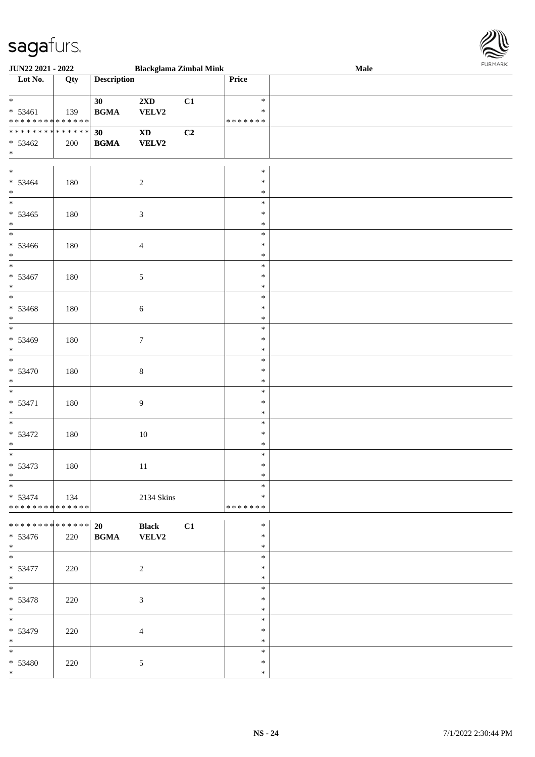

| <b>JUN22 2021 - 2022</b>                   |     |                    | <b>Blackglama Zimbal Mink</b> |    |         | Male |  |
|--------------------------------------------|-----|--------------------|-------------------------------|----|---------|------|--|
| Lot No.                                    | Qty | <b>Description</b> |                               |    | Price   |      |  |
|                                            |     |                    |                               |    |         |      |  |
|                                            |     | 30                 | $2{\bf X}{\bf D}$             | C1 | $\ast$  |      |  |
| $* 53461$                                  | 139 | <b>BGMA</b>        | VELV2                         |    | $\ast$  |      |  |
| * * * * * * * * <mark>* * * * * * *</mark> |     |                    |                               |    | ******* |      |  |
| * * * * * * * * <mark>* * * * * * *</mark> |     |                    |                               |    |         |      |  |
|                                            |     | 30                 | $\boldsymbol{\mathrm{XD}}$    | C2 |         |      |  |
| $* 53462$                                  | 200 | <b>BGMA</b>        | <b>VELV2</b>                  |    |         |      |  |
| $*$                                        |     |                    |                               |    |         |      |  |
|                                            |     |                    |                               |    |         |      |  |
| $*$                                        |     |                    |                               |    | $\ast$  |      |  |
| $* 53464$                                  | 180 |                    | $\sqrt{2}$                    |    | $\ast$  |      |  |
| $*$                                        |     |                    |                               |    | $\ast$  |      |  |
|                                            |     |                    |                               |    | $\ast$  |      |  |
| $* 53465$                                  | 180 |                    | $\mathfrak{Z}$                |    | $\ast$  |      |  |
| $*$                                        |     |                    |                               |    | $\ast$  |      |  |
| $\overline{\phantom{0}}$                   |     |                    |                               |    |         |      |  |
|                                            |     |                    |                               |    | $\ast$  |      |  |
| $* 53466$                                  | 180 |                    | $\overline{4}$                |    | $\ast$  |      |  |
| $*$                                        |     |                    |                               |    | $\ast$  |      |  |
|                                            |     |                    |                               |    | $\ast$  |      |  |
| $* 53467$                                  | 180 |                    | $\sqrt{5}$                    |    | $\ast$  |      |  |
| $*$                                        |     |                    |                               |    | $\ast$  |      |  |
|                                            |     |                    |                               |    | $\ast$  |      |  |
|                                            |     |                    |                               |    |         |      |  |
| * 53468                                    | 180 |                    | $\boldsymbol{6}$              |    | $\ast$  |      |  |
| $*$                                        |     |                    |                               |    | $\ast$  |      |  |
| $\overline{\ }$                            |     |                    |                               |    | $\ast$  |      |  |
| * 53469                                    | 180 |                    | $\tau$                        |    | $\ast$  |      |  |
| $*$                                        |     |                    |                               |    | $\ast$  |      |  |
| $\overline{\ast}$                          |     |                    |                               |    | $\ast$  |      |  |
| $* 53470$                                  |     |                    | $\,8\,$                       |    | $\ast$  |      |  |
|                                            | 180 |                    |                               |    |         |      |  |
| $*$                                        |     |                    |                               |    | $\ast$  |      |  |
|                                            |     |                    |                               |    | $\ast$  |      |  |
| * 53471                                    | 180 |                    | 9                             |    | $\ast$  |      |  |
| $*$ $*$                                    |     |                    |                               |    | $\ast$  |      |  |
|                                            |     |                    |                               |    | $\ast$  |      |  |
| $* 53472$                                  | 180 |                    | $10\,$                        |    | $\ast$  |      |  |
| $*$                                        |     |                    |                               |    | $\ast$  |      |  |
|                                            |     |                    |                               |    | $\ast$  |      |  |
|                                            |     |                    |                               |    |         |      |  |
| $* 53473$                                  | 180 |                    | 11                            |    | $\ast$  |      |  |
| $\ast$                                     |     |                    |                               |    | $\ast$  |      |  |
| $\frac{1}{\ast}$                           |     |                    |                               |    | $\ast$  |      |  |
| $* 53474$                                  | 134 |                    | 2134 Skins                    |    | $\ast$  |      |  |
| * * * * * * * * <mark>* * * * * * *</mark> |     |                    |                               |    | ******* |      |  |
|                                            |     |                    |                               |    |         |      |  |
|                                            |     |                    | <b>Black</b>                  | C1 | $\ast$  |      |  |
| $* 53476$                                  | 220 | <b>BGMA</b>        | VELV2                         |    | $\ast$  |      |  |
| $*$                                        |     |                    |                               |    | $\ast$  |      |  |
| $\overline{\ast}$                          |     |                    |                               |    | $\ast$  |      |  |
|                                            |     |                    |                               |    |         |      |  |
| $* 53477$                                  | 220 |                    | $\overline{2}$                |    | $\ast$  |      |  |
| $*$                                        |     |                    |                               |    | $\ast$  |      |  |
|                                            |     |                    |                               |    | $\ast$  |      |  |
| * 53478                                    | 220 |                    | $\mathfrak{Z}$                |    | $\ast$  |      |  |
| $*$                                        |     |                    |                               |    | $\ast$  |      |  |
| $\overline{\ast}$                          |     |                    |                               |    | $\ast$  |      |  |
|                                            |     |                    |                               |    | $\ast$  |      |  |
| * 53479                                    | 220 |                    | $\overline{4}$                |    |         |      |  |
| $*$                                        |     |                    |                               |    | $\ast$  |      |  |
| $\ast$                                     |     |                    |                               |    | $\ast$  |      |  |
| * 53480                                    | 220 |                    | $\sqrt{5}$                    |    | $\ast$  |      |  |
| $*$                                        |     |                    |                               |    | $\ast$  |      |  |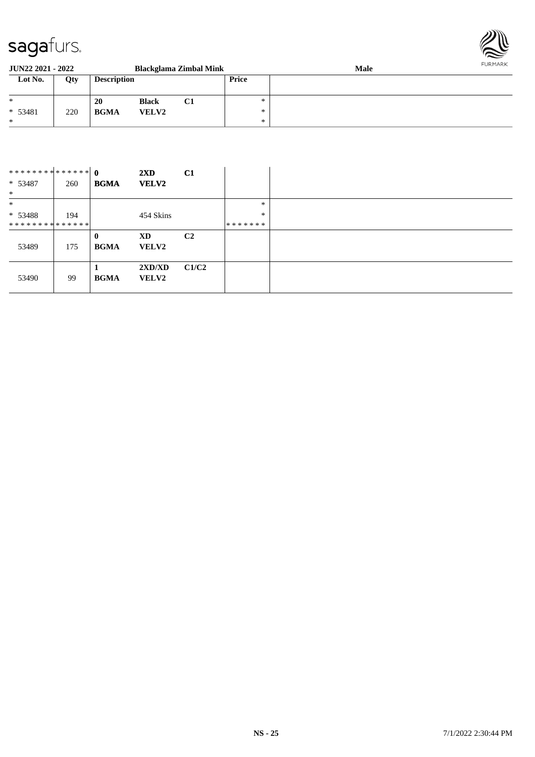

| <b>JUN22 2021 - 2022</b><br>Blackglama Zimbal Mink |     |                    |              |    |       | FURMARK<br><b>Male</b> |  |  |
|----------------------------------------------------|-----|--------------------|--------------|----|-------|------------------------|--|--|
| Lot No.                                            | Qty | <b>Description</b> |              |    | Price |                        |  |  |
| $*$                                                |     | 20                 | <b>Black</b> | C1 | *     |                        |  |  |
| $* 53481$                                          | 220 | <b>BGMA</b>        | <b>VELV2</b> |    | *     |                        |  |  |
| $\ast$                                             |     |                    |              |    | $*$   |                        |  |  |

| ************** 0<br>$* 53487$<br>$*$ | 260 | <b>BGMA</b>             | $2\mathbf{X}\mathbf{D}$<br><b>VELV2</b> | C1             |               |  |
|--------------------------------------|-----|-------------------------|-----------------------------------------|----------------|---------------|--|
| $\ast$                               |     |                         |                                         |                | $\ast$        |  |
| $* 53488$                            | 194 |                         | 454 Skins                               |                | $\ast$        |  |
| **************                       |     |                         |                                         |                | * * * * * * * |  |
| 53489                                | 175 | $\bf{0}$<br><b>BGMA</b> | XD<br><b>VELV2</b>                      | C <sub>2</sub> |               |  |
|                                      | 99  | <b>BGMA</b>             | 2XD/XD<br><b>VELV2</b>                  | C1/C2          |               |  |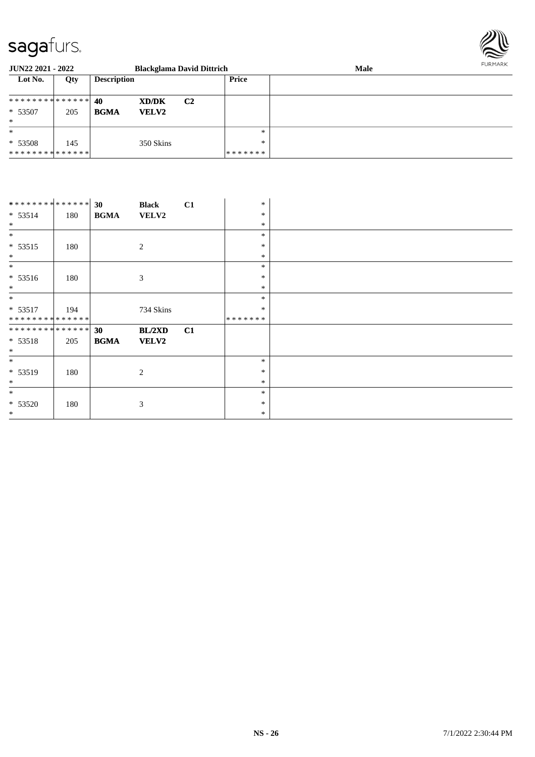

| <b>JUN22 2021 - 2022</b> |     |                    |              | <b>Blackglama David Dittrich</b> |              | <b>Male</b> | <b>FURMARK</b> |
|--------------------------|-----|--------------------|--------------|----------------------------------|--------------|-------------|----------------|
| Lot No.                  | Qty | <b>Description</b> |              |                                  | <b>Price</b> |             |                |
| **************           |     | 40                 | XD/DK        | C <sub>2</sub>                   |              |             |                |
| $* 53507$                | 205 | <b>BGMA</b>        | <b>VELV2</b> |                                  |              |             |                |
| $\ast$                   |     |                    |              |                                  |              |             |                |
| $\ast$                   |     |                    |              |                                  | $\ast$       |             |                |
| $* 53508$                | 145 |                    | 350 Skins    |                                  | $*$          |             |                |
| **************           |     |                    |              |                                  | *******      |             |                |

| ************** 30            |     |             | <b>Black</b> | C1 | $\ast$  |
|------------------------------|-----|-------------|--------------|----|---------|
| $* 53514$                    | 180 | <b>BGMA</b> | <b>VELV2</b> |    | $\ast$  |
| $*$                          |     |             |              |    | $\ast$  |
| $\ast$                       |     |             |              |    | $\ast$  |
| $* 53515$                    | 180 |             | 2            |    | $\ast$  |
| $*$                          |     |             |              |    | $\ast$  |
| $\ast$                       |     |             |              |    | $\ast$  |
| $* 53516$                    | 180 |             | 3            |    | $\ast$  |
| $*$                          |     |             |              |    | $\ast$  |
| $\ast$                       |     |             |              |    | $\ast$  |
| $* 53517$                    | 194 |             | 734 Skins    |    | $\ast$  |
| **************               |     |             |              |    | ******* |
| ******** <mark>******</mark> |     | 30          | BL/2XD       | C1 |         |
| $* 53518$                    | 205 | <b>BGMA</b> | <b>VELV2</b> |    |         |
| $\ast$                       |     |             |              |    |         |
| $*$                          |     |             |              |    | $\ast$  |
| * 53519                      | 180 |             | 2            |    | $\ast$  |
| $\ast$                       |     |             |              |    | $\ast$  |
| $\ast$                       |     |             |              |    | $\ast$  |
| $* 53520$                    | 180 |             | 3            |    | $\ast$  |
| $*$                          |     |             |              |    | $\ast$  |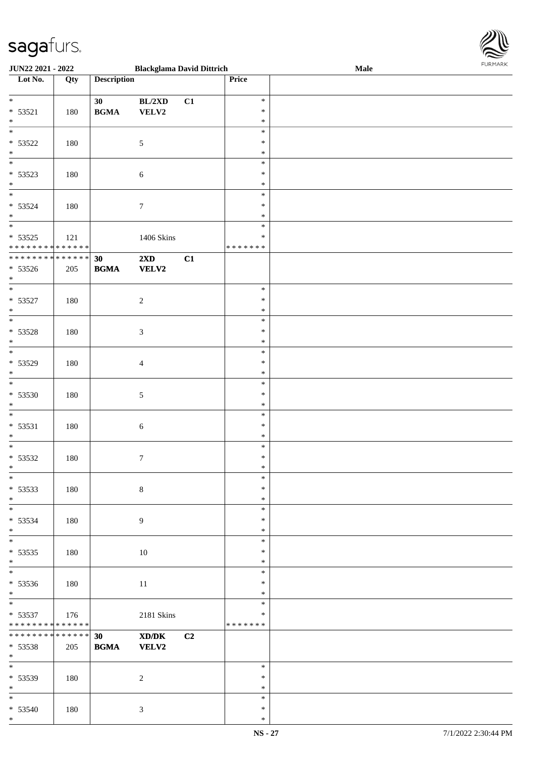

| <b>JUN22 2021 - 2022</b>                   |                 |                    | <b>Blackglama David Dittrich</b> |    |         | Male |
|--------------------------------------------|-----------------|--------------------|----------------------------------|----|---------|------|
| Lot No.                                    | Qty             | <b>Description</b> |                                  |    | Price   |      |
|                                            |                 |                    |                                  |    |         |      |
| $*$                                        |                 | 30                 | BL/2XD                           | C1 | $\ast$  |      |
| * 53521                                    | 180             | <b>BGMA</b>        | VELV2                            |    | $\ast$  |      |
| $*$                                        |                 |                    |                                  |    | $\ast$  |      |
|                                            |                 |                    |                                  |    | $\ast$  |      |
|                                            |                 |                    |                                  |    |         |      |
| $* 53522$                                  | 180             |                    | 5                                |    | $\ast$  |      |
| $*$                                        |                 |                    |                                  |    | $\ast$  |      |
|                                            |                 |                    |                                  |    | $\ast$  |      |
| $* 53523$                                  | 180             |                    | $\sqrt{6}$                       |    | $\ast$  |      |
| $*$                                        |                 |                    |                                  |    | $\ast$  |      |
|                                            |                 |                    |                                  |    | $\ast$  |      |
| * 53524                                    | 180             |                    | $\tau$                           |    | $\ast$  |      |
| $*$                                        |                 |                    |                                  |    | $\ast$  |      |
| $\overline{\ }$                            |                 |                    |                                  |    | $\ast$  |      |
| $* 53525$                                  | 121             |                    | 1406 Skins                       |    | $\ast$  |      |
| * * * * * * * * <mark>* * * * * * *</mark> |                 |                    |                                  |    | ******* |      |
| * * * * * * * * <mark>* * * * * * *</mark> |                 |                    |                                  |    |         |      |
|                                            |                 | 30                 | 2XD                              | C1 |         |      |
| $* 53526$                                  | 205             | <b>BGMA</b>        | <b>VELV2</b>                     |    |         |      |
| $*$                                        |                 |                    |                                  |    |         |      |
|                                            |                 |                    |                                  |    | $\ast$  |      |
| $* 53527$                                  | 180             |                    | $\sqrt{2}$                       |    | $\ast$  |      |
| $*$                                        |                 |                    |                                  |    | $\ast$  |      |
|                                            |                 |                    |                                  |    | $\ast$  |      |
| $* 53528$                                  | 180             |                    | $\mathfrak{Z}$                   |    | $\ast$  |      |
| $\ast$                                     |                 |                    |                                  |    | $\ast$  |      |
| $\overline{\phantom{0}}$                   |                 |                    |                                  |    | $\ast$  |      |
| * 53529                                    |                 |                    |                                  |    | $\ast$  |      |
| $*$                                        | 180             |                    | $\overline{4}$                   |    |         |      |
| $\overline{\phantom{0}}$                   |                 |                    |                                  |    | $\ast$  |      |
|                                            |                 |                    |                                  |    | $\ast$  |      |
| $* 53530$                                  | 180             |                    | $\sqrt{5}$                       |    | $\ast$  |      |
| $*$                                        |                 |                    |                                  |    | $\ast$  |      |
| $\ast$                                     |                 |                    |                                  |    | $\ast$  |      |
| $* 53531$                                  | 180             |                    | $\boldsymbol{6}$                 |    | $\ast$  |      |
| $\ast$                                     |                 |                    |                                  |    | $\ast$  |      |
| $*$                                        |                 |                    |                                  |    | $\ast$  |      |
| * 53532                                    | 180             |                    | $\tau$                           |    | $\ast$  |      |
| $*$                                        |                 |                    |                                  |    | $\ast$  |      |
| $*$                                        |                 |                    |                                  |    | $\ast$  |      |
| $* 53533$                                  | 180             |                    | $8\,$                            |    | $\ast$  |      |
| $*$                                        |                 |                    |                                  |    | $\ast$  |      |
|                                            |                 |                    |                                  |    | $\ast$  |      |
|                                            |                 |                    |                                  |    |         |      |
| $* 53534$                                  | 180             |                    | 9                                |    | $\ast$  |      |
| $*$                                        |                 |                    |                                  |    | $\ast$  |      |
| $\overline{\phantom{0}}$                   |                 |                    |                                  |    | $\ast$  |      |
| $* 53535$                                  | 180             |                    | 10                               |    | $\ast$  |      |
| $*$                                        |                 |                    |                                  |    | $\ast$  |      |
| $\overline{\ast}$                          |                 |                    |                                  |    | $\ast$  |      |
| * 53536                                    | 180             |                    | 11                               |    | $\ast$  |      |
| $*$                                        |                 |                    |                                  |    | $\ast$  |      |
|                                            |                 |                    |                                  |    | $\ast$  |      |
| $* 53537$                                  | 176             |                    | 2181 Skins                       |    | $\ast$  |      |
| * * * * * * * * <mark>* * * * * * *</mark> |                 |                    |                                  |    | ******* |      |
| * * * * * * * *                            | $* * * * * * *$ | 30                 | XD/DK                            | C2 |         |      |
| * 53538                                    | 205             | <b>BGMA</b>        | <b>VELV2</b>                     |    |         |      |
| $*$                                        |                 |                    |                                  |    |         |      |
| $*$                                        |                 |                    |                                  |    | $\ast$  |      |
|                                            |                 |                    |                                  |    |         |      |
| * 53539                                    | 180             |                    | $\overline{c}$                   |    | $\ast$  |      |
| $*$                                        |                 |                    |                                  |    | $\ast$  |      |
| $*$                                        |                 |                    |                                  |    | $\ast$  |      |
| $* 53540$                                  | 180             |                    | $\mathfrak{Z}$                   |    | $\ast$  |      |
| $*$                                        |                 |                    |                                  |    | $\ast$  |      |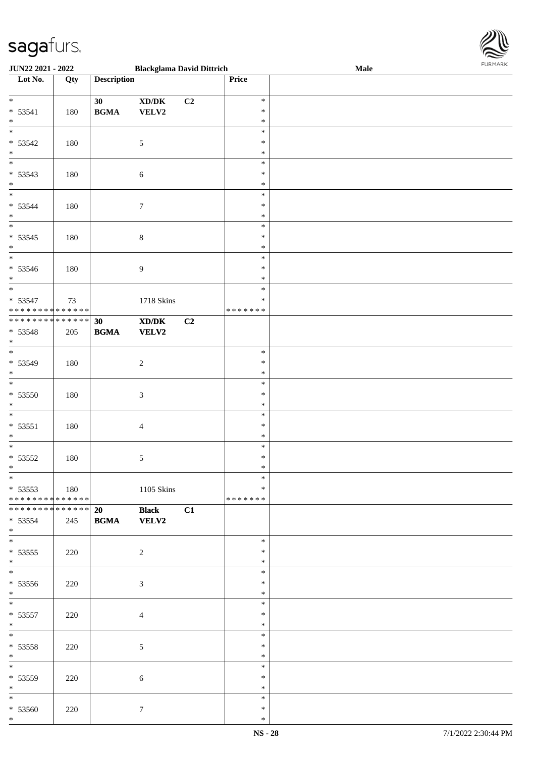

| <b>JUN22 2021 - 2022</b>                   |     |                                            | <b>Blackglama David Dittrich</b>                                                                     |                |               | <b>Male</b> |
|--------------------------------------------|-----|--------------------------------------------|------------------------------------------------------------------------------------------------------|----------------|---------------|-------------|
| Lot No.                                    | Qty | <b>Description</b>                         |                                                                                                      |                | Price         |             |
|                                            |     |                                            |                                                                                                      |                |               |             |
| $*$                                        |     | 30                                         | $\bold{X}\bold{D}/\bold{D}\bold{K}$                                                                  | C <sub>2</sub> | $\ast$        |             |
| $* 53541$                                  | 180 | $\mathbf{B}\mathbf{G}\mathbf{M}\mathbf{A}$ | VELV2                                                                                                |                | $\ast$        |             |
| $\ast$                                     |     |                                            |                                                                                                      |                | $\ast$        |             |
| $\overline{\phantom{0}}$                   |     |                                            |                                                                                                      |                | $\ast$        |             |
|                                            |     |                                            |                                                                                                      |                |               |             |
| $* 53542$                                  | 180 |                                            | $\sqrt{5}$                                                                                           |                | $\ast$        |             |
| $*$                                        |     |                                            |                                                                                                      |                | $\ast$        |             |
|                                            |     |                                            |                                                                                                      |                | $\ast$        |             |
| $* 53543$                                  | 180 |                                            | $\sqrt{6}$                                                                                           |                | $\ast$        |             |
| $*$                                        |     |                                            |                                                                                                      |                | $\ast$        |             |
| $*$                                        |     |                                            |                                                                                                      |                | $\ast$        |             |
| * 53544                                    | 180 |                                            | $\tau$                                                                                               |                | $\ast$        |             |
| $*$                                        |     |                                            |                                                                                                      |                | $\ast$        |             |
| $\overline{\ }$                            |     |                                            |                                                                                                      |                | $\ast$        |             |
| $* 53545$                                  | 180 |                                            | $\,8\,$                                                                                              |                | $\ast$        |             |
| $*$                                        |     |                                            |                                                                                                      |                | $\ast$        |             |
|                                            |     |                                            |                                                                                                      |                | $\ast$        |             |
|                                            |     |                                            |                                                                                                      |                |               |             |
| $* 53546$                                  | 180 |                                            | $\boldsymbol{9}$                                                                                     |                | $\ast$        |             |
| $*$                                        |     |                                            |                                                                                                      |                | $\ast$        |             |
|                                            |     |                                            |                                                                                                      |                | $\ast$        |             |
| * 53547                                    | 73  |                                            | 1718 Skins                                                                                           |                | $\ast$        |             |
| * * * * * * * * * * * * * * <mark>*</mark> |     |                                            |                                                                                                      |                | * * * * * * * |             |
| * * * * * * * * * * * * * * <mark>*</mark> |     | 30                                         | $\boldsymbol{\text{X}}\boldsymbol{\text{D}}\boldsymbol{/}\boldsymbol{\text{D}}\boldsymbol{\text{K}}$ | C <sub>2</sub> |               |             |
| * 53548                                    | 205 | <b>BGMA</b>                                | <b>VELV2</b>                                                                                         |                |               |             |
| $*$                                        |     |                                            |                                                                                                      |                |               |             |
|                                            |     |                                            |                                                                                                      |                | $\ast$        |             |
| * 53549                                    | 180 |                                            | $\boldsymbol{2}$                                                                                     |                | $\ast$        |             |
| $*$                                        |     |                                            |                                                                                                      |                | $\ast$        |             |
| $\overline{\ }$                            |     |                                            |                                                                                                      |                | $\ast$        |             |
|                                            |     |                                            |                                                                                                      |                | $\ast$        |             |
| $* 53550$                                  | 180 |                                            | $\ensuremath{\mathfrak{Z}}$                                                                          |                |               |             |
| $*$                                        |     |                                            |                                                                                                      |                | $\ast$        |             |
| $*$                                        |     |                                            |                                                                                                      |                | $\ast$        |             |
| $* 53551$                                  | 180 |                                            | $\overline{4}$                                                                                       |                | $\ast$        |             |
| $\ast$                                     |     |                                            |                                                                                                      |                | $\ast$        |             |
| $*$                                        |     |                                            |                                                                                                      |                | $\ast$        |             |
| $* 53552$                                  | 180 |                                            | 5                                                                                                    |                | $\ast$        |             |
| $*$                                        |     |                                            |                                                                                                      |                | $*$           |             |
| $*$                                        |     |                                            |                                                                                                      |                | $\ast$        |             |
| $* 53553$                                  | 180 |                                            | 1105 Skins                                                                                           |                | $\ast$        |             |
| * * * * * * * * * * * * * * <mark>*</mark> |     |                                            |                                                                                                      |                | *******       |             |
| ******** <mark>******</mark>               |     | 20                                         |                                                                                                      |                |               |             |
|                                            |     |                                            | <b>Black</b>                                                                                         | C1             |               |             |
| $* 53554$                                  | 245 | <b>BGMA</b>                                | <b>VELV2</b>                                                                                         |                |               |             |
| $*$<br>$\overline{\mathbf{r}}$             |     |                                            |                                                                                                      |                |               |             |
|                                            |     |                                            |                                                                                                      |                | $\ast$        |             |
| $* 53555$                                  | 220 |                                            | $\sqrt{2}$                                                                                           |                | $\ast$        |             |
| $*$                                        |     |                                            |                                                                                                      |                | $\ast$        |             |
|                                            |     |                                            |                                                                                                      |                | $\ast$        |             |
| $* 53556$                                  | 220 |                                            | $\mathfrak{Z}$                                                                                       |                | $\ast$        |             |
| $*$                                        |     |                                            |                                                                                                      |                | $\ast$        |             |
| $*$                                        |     |                                            |                                                                                                      |                | $\ast$        |             |
| $* 53557$                                  | 220 |                                            | $\overline{4}$                                                                                       |                | $\ast$        |             |
| $*$                                        |     |                                            |                                                                                                      |                | $\ast$        |             |
| $*$ $-$                                    |     |                                            |                                                                                                      |                | $\ast$        |             |
|                                            |     |                                            |                                                                                                      |                |               |             |
| * 53558                                    | 220 |                                            | $5\phantom{.0}$                                                                                      |                | $\ast$        |             |
| $*$                                        |     |                                            |                                                                                                      |                | $\ast$        |             |
| $*$                                        |     |                                            |                                                                                                      |                | $\ast$        |             |
| * 53559                                    | 220 |                                            | $\sqrt{6}$                                                                                           |                | $\ast$        |             |
| $*$                                        |     |                                            |                                                                                                      |                | $\ast$        |             |
| $*$                                        |     |                                            |                                                                                                      |                | $\ast$        |             |
| $* 53560$                                  | 220 |                                            | $\tau$                                                                                               |                | $\ast$        |             |
| $*$                                        |     |                                            |                                                                                                      |                | $\ast$        |             |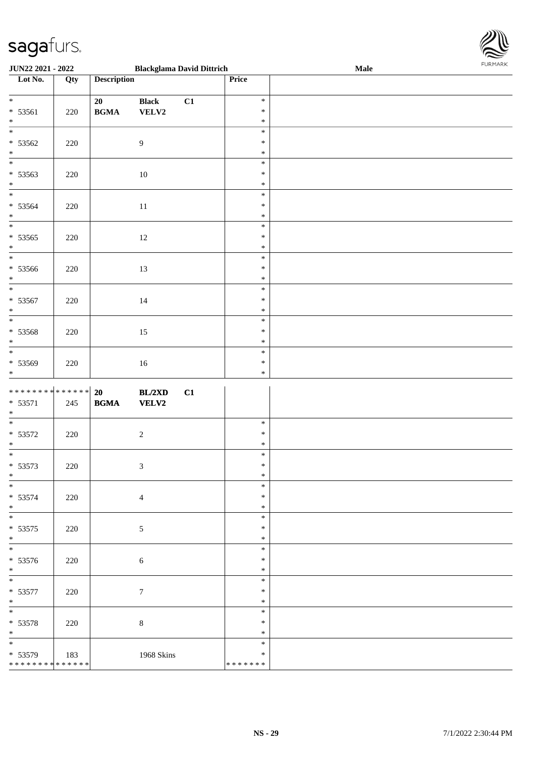

| JUN22 2021 - 2022                                              |         |                                                  | <b>Blackglama David Dittrich</b> | Male                                 |  |  |
|----------------------------------------------------------------|---------|--------------------------------------------------|----------------------------------|--------------------------------------|--|--|
| Lot No.                                                        | Qty     | <b>Description</b>                               |                                  | Price                                |  |  |
| $* 53561$<br>$*$                                               | 220     | 20<br>$\mathbf{B}\mathbf{G}\mathbf{M}\mathbf{A}$ | C1<br><b>Black</b><br>VELV2      | $\ast$<br>$\ast$<br>$\ast$           |  |  |
| $* 53562$<br>$*$                                               | 220     |                                                  | $\overline{9}$                   | $\ast$<br>$\ast$<br>$\ast$           |  |  |
| $* 53563$<br>$*$ $*$                                           | 220     |                                                  | $10\,$                           | $\ast$<br>$\ast$<br>$\ast$           |  |  |
| * 53564<br>$*$                                                 | 220     |                                                  | $11\,$                           | $\ast$<br>$\ast$<br>$\ast$           |  |  |
| $* 53565$<br>$*$                                               | $220\,$ |                                                  | 12                               | $\ast$<br>$\ast$<br>$\ast$           |  |  |
| * 53566<br>$*$                                                 | 220     |                                                  | 13                               | $\ast$<br>$\ast$<br>$\ast$           |  |  |
| $* 53567$<br>$\ast$<br>$\overline{\phantom{0}}$                | 220     |                                                  | 14                               | $\ast$<br>$\ast$<br>$\ast$           |  |  |
| $* 53568$<br>$*$                                               | $220\,$ |                                                  | 15                               | $\ast$<br>$\ast$<br>$\ast$           |  |  |
| * 53569<br>$*$                                                 | 220     |                                                  | $16\,$                           | $\ast$<br>$\ast$<br>$\ast$           |  |  |
| * * * * * * * * <mark>* * * * * * *</mark><br>$* 53571$<br>$*$ | 245     | 20<br>$\mathbf{B}\mathbf{G}\mathbf{M}\mathbf{A}$ | BL/2XD<br>C1<br><b>VELV2</b>     |                                      |  |  |
| $* 53572$<br>$*$                                               | 220     |                                                  | $\sqrt{2}$                       | $\ast$<br>$\ast$<br>$\ast$           |  |  |
| $* 53573$<br>$*$                                               | 220     |                                                  | $\mathfrak{Z}$                   | $\ast$<br>$\ast$<br>$\ast$           |  |  |
| $* 53574$<br>$*$                                               | 220     |                                                  | $\overline{4}$                   | $\ast$<br>$\ast$<br>$\ast$           |  |  |
| $\overline{\phantom{0}}$<br>$* 53575$<br>$*$                   | 220     |                                                  | $\mathfrak{S}$                   | $\ast$<br>$\ast$<br>$\ast$           |  |  |
| $* 53576$<br>$*$<br>$\overline{\ast}$                          | 220     |                                                  | $\sqrt{6}$                       | $\ast$<br>$\ast$<br>$\ast$           |  |  |
| $* 53577$<br>$*$                                               | 220     |                                                  | $\boldsymbol{7}$                 | $\ast$<br>$\ast$<br>$\ast$           |  |  |
| $* 53578$<br>$*$<br>$*$                                        | 220     |                                                  | $\,8\,$                          | $\ast$<br>$\ast$<br>$\ast$<br>$\ast$ |  |  |
| * 53579<br>* * * * * * * * * * * * * *                         | 183     |                                                  | 1968 Skins                       | $\ast$<br>* * * * * * *              |  |  |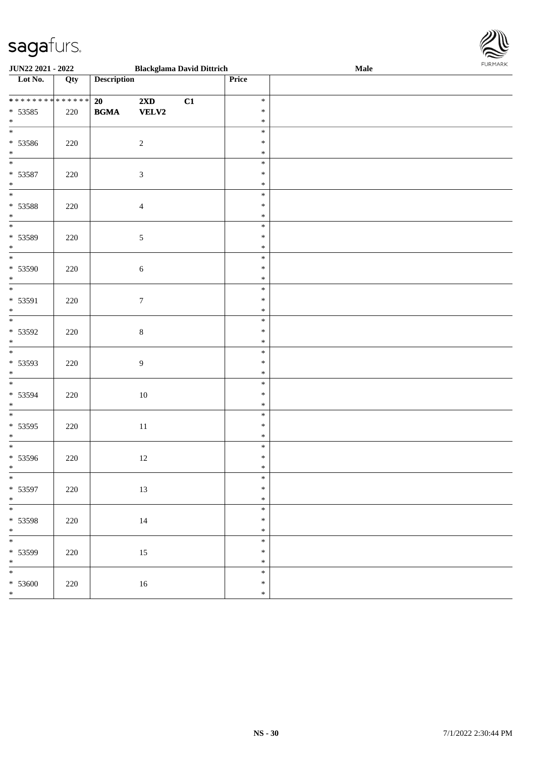

| <b>JUN22 2021 - 2022</b>                            |         | <b>Blackglama David Dittrich</b> |                                         |    | Male                                 | 10111111111 |  |
|-----------------------------------------------------|---------|----------------------------------|-----------------------------------------|----|--------------------------------------|-------------|--|
| Lot No.                                             | Qty     | <b>Description</b>               |                                         |    | Price                                |             |  |
| ******** <mark>******</mark><br>$* 53585$<br>$\ast$ | 220     | 20<br><b>BGMA</b>                | $2\mathbf{X}\mathbf{D}$<br><b>VELV2</b> | C1 | $\ast$<br>$\ast$<br>$\ast$           |             |  |
| $\overline{\phantom{0}}$<br>* 53586<br>$*$          | 220     |                                  | $\sqrt{2}$                              |    | $\ast$<br>$\ast$<br>$\ast$           |             |  |
| * 53587<br>$*$                                      | 220     |                                  | $\mathfrak{Z}$                          |    | $\ast$<br>$\ast$<br>$\ast$           |             |  |
| * 53588<br>$\ast$<br>$\overline{\phantom{0}}$       | 220     |                                  | $\overline{4}$                          |    | $\ast$<br>$\ast$<br>$\ast$           |             |  |
| * 53589<br>$*$<br>$\overline{\ast}$                 | 220     |                                  | $\sqrt{5}$                              |    | $\ast$<br>$\ast$<br>$\ast$<br>$\ast$ |             |  |
| * 53590<br>$*$                                      | 220     |                                  | $\sqrt{6}$                              |    | $\ast$<br>$\ast$<br>$\ast$           |             |  |
| * 53591<br>$*$<br>$\overline{\phantom{0}}$          | 220     |                                  | $\boldsymbol{7}$                        |    | $\ast$<br>$\ast$<br>$\ast$           |             |  |
| * 53592<br>$*$                                      | 220     |                                  | $\,8\,$                                 |    | $\ast$<br>$\ast$<br>$\ast$           |             |  |
| * 53593<br>$*$                                      | 220     |                                  | $\overline{9}$                          |    | $\ast$<br>$\ast$<br>$\ast$           |             |  |
| * 53594<br>$*$<br>$*$                               | $220\,$ |                                  | 10                                      |    | $\ast$<br>$\ast$<br>$\ast$           |             |  |
| * 53595<br>$*$<br>$*$                               | 220     |                                  | 11                                      |    | $\ast$<br>$\ast$<br>$\ast$           |             |  |
| * 53596<br>$*$ $-$<br>$*$                           | 220     |                                  | 12                                      |    | $\ast$<br>$*$<br>$\ast$              |             |  |
| * 53597<br>$*$                                      | 220     |                                  | 13                                      |    | $\ast$<br>$\ast$<br>$\ast$           |             |  |
| * 53598<br>$*$<br>$\overline{\ast}$                 | 220     |                                  | 14                                      |    | $\ast$<br>$\ast$<br>$\ast$           |             |  |
| * 53599<br>$*$                                      | 220     |                                  | 15                                      |    | ∗<br>$\ast$                          |             |  |
| $* 53600$<br>$*$                                    | 220     |                                  | $16\,$                                  |    | $\ast$<br>$\ast$<br>$\ast$           |             |  |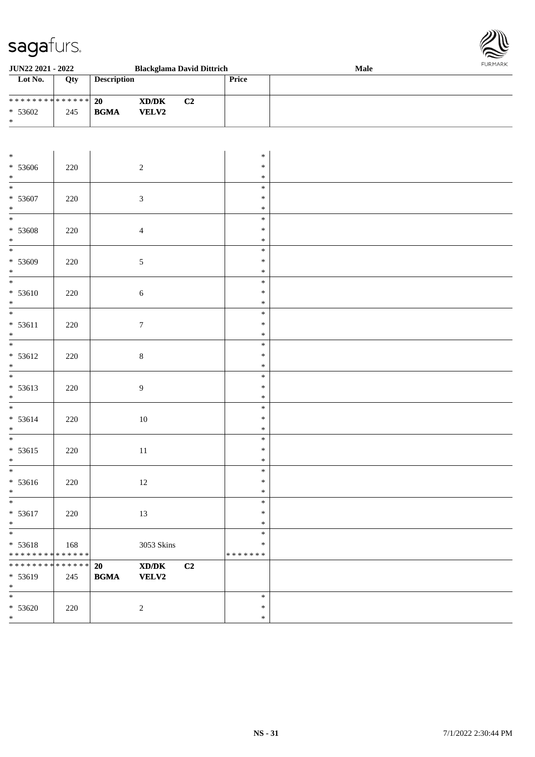

| JUN22 2021 - 2022                                                       |                    | <b>Blackglama David Dittrich</b>                 |                                                                                                                      |    |                                   | <b>Male</b> |  |  |  |
|-------------------------------------------------------------------------|--------------------|--------------------------------------------------|----------------------------------------------------------------------------------------------------------------------|----|-----------------------------------|-------------|--|--|--|
| Lot No.                                                                 | Qty                | <b>Description</b>                               |                                                                                                                      |    | Price                             |             |  |  |  |
| ******** <mark>******</mark><br>$* 53602$<br>$\ast$                     | 245                | 20<br>$\mathbf{B}\mathbf{G}\mathbf{M}\mathbf{A}$ | $\boldsymbol{\text{X}}\boldsymbol{\text{D}}\boldsymbol{/}\boldsymbol{\text{D}}\boldsymbol{\text{K}}$<br><b>VELV2</b> | C2 |                                   |             |  |  |  |
|                                                                         |                    |                                                  |                                                                                                                      |    |                                   |             |  |  |  |
| $\ast$<br>$* 53606$<br>$\ast$                                           | 220                |                                                  | $\sqrt{2}$                                                                                                           |    | $\ast$<br>$\ast$<br>$\ast$        |             |  |  |  |
| $\frac{1}{1}$<br>$* 53607$<br>$\ast$                                    | $220\,$            |                                                  | $\sqrt{3}$                                                                                                           |    | $\ast$<br>$\ast$<br>$\ast$        |             |  |  |  |
| $_{\ast}$<br>$* 53608$<br>$\ast$                                        | 220                |                                                  | $\overline{4}$                                                                                                       |    | $\ast$<br>$\ast$<br>$\ast$        |             |  |  |  |
| $\overline{\phantom{a}^*}$<br>* 53609<br>$\ast$                         | 220                |                                                  | $\sqrt{5}$                                                                                                           |    | $\ast$<br>$\ast$<br>$\ast$        |             |  |  |  |
| $\overline{\phantom{1}}$<br>$* 53610$<br>$\ast$                         | $220\,$            |                                                  | $\sqrt{6}$                                                                                                           |    | $\ast$<br>$\ast$<br>$\ast$        |             |  |  |  |
| $\overline{\phantom{a}^*}$<br>$* 53611$<br>$\ast$                       | $220\,$            |                                                  | $\boldsymbol{7}$                                                                                                     |    | $\ast$<br>$\ast$<br>$\ast$        |             |  |  |  |
| $\overline{\phantom{a}^*}$<br>$* 53612$<br>$\ast$                       | $220\,$            |                                                  | $\,8\,$                                                                                                              |    | $\ast$<br>$\ast$<br>$\ast$        |             |  |  |  |
| $_{\ast}^{-}$<br>$* 53613$<br>$\ast$                                    | $220\,$            |                                                  | $\boldsymbol{9}$                                                                                                     |    | $\ast$<br>$\ast$<br>$\ast$        |             |  |  |  |
| $\overline{\phantom{a}^*}$<br>* 53614<br>$\ast$                         | 220                |                                                  | $10\,$                                                                                                               |    | $\ast$<br>$\ast$<br>$\ast$        |             |  |  |  |
| $\ast$<br>$* 53615$<br>$\ast$                                           | $220\,$            |                                                  | $11\,$                                                                                                               |    | $\ast$<br>$\ast$<br>$\ast$        |             |  |  |  |
| $\ast$<br>$* 53616$<br>$\ast$                                           | $220\,$            |                                                  | $12\,$                                                                                                               |    | ∗<br>$\ast$<br>$\ast$             |             |  |  |  |
| $\overline{\ast}$<br>$* 53617$<br>$\ast$                                | 220                |                                                  | $13\,$                                                                                                               |    | $\ast$<br>$\ast$<br>$\ast$        |             |  |  |  |
| $\overline{\phantom{a}^*}$<br>$* 53618$<br>******** <mark>******</mark> | 168                |                                                  | 3053 Skins                                                                                                           |    | $\ast$<br>$\ast$<br>* * * * * * * |             |  |  |  |
| * * * * * * * *<br>* 53619<br>$\ast$                                    | * * * * * *<br>245 | 20<br>$\mathbf{B}\mathbf{G}\mathbf{M}\mathbf{A}$ | $\boldsymbol{\text{XD/DK}}$<br><b>VELV2</b>                                                                          | C2 |                                   |             |  |  |  |
| $\overline{\phantom{0}}$<br>$* 53620$<br>$\ast$                         | 220                |                                                  | $\sqrt{2}$                                                                                                           |    | $\ast$<br>$\ast$<br>$\ast$        |             |  |  |  |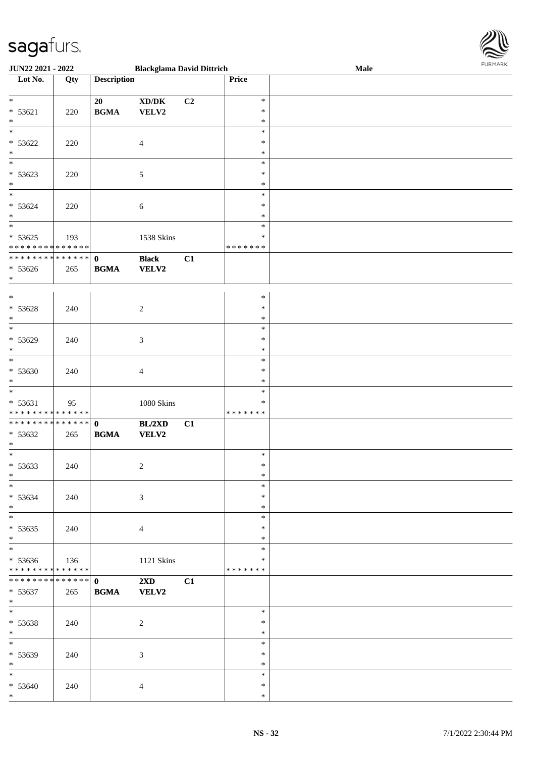

| JUN22 2021 - 2022             |                 |                    | <b>Blackglama David Dittrich</b>    |    |               | Male | 10111111111 |
|-------------------------------|-----------------|--------------------|-------------------------------------|----|---------------|------|-------------|
| Lot No.                       | Qty             | <b>Description</b> |                                     |    | Price         |      |             |
|                               |                 |                    |                                     |    |               |      |             |
| $*$                           |                 | 20                 | $\bold{X}\bold{D}/\bold{D}\bold{K}$ | C2 | $\ast$        |      |             |
| $* 53621$                     | 220             | <b>BGMA</b>        | VELV2                               |    | $\ast$        |      |             |
| $\ast$                        |                 |                    |                                     |    | $\ast$        |      |             |
| $\overline{\phantom{0}}$      |                 |                    |                                     |    | $\ast$        |      |             |
| $* 53622$                     | 220             |                    | $\overline{4}$                      |    | $\ast$        |      |             |
| $\ast$                        |                 |                    |                                     |    | $\ast$        |      |             |
|                               |                 |                    |                                     |    |               |      |             |
|                               |                 |                    |                                     |    | $\ast$        |      |             |
| $* 53623$                     | 220             |                    | $\sqrt{5}$                          |    | $\ast$        |      |             |
| $*$                           |                 |                    |                                     |    | $\ast$        |      |             |
|                               |                 |                    |                                     |    | $\ast$        |      |             |
| $* 53624$                     | 220             |                    | $\sqrt{6}$                          |    | $\ast$        |      |             |
| $*$                           |                 |                    |                                     |    | $\ast$        |      |             |
| $\overline{\phantom{0}}$      |                 |                    |                                     |    | $\ast$        |      |             |
| $* 53625$                     | 193             |                    | 1538 Skins                          |    | $\ast$        |      |             |
| * * * * * * * * * * * * * *   |                 |                    |                                     |    | * * * * * * * |      |             |
| ******** <mark>******</mark>  |                 | $\mathbf 0$        | <b>Black</b>                        | C1 |               |      |             |
| $* 53626$                     | 265             | <b>BGMA</b>        | <b>VELV2</b>                        |    |               |      |             |
| $*$                           |                 |                    |                                     |    |               |      |             |
|                               |                 |                    |                                     |    |               |      |             |
| $*$                           |                 |                    |                                     |    | $\ast$        |      |             |
| $* 53628$                     | 240             |                    | $\overline{2}$                      |    | $\ast$        |      |             |
| $\ast$                        |                 |                    |                                     |    | $\ast$        |      |             |
| $*$                           |                 |                    |                                     |    | $\ast$        |      |             |
|                               |                 |                    |                                     |    |               |      |             |
| $* 53629$                     | 240             |                    | $\mathfrak{Z}$                      |    | $\ast$        |      |             |
| $*$                           |                 |                    |                                     |    | $\ast$        |      |             |
| $*$                           |                 |                    |                                     |    | $\ast$        |      |             |
| * 53630                       | 240             |                    | $\overline{4}$                      |    | $\ast$        |      |             |
| $\ast$                        |                 |                    |                                     |    | $\ast$        |      |             |
| $*$                           |                 |                    |                                     |    | $\ast$        |      |             |
| $* 53631$                     | 95              |                    | $1080$ Skins                        |    | $\ast$        |      |             |
| * * * * * * * * * * * * * *   |                 |                    |                                     |    | * * * * * * * |      |             |
| * * * * * * * * * * * * * * * |                 | $\mathbf{0}$       | BL/2XD                              | C1 |               |      |             |
| $* 53632$                     | 265             | <b>BGMA</b>        | VELV2                               |    |               |      |             |
| $\ast$                        |                 |                    |                                     |    |               |      |             |
|                               |                 |                    |                                     |    | $\ast$        |      |             |
| * 53633                       | 240             |                    | $\overline{2}$                      |    | $\ast$        |      |             |
| $\ast$                        |                 |                    |                                     |    | $\ast$        |      |             |
| $*$                           |                 |                    |                                     |    | $\ast$        |      |             |
|                               |                 |                    |                                     |    | $\ast$        |      |             |
| $* 53634$                     | 240             |                    | $\sqrt{3}$                          |    |               |      |             |
| $\ast$                        |                 |                    |                                     |    | $\ast$        |      |             |
| $\ast$                        |                 |                    |                                     |    | $\ast$        |      |             |
| $* 53635$                     | 240             |                    | $\overline{4}$                      |    | $\ast$        |      |             |
| $*$                           |                 |                    |                                     |    | $\ast$        |      |             |
| $*$                           |                 |                    |                                     |    | $\ast$        |      |             |
| $* 53636$                     | 136             |                    | 1121 Skins                          |    | $\ast$        |      |             |
| * * * * * * * * * * * * * *   |                 |                    |                                     |    | *******       |      |             |
| * * * * * * * *               | $* * * * * * *$ | $\mathbf{0}$       | $2\mathbf{X}\mathbf{D}$             | C1 |               |      |             |
| $* 53637$                     | 265             | <b>BGMA</b>        | <b>VELV2</b>                        |    |               |      |             |
| $*$                           |                 |                    |                                     |    |               |      |             |
| $*$                           |                 |                    |                                     |    | $\ast$        |      |             |
| * 53638                       | 240             |                    | 2                                   |    | $\ast$        |      |             |
| $*$                           |                 |                    |                                     |    | $\ast$        |      |             |
|                               |                 |                    |                                     |    | $\ast$        |      |             |
|                               |                 |                    |                                     |    | $\ast$        |      |             |
| * 53639<br>$\ast$             | 240             |                    | $\mathfrak{Z}$                      |    | $\ast$        |      |             |
|                               |                 |                    |                                     |    |               |      |             |
| $\ast$                        |                 |                    |                                     |    | $\ast$        |      |             |
| $* 53640$                     | 240             |                    | $\overline{4}$                      |    | $\ast$        |      |             |
| $*$                           |                 |                    |                                     |    | $\ast$        |      |             |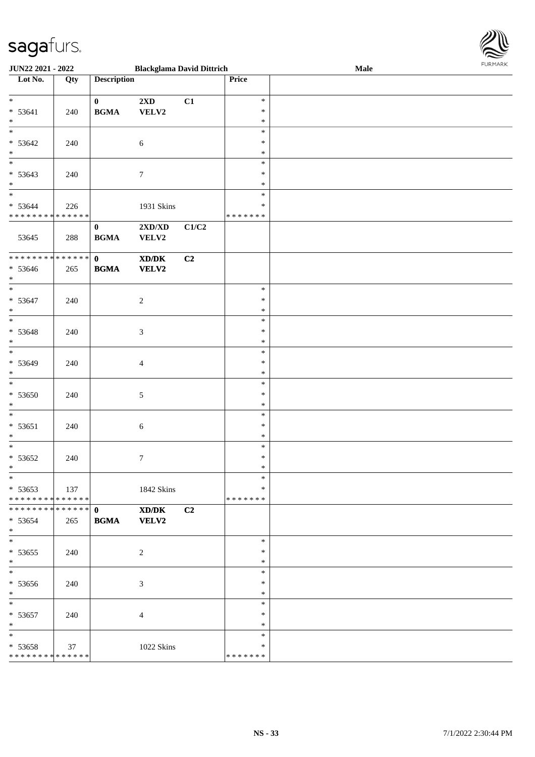

| JUN22 2021 - 2022                  |     | <b>Blackglama David Dittrich</b>           |                                                             |       |                  | Male | <b>FURPIARR</b> |
|------------------------------------|-----|--------------------------------------------|-------------------------------------------------------------|-------|------------------|------|-----------------|
| $\overline{\phantom{1}}$ Lot No.   | Qty | <b>Description</b>                         |                                                             |       | Price            |      |                 |
| $*$                                |     | $\mathbf{0}$                               | $2{\bf X}{\bf D}$                                           | C1    | $\ast$           |      |                 |
| $* 53641$                          | 240 | $\mathbf{B}\mathbf{G}\mathbf{M}\mathbf{A}$ | VELV2                                                       |       | $\ast$           |      |                 |
| $*$                                |     |                                            |                                                             |       | $\ast$           |      |                 |
| $\ast$                             |     |                                            |                                                             |       | $\ast$           |      |                 |
| $* 53642$                          | 240 |                                            | $\sqrt{6}$                                                  |       | $\ast$           |      |                 |
| $*$                                |     |                                            |                                                             |       | $\ast$           |      |                 |
| $\overline{\phantom{0}}$           |     |                                            |                                                             |       | $\ast$           |      |                 |
| $* 53643$                          | 240 |                                            | $\boldsymbol{7}$                                            |       | $\ast$           |      |                 |
| $\ast$                             |     |                                            |                                                             |       | $\ast$           |      |                 |
| $\overline{\phantom{0}}$           |     |                                            |                                                             |       | $\ast$           |      |                 |
| $* 53644$                          | 226 |                                            | 1931 Skins                                                  |       | $\ast$           |      |                 |
| * * * * * * * * * * * * * *        |     |                                            |                                                             |       | * * * * * * *    |      |                 |
|                                    |     | $\bf{0}$                                   | $2{\bf X}{\bf D}/{\bf X}{\bf D}$                            | C1/C2 |                  |      |                 |
| 53645                              | 288 | $\mathbf{B}\mathbf{G}\mathbf{M}\mathbf{A}$ | VELV2                                                       |       |                  |      |                 |
| ******** <mark>******</mark>       |     | $\mathbf{0}$                               | $\boldsymbol{\text{X} \text{D} \text{/} \text{D} \text{K}}$ | C2    |                  |      |                 |
| $* 53646$                          | 265 | $\mathbf{B}\mathbf{G}\mathbf{M}\mathbf{A}$ | VELV2                                                       |       |                  |      |                 |
| $*$                                |     |                                            |                                                             |       |                  |      |                 |
| $\overline{\phantom{0}}$           |     |                                            |                                                             |       | $\ast$           |      |                 |
| $* 53647$                          | 240 |                                            | $\boldsymbol{2}$                                            |       | $\ast$           |      |                 |
| $\ast$                             |     |                                            |                                                             |       | $\ast$           |      |                 |
| $\ast$                             |     |                                            |                                                             |       | $\ast$           |      |                 |
| $* 53648$                          | 240 |                                            | 3                                                           |       | $\ast$           |      |                 |
| $\ast$<br>$\overline{\phantom{0}}$ |     |                                            |                                                             |       | $\ast$           |      |                 |
|                                    |     |                                            |                                                             |       | $\ast$           |      |                 |
| * 53649                            | 240 |                                            | 4                                                           |       | $\ast$           |      |                 |
| $*$<br>$\overline{\phantom{0}}$    |     |                                            |                                                             |       | $\ast$           |      |                 |
|                                    |     |                                            |                                                             |       | $\ast$<br>$\ast$ |      |                 |
| * 53650<br>$\ast$                  | 240 |                                            | 5                                                           |       | $\ast$           |      |                 |
| $*$                                |     |                                            |                                                             |       | $\ast$           |      |                 |
| * 53651                            | 240 |                                            | 6                                                           |       | $\ast$           |      |                 |
| $\ast$                             |     |                                            |                                                             |       | $\ast$           |      |                 |
| $\overline{\phantom{0}}$           |     |                                            |                                                             |       | $\ast$           |      |                 |
| $* 53652$                          | 240 |                                            | 7                                                           |       | $\ast$           |      |                 |
| $*$                                |     |                                            |                                                             |       | $\ast$           |      |                 |
| $\ast$                             |     |                                            |                                                             |       | $\ast$           |      |                 |
| $* 53653$                          | 137 |                                            | 1842 Skins                                                  |       | $\ast$           |      |                 |
| * * * * * * * * * * * * * * *      |     |                                            |                                                             |       | *******          |      |                 |
| **************                     |     | $\mathbf{0}$                               | XD/DK                                                       | C2    |                  |      |                 |
| $* 53654$                          | 265 | <b>BGMA</b>                                | <b>VELV2</b>                                                |       |                  |      |                 |
| $*$<br>$*$                         |     |                                            |                                                             |       | $\ast$           |      |                 |
|                                    |     |                                            |                                                             |       | $\ast$           |      |                 |
| $* 53655$<br>$*$                   | 240 |                                            | 2                                                           |       | $\ast$           |      |                 |
| $\overline{\phantom{0}}$           |     |                                            |                                                             |       | $\ast$           |      |                 |
| * 53656                            | 240 |                                            | 3                                                           |       | $\ast$           |      |                 |
| $*$                                |     |                                            |                                                             |       | $\ast$           |      |                 |
| $*$                                |     |                                            |                                                             |       | $\ast$           |      |                 |
| * 53657                            | 240 |                                            | 4                                                           |       | $\ast$           |      |                 |
| $\ast$                             |     |                                            |                                                             |       | $\ast$           |      |                 |
| $\ast$                             |     |                                            |                                                             |       | $\ast$           |      |                 |
| * 53658                            | 37  |                                            | 1022 Skins                                                  |       | *                |      |                 |
| * * * * * * * * * * * * * *        |     |                                            |                                                             |       | * * * * * * *    |      |                 |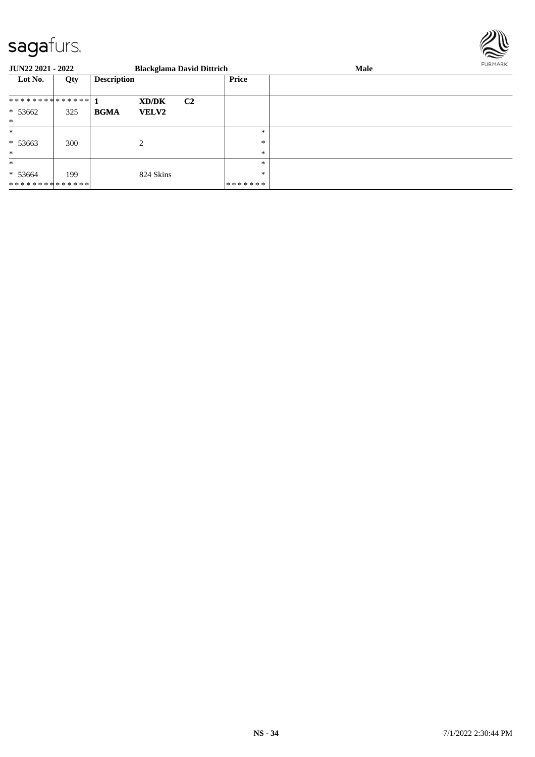

| <b>JUN22 2021 - 2022</b> |     |                    |                | <b>Blackglama David Dittrich</b> |         | Male |  |
|--------------------------|-----|--------------------|----------------|----------------------------------|---------|------|--|
| Lot No.                  | Qty | <b>Description</b> |                |                                  | Price   |      |  |
| ************** 1         |     |                    | XD/DK          | C <sub>2</sub>                   |         |      |  |
| $* 53662$                | 325 | <b>BGMA</b>        | <b>VELV2</b>   |                                  |         |      |  |
| $\ast$                   |     |                    |                |                                  |         |      |  |
| $\ast$                   |     |                    |                |                                  | $\ast$  |      |  |
| $* 53663$                | 300 |                    | $\overline{c}$ |                                  | *       |      |  |
| $\ast$                   |     |                    |                |                                  | *       |      |  |
| $\ast$                   |     |                    |                |                                  | *       |      |  |
| $* 53664$                | 199 |                    | 824 Skins      |                                  | *       |      |  |
| **************           |     |                    |                |                                  | ******* |      |  |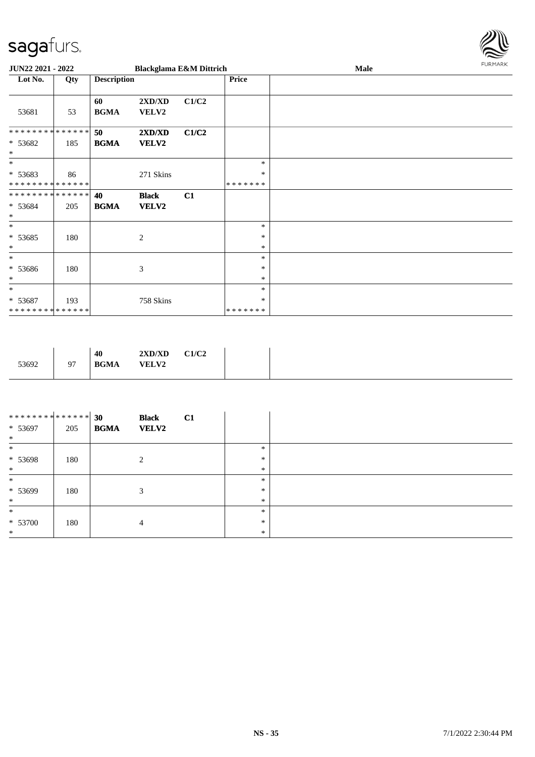

| JUN22 2021 - 2022                                |     |                    |                       | <b>Blackglama E&amp;M Dittrich</b> |                             | Male | <b>FURMARK</b> |
|--------------------------------------------------|-----|--------------------|-----------------------|------------------------------------|-----------------------------|------|----------------|
| Lot No.                                          | Qty | <b>Description</b> |                       |                                    | <b>Price</b>                |      |                |
| 53681                                            | 53  | 60<br><b>BGMA</b>  | 2XD/XD<br>VELV2       | C1/C2                              |                             |      |                |
| * * * * * * * * * * * * * *<br>* 53682<br>$\ast$ | 185 | 50<br><b>BGMA</b>  | 2XD/XD<br>VELV2       | C1/C2                              |                             |      |                |
| $\ast$<br>* 53683<br>* * * * * * * * * * * * * * | 86  |                    | 271 Skins             |                                    | $\ast$<br>$\ast$<br>******* |      |                |
| **************<br>* 53684<br>$\ast$              | 205 | 40<br><b>BGMA</b>  | <b>Black</b><br>VELV2 | C1                                 |                             |      |                |
| $\ast$<br>$* 53685$<br>$\ast$                    | 180 |                    | $\mathbf{2}$          |                                    | $\ast$<br>$\ast$<br>$\ast$  |      |                |
| $\ast$<br>$* 53686$<br>$\ast$                    | 180 |                    | 3                     |                                    | $\ast$<br>$\ast$<br>$\ast$  |      |                |
| $*$<br>$* 53687$<br>**************               | 193 |                    | 758 Skins             |                                    | $\ast$<br>∗<br>*******      |      |                |

| 53692 | 40<br><b>BGMA</b><br>Q <sub>7</sub><br>╯ | 2XD/XD<br><b>VELV2</b> | C1/C2 |
|-------|------------------------------------------|------------------------|-------|
|-------|------------------------------------------|------------------------|-------|

| ************** 30<br>* 53697<br>$\ast$ | 205 | <b>BGMA</b> | <b>Black</b><br><b>VELV2</b> | C1 |        |  |
|----------------------------------------|-----|-------------|------------------------------|----|--------|--|
| $\ast$                                 |     |             |                              |    | $\ast$ |  |
| $* 53698$                              | 180 |             | 2                            |    | $\ast$ |  |
| $*$                                    |     |             |                              |    | $\ast$ |  |
| $\ast$                                 |     |             |                              |    | $\ast$ |  |
| $* 53699$                              | 180 |             | 3                            |    | $\ast$ |  |
| $\ast$                                 |     |             |                              |    | $\ast$ |  |
| $\ast$                                 |     |             |                              |    | $\ast$ |  |
| $* 53700$                              | 180 |             | 4                            |    | $\ast$ |  |
| $\ast$                                 |     |             |                              |    | $\ast$ |  |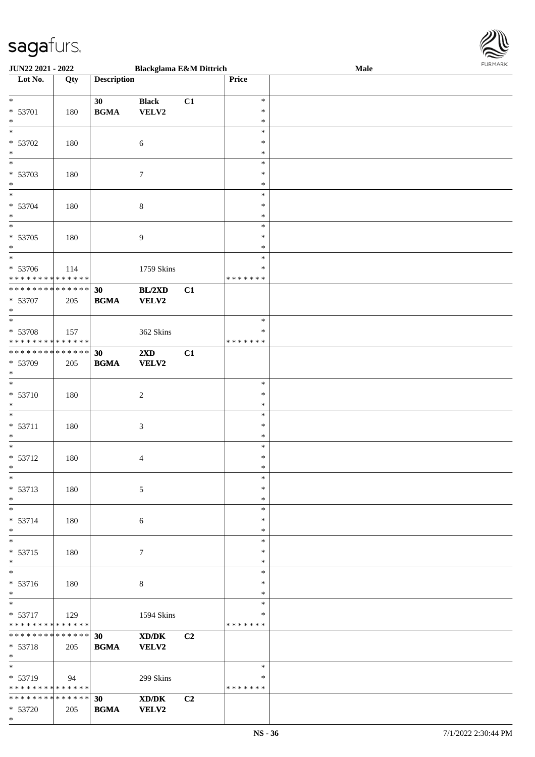

| <b>JUN22 2021 - 2022</b>                            |     |                    | <b>Blackglama E&amp;M Dittrich</b> |                |               | Male | . 0.13. 0.033 |
|-----------------------------------------------------|-----|--------------------|------------------------------------|----------------|---------------|------|---------------|
| Lot No.                                             | Qty | <b>Description</b> |                                    |                | Price         |      |               |
|                                                     |     |                    |                                    |                |               |      |               |
| $\ddot{x}$                                          |     | 30                 | <b>Black</b>                       | C1             | $\ast$        |      |               |
| * 53701                                             | 180 | <b>BGMA</b>        | VELV2                              |                | $\ast$        |      |               |
| $\ast$                                              |     |                    |                                    |                | $\ast$        |      |               |
| $\overline{\ }$                                     |     |                    |                                    |                | $\ast$        |      |               |
| * 53702                                             | 180 |                    | $\sqrt{6}$                         |                | $\ast$        |      |               |
|                                                     |     |                    |                                    |                |               |      |               |
| $\ast$                                              |     |                    |                                    |                | $\ast$        |      |               |
|                                                     |     |                    |                                    |                | $\ast$        |      |               |
| * 53703                                             | 180 |                    | 7                                  |                | $\ast$        |      |               |
| $*$                                                 |     |                    |                                    |                | $\ast$        |      |               |
| $*$                                                 |     |                    |                                    |                | $\ast$        |      |               |
| * 53704                                             | 180 |                    | $\,8\,$                            |                | $\ast$        |      |               |
| $*$                                                 |     |                    |                                    |                | $\ast$        |      |               |
|                                                     |     |                    |                                    |                | $\ast$        |      |               |
| * 53705                                             | 180 |                    | $\overline{9}$                     |                | $\ast$        |      |               |
| $*$                                                 |     |                    |                                    |                | $\ast$        |      |               |
| $\overline{\ast}$                                   |     |                    |                                    |                | $\ast$        |      |               |
|                                                     |     |                    |                                    |                |               |      |               |
| * 53706                                             | 114 |                    | 1759 Skins                         |                | $\ast$        |      |               |
| ******** <mark>******</mark>                        |     |                    |                                    |                | *******       |      |               |
| **************                                      |     | 30                 | BL/2XD                             | C1             |               |      |               |
| * 53707                                             | 205 | <b>BGMA</b>        | <b>VELV2</b>                       |                |               |      |               |
| $*$                                                 |     |                    |                                    |                |               |      |               |
|                                                     |     |                    |                                    |                | $\ast$        |      |               |
| * 53708                                             | 157 |                    | 362 Skins                          |                | $\ast$        |      |               |
| * * * * * * * * <mark>* * * * * * *</mark>          |     |                    |                                    |                | * * * * * * * |      |               |
| * * * * * * * * <mark>* * * * * * *</mark>          |     | 30                 | 2XD                                | C1             |               |      |               |
|                                                     |     |                    |                                    |                |               |      |               |
| * 53709                                             | 205 | <b>BGMA</b>        | <b>VELV2</b>                       |                |               |      |               |
| $\ast$<br>$\ast$                                    |     |                    |                                    |                |               |      |               |
|                                                     |     |                    |                                    |                | $\ast$        |      |               |
| * 53710                                             | 180 |                    | $\overline{c}$                     |                | $\ast$        |      |               |
| $\ast$                                              |     |                    |                                    |                | $\ast$        |      |               |
| $\ast$                                              |     |                    |                                    |                | $\ast$        |      |               |
| $* 53711$                                           | 180 |                    | $\mathfrak{Z}$                     |                | $\ast$        |      |               |
| $\ast$                                              |     |                    |                                    |                | $\ast$        |      |               |
| $*$                                                 |     |                    |                                    |                | $\ast$        |      |               |
| $* 53712$                                           | 180 |                    | $\overline{4}$                     |                | $\ast$        |      |               |
| $\ddot{x}$                                          |     |                    |                                    |                | $\ast$        |      |               |
| $\ast$                                              |     |                    |                                    |                |               |      |               |
|                                                     |     |                    |                                    |                | $\ast$        |      |               |
| $* 53713$                                           | 180 |                    | 5                                  |                | $\ast$        |      |               |
| $*$                                                 |     |                    |                                    |                | $\ast$        |      |               |
| $\ast$                                              |     |                    |                                    |                | $\ast$        |      |               |
| $* 53714$                                           | 180 |                    | 6                                  |                | $\ast$        |      |               |
| $\ast$                                              |     |                    |                                    |                | $\ast$        |      |               |
|                                                     |     |                    |                                    |                | $\ast$        |      |               |
| * 53715                                             | 180 |                    | $\tau$                             |                | $\ast$        |      |               |
| $*$                                                 |     |                    |                                    |                | $\ast$        |      |               |
| $\ast$                                              |     |                    |                                    |                | $\ast$        |      |               |
|                                                     |     |                    |                                    |                | $\ast$        |      |               |
| * 53716                                             | 180 |                    | 8                                  |                |               |      |               |
| $*$                                                 |     |                    |                                    |                | $\ast$        |      |               |
| $*$                                                 |     |                    |                                    |                | $\ast$        |      |               |
| $* 53717$                                           | 129 |                    | 1594 Skins                         |                | $\ast$        |      |               |
| * * * * * * * * <mark>* * * * * *</mark>            |     |                    |                                    |                | *******       |      |               |
| * * * * * * * * * * * * * * <mark>*</mark>          |     | 30 <sup>°</sup>    | XD/DK                              | C <sub>2</sub> |               |      |               |
| $* 53718$                                           | 205 | <b>BGMA</b>        | <b>VELV2</b>                       |                |               |      |               |
| $*$                                                 |     |                    |                                    |                |               |      |               |
|                                                     |     |                    |                                    |                | $\ast$        |      |               |
|                                                     |     |                    |                                    |                | ∗             |      |               |
| * 53719<br>* * * * * * * * <mark>* * * * * *</mark> | 94  |                    | 299 Skins                          |                |               |      |               |
|                                                     |     |                    |                                    |                | * * * * * * * |      |               |
| * * * * * * * * <mark>* * * * * * *</mark>          |     | 30                 | XD/DK                              | C <sub>2</sub> |               |      |               |
| * 53720                                             | 205 | <b>BGMA</b>        | <b>VELV2</b>                       |                |               |      |               |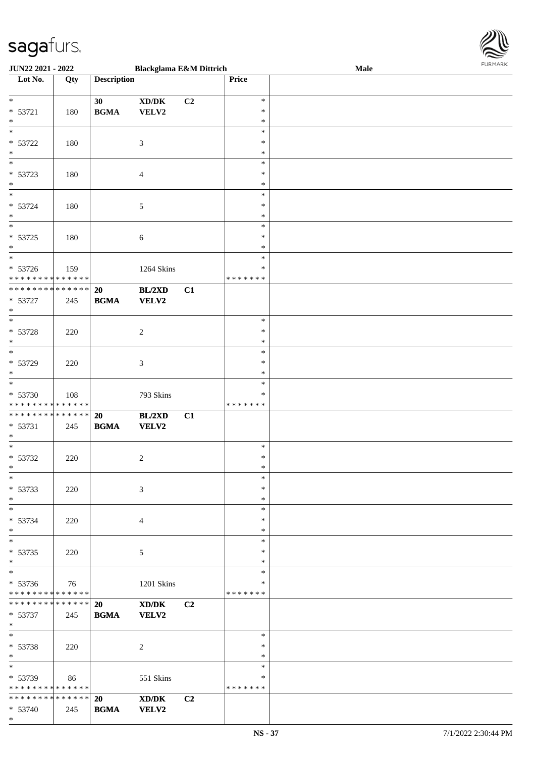

| <b>JUN22 2021 - 2022</b>                   |     |                                            | <b>Blackglama E&amp;M Dittrich</b>          |                |               | <b>Male</b> |
|--------------------------------------------|-----|--------------------------------------------|---------------------------------------------|----------------|---------------|-------------|
| Lot No.                                    | Qty | <b>Description</b>                         |                                             |                | <b>Price</b>  |             |
|                                            |     |                                            |                                             |                |               |             |
| $\ast$                                     |     | 30                                         | $\bold{X}\bold{D}/\bold{D}\bold{K}$         | C <sub>2</sub> | $\ast$        |             |
| * 53721                                    | 180 | $\mathbf{B}\mathbf{G}\mathbf{M}\mathbf{A}$ | VELV2                                       |                | $\ast$        |             |
| $\ast$                                     |     |                                            |                                             |                | $\ast$        |             |
| $\overline{\phantom{0}}$                   |     |                                            |                                             |                | $\ast$        |             |
| * 53722                                    |     |                                            |                                             |                | $\ast$        |             |
|                                            | 180 |                                            | $\mathfrak{Z}$                              |                |               |             |
| $*$<br>$\overline{\phantom{0}}$            |     |                                            |                                             |                | $\ast$        |             |
|                                            |     |                                            |                                             |                | $\ast$        |             |
| * 53723                                    | 180 |                                            | $\overline{4}$                              |                | $\ast$        |             |
| $*$                                        |     |                                            |                                             |                | $\ast$        |             |
| $*$                                        |     |                                            |                                             |                | $\ast$        |             |
| * 53724                                    | 180 |                                            | 5                                           |                | $\ast$        |             |
| $*$                                        |     |                                            |                                             |                | $\ast$        |             |
| $\overline{\ }$                            |     |                                            |                                             |                | $\ast$        |             |
| * 53725                                    | 180 |                                            | $\sqrt{6}$                                  |                | $\ast$        |             |
| $\ast$                                     |     |                                            |                                             |                | $\ast$        |             |
|                                            |     |                                            |                                             |                | $\ast$        |             |
| * 53726                                    | 159 |                                            | 1264 Skins                                  |                | $\ast$        |             |
| * * * * * * * * <mark>* * * * * * *</mark> |     |                                            |                                             |                | * * * * * * * |             |
| **************                             |     |                                            |                                             |                |               |             |
|                                            |     | 20                                         | BL/2XD                                      | C1             |               |             |
| $* 53727$                                  | 245 | <b>BGMA</b>                                | <b>VELV2</b>                                |                |               |             |
| $\ast$                                     |     |                                            |                                             |                |               |             |
| $\overline{\ast}$                          |     |                                            |                                             |                | $\ast$        |             |
| * 53728                                    | 220 |                                            | $\boldsymbol{2}$                            |                | $\ast$        |             |
| $\ast$                                     |     |                                            |                                             |                | $\ast$        |             |
| $\overline{\phantom{0}}$                   |     |                                            |                                             |                | $\ast$        |             |
| * 53729                                    | 220 |                                            | $\ensuremath{\mathfrak{Z}}$                 |                | $\ast$        |             |
| $*$                                        |     |                                            |                                             |                | $\ast$        |             |
| $\ast$                                     |     |                                            |                                             |                | $\ast$        |             |
| * 53730                                    | 108 |                                            | 793 Skins                                   |                | $\ast$        |             |
| * * * * * * * * * * * * * *                |     |                                            |                                             |                | * * * * * * * |             |
| * * * * * * * * * * * * * * *              |     |                                            |                                             |                |               |             |
|                                            |     | 20                                         | BL/2XD                                      | C1             |               |             |
| * 53731                                    | 245 | <b>BGMA</b>                                | <b>VELV2</b>                                |                |               |             |
| $\ast$                                     |     |                                            |                                             |                |               |             |
| $*$                                        |     |                                            |                                             |                | $\ast$        |             |
| $* 53732$                                  | 220 |                                            | $\boldsymbol{2}$                            |                | $\ast$        |             |
| $*$                                        |     |                                            |                                             |                | $*$           |             |
| $*$                                        |     |                                            |                                             |                | $\ast$        |             |
| * 53733                                    | 220 |                                            | 3                                           |                | $\ast$        |             |
| $*$                                        |     |                                            |                                             |                | $\ast$        |             |
| $*$                                        |     |                                            |                                             |                | $\ast$        |             |
| * 53734                                    | 220 |                                            | $\overline{4}$                              |                | $\ast$        |             |
| $*$                                        |     |                                            |                                             |                | $\ast$        |             |
| $*$                                        |     |                                            |                                             |                | $\ast$        |             |
|                                            |     |                                            |                                             |                | $\ast$        |             |
| $* 53735$                                  | 220 |                                            | 5                                           |                |               |             |
| $*$<br>$\overline{\ast}$                   |     |                                            |                                             |                | $\ast$        |             |
|                                            |     |                                            |                                             |                | $\ast$        |             |
| $* 53736$                                  | 76  |                                            | 1201 Skins                                  |                | ∗             |             |
| * * * * * * * * * * * * * *                |     |                                            |                                             |                | * * * * * * * |             |
| * * * * * * * * <mark>* * * * * *</mark>   |     | 20                                         | XD/DK                                       | C <sub>2</sub> |               |             |
| * 53737                                    | 245 | <b>BGMA</b>                                | <b>VELV2</b>                                |                |               |             |
| $*$                                        |     |                                            |                                             |                |               |             |
| $*$ $-$                                    |     |                                            |                                             |                | $\ast$        |             |
| * 53738                                    | 220 |                                            | $\overline{c}$                              |                | $\ast$        |             |
| $*$                                        |     |                                            |                                             |                | $\ast$        |             |
| $*$                                        |     |                                            |                                             |                | $\ast$        |             |
|                                            |     |                                            |                                             |                | ∗             |             |
| * 53739                                    | 86  |                                            | 551 Skins                                   |                |               |             |
| * * * * * * * * <mark>* * * * * *</mark>   |     |                                            |                                             |                | * * * * * * * |             |
| * * * * * * * * <mark>* * * * * *</mark> * |     | 20                                         | $\mathbf{X}\mathbf{D}/\mathbf{D}\mathbf{K}$ | C <sub>2</sub> |               |             |
| * 53740                                    | 245 | <b>BGMA</b>                                | <b>VELV2</b>                                |                |               |             |
| $\ast$                                     |     |                                            |                                             |                |               |             |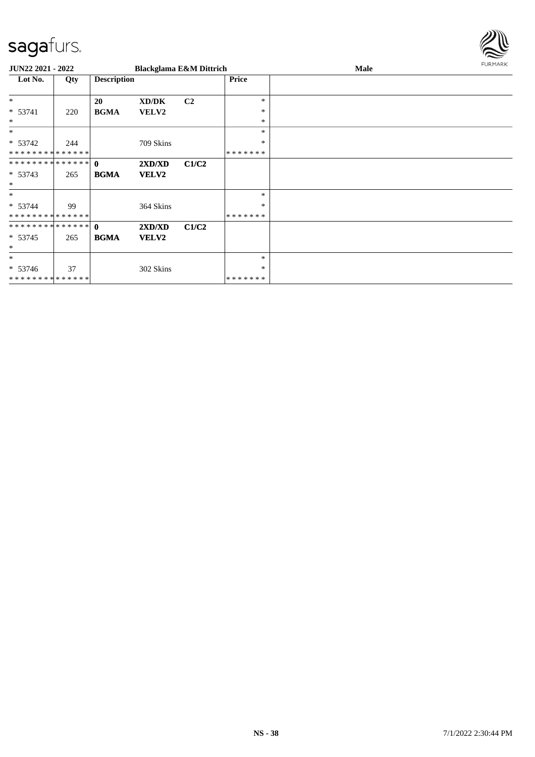

| <b>JUN22 2021 - 2022</b>      |     |                    | <b>Blackglama E&amp;M Dittrich</b> |                |              | Male | <b>FURMARK</b> |
|-------------------------------|-----|--------------------|------------------------------------|----------------|--------------|------|----------------|
| Lot No.                       | Qty | <b>Description</b> |                                    |                | <b>Price</b> |      |                |
| $\ast$                        |     | 20                 | XD/DK                              | C <sub>2</sub> | $\ast$       |      |                |
| $* 53741$                     | 220 | <b>BGMA</b>        | VELV2                              |                | ∗            |      |                |
| $\ast$                        |     |                    |                                    |                | ∗            |      |                |
| $*$                           |     |                    |                                    |                | $\ast$       |      |                |
| $* 53742$                     | 244 |                    | 709 Skins                          |                | $\ast$       |      |                |
| * * * * * * * * * * * * * *   |     |                    |                                    |                | *******      |      |                |
| * * * * * * * * * * * * * * * |     | $\mathbf{0}$       | 2XD/XD                             | C1/C2          |              |      |                |
| $* 53743$                     | 265 | <b>BGMA</b>        | <b>VELV2</b>                       |                |              |      |                |
| $\ast$                        |     |                    |                                    |                |              |      |                |
| $\ast$                        |     |                    |                                    |                | $\ast$       |      |                |
| $* 53744$                     | 99  |                    | 364 Skins                          |                | ∗            |      |                |
| * * * * * * * * * * * * * *   |     |                    |                                    |                | *******      |      |                |
| * * * * * * * * * * * * * * * |     | $\mathbf{0}$       | 2XD/XD                             | C1/C2          |              |      |                |
| $* 53745$                     | 265 | <b>BGMA</b>        | <b>VELV2</b>                       |                |              |      |                |
| $\ast$                        |     |                    |                                    |                |              |      |                |
| $\ast$                        |     |                    |                                    |                | $\ast$       |      |                |
| $* 53746$                     | 37  |                    | 302 Skins                          |                | $\ast$       |      |                |
| * * * * * * * * * * * * * *   |     |                    |                                    |                | *******      |      |                |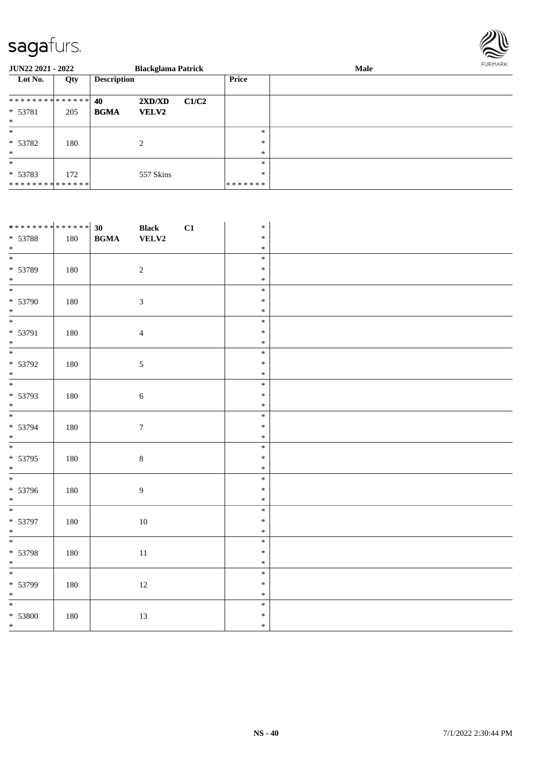

| <b>JUN22 2021 - 2022</b>    |     |                    | <b>Blackglama Patrick</b> |       |                   | FURMARK<br>Male |  |  |
|-----------------------------|-----|--------------------|---------------------------|-------|-------------------|-----------------|--|--|
| Lot No.                     | Qty | <b>Description</b> |                           |       | <b>Price</b>      |                 |  |  |
| ************** 40           |     |                    | 2XD/XD                    | C1/C2 |                   |                 |  |  |
| * 53781<br>$*$              | 205 | <b>BGMA</b>        | <b>VELV2</b>              |       |                   |                 |  |  |
| $\ast$                      |     |                    |                           |       | $\ast$            |                 |  |  |
| $* 53782$<br>$*$            | 180 |                    | 2                         |       | $\ast$<br>$\ast$  |                 |  |  |
| $\ast$                      |     |                    |                           |       | $\ast$            |                 |  |  |
| $* 53783$<br>************** | 172 |                    | 557 Skins                 |       | $\ast$<br>******* |                 |  |  |

| ************** 30          |     |                                            | <b>Black</b>     | C1 | $\ast$ |  |
|----------------------------|-----|--------------------------------------------|------------------|----|--------|--|
| * 53788                    | 180 | $\mathbf{B}\mathbf{G}\mathbf{M}\mathbf{A}$ | ${\bf VELV2}$    |    | $\ast$ |  |
| $*$                        |     |                                            |                  |    | $\ast$ |  |
| $\overline{\phantom{0}}$   |     |                                            |                  |    | $\ast$ |  |
| * 53789                    | 180 |                                            | $\sqrt{2}$       |    | $\ast$ |  |
| $*$                        |     |                                            |                  |    | $\ast$ |  |
| $\overline{\phantom{0}}$   |     |                                            |                  |    | $\ast$ |  |
| * 53790                    | 180 |                                            | 3                |    | $\ast$ |  |
| $\ast$                     |     |                                            |                  |    | $\ast$ |  |
| $*$                        |     |                                            |                  |    | $\ast$ |  |
| * 53791                    | 180 |                                            | $\overline{4}$   |    | $\ast$ |  |
| $*$                        |     |                                            |                  |    | $\ast$ |  |
| $\overline{\phantom{0}}$   |     |                                            |                  |    | $\ast$ |  |
| * 53792                    | 180 |                                            | $\mathfrak{S}$   |    | $\ast$ |  |
| $\ast$                     |     |                                            |                  |    | $\ast$ |  |
| $\overline{\phantom{0}}$   |     |                                            |                  |    | $\ast$ |  |
| * 53793                    | 180 |                                            | $\sqrt{6}$       |    | $\ast$ |  |
| $*$                        |     |                                            |                  |    | $\ast$ |  |
| $\overline{\phantom{0}}$   |     |                                            |                  |    | $\ast$ |  |
| * 53794                    | 180 |                                            | $\boldsymbol{7}$ |    | $\ast$ |  |
| $*$                        |     |                                            |                  |    | $\ast$ |  |
| $\overline{\phantom{0}}$   |     |                                            |                  |    | $\ast$ |  |
| $* 53795$                  | 180 |                                            | $8\,$            |    | $\ast$ |  |
| $\ast$                     |     |                                            |                  |    | $\ast$ |  |
| $\overline{\phantom{0}}$   |     |                                            |                  |    | $\ast$ |  |
| * 53796                    | 180 |                                            | $\overline{9}$   |    | $\ast$ |  |
| $*$                        |     |                                            |                  |    | $\ast$ |  |
| $\overline{\phantom{0}}$   |     |                                            |                  |    | $\ast$ |  |
| * 53797                    | 180 |                                            | $10\,$           |    | $\ast$ |  |
| $\ast$                     |     |                                            |                  |    | $\ast$ |  |
|                            |     |                                            |                  |    | $\ast$ |  |
| * 53798                    | 180 |                                            | $11\,$           |    | $\ast$ |  |
| $*$                        |     |                                            |                  |    | $\ast$ |  |
|                            |     |                                            |                  |    | $\ast$ |  |
| * 53799                    | 180 |                                            | $12\,$           |    | $\ast$ |  |
| $\ast$                     |     |                                            |                  |    | $\ast$ |  |
| $\overline{\phantom{a}^*}$ |     |                                            |                  |    | $\ast$ |  |
| $* 53800$                  | 180 |                                            | 13               |    | $\ast$ |  |
| $*$                        |     |                                            |                  |    | $\ast$ |  |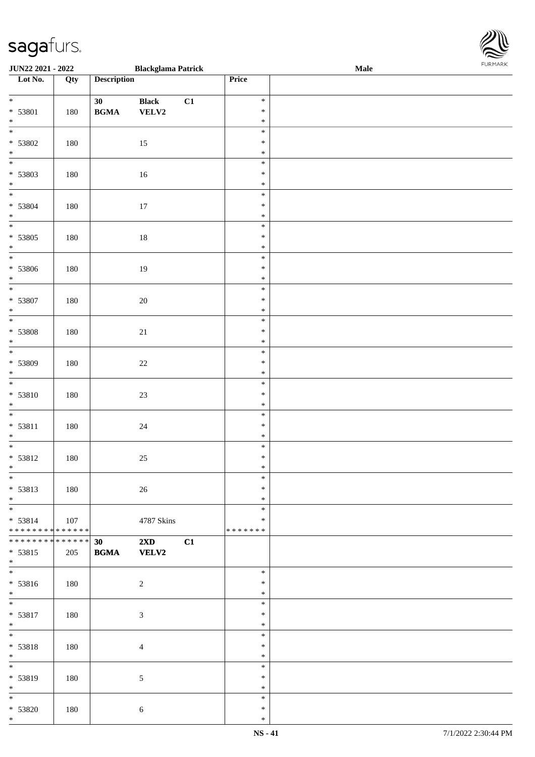| <b>JUN22 2021 - 2022</b>                   |     |                                            | <b>Blackglama Patrick</b> |    |               | Male |  |
|--------------------------------------------|-----|--------------------------------------------|---------------------------|----|---------------|------|--|
| Lot No.                                    | Qty | <b>Description</b>                         |                           |    | Price         |      |  |
|                                            |     |                                            |                           |    |               |      |  |
| $*$                                        |     | 30                                         | <b>Black</b>              | C1 | $\ast$        |      |  |
| * 53801                                    | 180 | $\mathbf{B}\mathbf{G}\mathbf{M}\mathbf{A}$ | <b>VELV2</b>              |    | $\ast$        |      |  |
| $*$                                        |     |                                            |                           |    | $\ast$        |      |  |
|                                            |     |                                            |                           |    | $\ast$        |      |  |
| * 53802                                    | 180 |                                            | 15                        |    | $\ast$        |      |  |
| $\ddot{x}$                                 |     |                                            |                           |    | $\ast$        |      |  |
|                                            |     |                                            |                           |    | $\ast$        |      |  |
|                                            |     |                                            |                           |    |               |      |  |
| * 53803                                    | 180 |                                            | 16                        |    | $\ast$        |      |  |
| $*$                                        |     |                                            |                           |    | $\ast$        |      |  |
| $\overline{\ast}$                          |     |                                            |                           |    | $\ast$        |      |  |
| * 53804                                    | 180 |                                            | 17                        |    | $\ast$        |      |  |
| $*$                                        |     |                                            |                           |    | $\ast$        |      |  |
| $\overline{\ast}$                          |     |                                            |                           |    | $\ast$        |      |  |
| * 53805                                    | 180 |                                            | 18                        |    | $\ast$        |      |  |
| $*$                                        |     |                                            |                           |    | $\ast$        |      |  |
| $\overline{\phantom{0}}$                   |     |                                            |                           |    | $\ast$        |      |  |
| * 53806                                    |     |                                            |                           |    | $\ast$        |      |  |
|                                            | 180 |                                            | 19                        |    |               |      |  |
| $*$<br>$\overline{\ast}$                   |     |                                            |                           |    | $\ast$        |      |  |
|                                            |     |                                            |                           |    | $\ast$        |      |  |
| * 53807                                    | 180 |                                            | $20\,$                    |    | $\ast$        |      |  |
| $*$                                        |     |                                            |                           |    | $\ast$        |      |  |
|                                            |     |                                            |                           |    | $\ast$        |      |  |
| * 53808                                    | 180 |                                            | 21                        |    | $\ast$        |      |  |
| $*$                                        |     |                                            |                           |    | $\ast$        |      |  |
|                                            |     |                                            |                           |    | $\ast$        |      |  |
| * 53809                                    | 180 |                                            | $22\,$                    |    | $\ast$        |      |  |
| $\ast$                                     |     |                                            |                           |    | $\ast$        |      |  |
| $*$                                        |     |                                            |                           |    | $\ast$        |      |  |
|                                            |     |                                            |                           |    |               |      |  |
| $* 53810$                                  | 180 |                                            | 23                        |    | $\ast$        |      |  |
| $*$                                        |     |                                            |                           |    | $\ast$        |      |  |
| $\overline{\ast}$                          |     |                                            |                           |    | $\ast$        |      |  |
| $* 53811$                                  | 180 |                                            | $24\,$                    |    | $\ast$        |      |  |
| $*$                                        |     |                                            |                           |    | $\ast$        |      |  |
| $\overline{\phantom{0}}$                   |     |                                            |                           |    | $\ast$        |      |  |
| * 53812                                    | 180 |                                            | $25\,$                    |    | $\ast$        |      |  |
| $\ast$                                     |     |                                            |                           |    | $\ast$        |      |  |
| $\overline{\ast}$                          |     |                                            |                           |    | $\ast$        |      |  |
| $* 53813$                                  | 180 |                                            | 26                        |    | $\ast$        |      |  |
| $*$                                        |     |                                            |                           |    | $\ast$        |      |  |
|                                            |     |                                            |                           |    | $\ast$        |      |  |
|                                            |     |                                            |                           |    | $\ast$        |      |  |
| $* 53814$                                  | 107 |                                            | 4787 Skins                |    |               |      |  |
| * * * * * * * * <mark>* * * * * * *</mark> |     |                                            |                           |    | * * * * * * * |      |  |
| * * * * * * * * <mark>* * * * * * *</mark> |     | 30                                         | $2\mathbf{X}\mathbf{D}$   | C1 |               |      |  |
| * 53815                                    | 205 | <b>BGMA</b>                                | <b>VELV2</b>              |    |               |      |  |
| $*$                                        |     |                                            |                           |    |               |      |  |
| $\overline{\mathbf{r}}$                    |     |                                            |                           |    | $\ast$        |      |  |
| $* 53816$                                  | 180 |                                            | $\overline{c}$            |    | $\ast$        |      |  |
| $*$                                        |     |                                            |                           |    | $\ast$        |      |  |
| $\overline{\ast}$                          |     |                                            |                           |    | $\ast$        |      |  |
| * 53817                                    | 180 |                                            | $\sqrt{3}$                |    | $\ast$        |      |  |
| $*$                                        |     |                                            |                           |    | $\ast$        |      |  |
| $\ddot{x}$                                 |     |                                            |                           |    | $\ast$        |      |  |
|                                            |     |                                            |                           |    |               |      |  |
| * 53818                                    | 180 |                                            | $\overline{4}$            |    | $\ast$        |      |  |
| $*$                                        |     |                                            |                           |    | $\ast$        |      |  |
|                                            |     |                                            |                           |    | $\ast$        |      |  |
| * 53819                                    | 180 |                                            | $\mathfrak{S}$            |    | $\ast$        |      |  |
| $*$                                        |     |                                            |                           |    | $\ast$        |      |  |
| $\overline{\mathbf{r}}$                    |     |                                            |                           |    | $\ast$        |      |  |
| $* 53820$                                  | 180 |                                            | 6                         |    | $\ast$        |      |  |

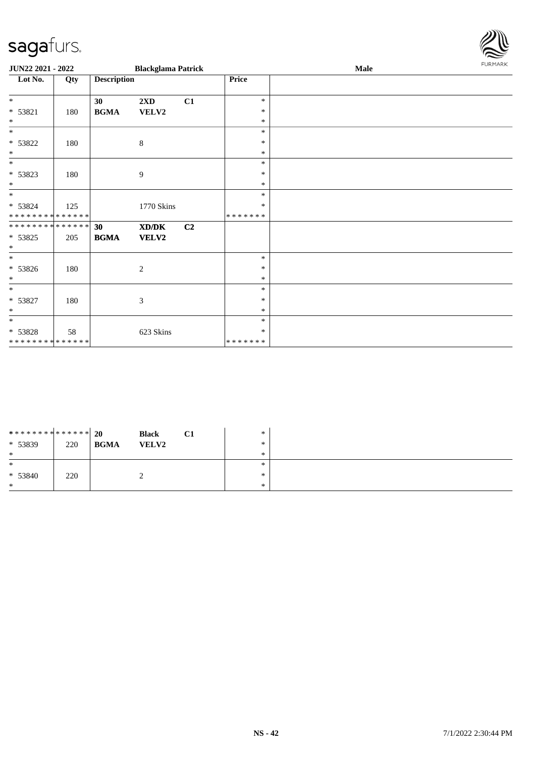\* 53821 | 180

\* \* \* \* \* \* \* \* \* \* \* \* \* \*

\* \* \* \* \* \* \* \* \* \* \* \* \* \* \* 53825 205

\* \* \* \* \* \* \* \* \* \* \* \* \* \*

\* 53822 180 8

\* 53823 180 9

\* 53826 180 2

\* 53827 180 3

\*

\*

\*

\*

\*

\*

\*

\* \*

\*

\*

\*

\* \* 53828

\* 53824

**JUN22 2021 - 2022 Blackglama Patrick** 

**Lot No. Qty Description Price**

**BGMA VELV2**

125 1770 Skins

58 623 Skins

**30 2XD C1**

**30 XD/DK C2 BGMA VELV2**

|        |      | $\boldsymbol{\mathsf{r}}$ |
|--------|------|---------------------------|
|        | Male | <b>FURMARK</b>            |
|        |      |                           |
| $\ast$ |      |                           |
| $\ast$ |      |                           |
| $\ast$ |      |                           |
| $\ast$ |      |                           |
| $\ast$ |      |                           |
| $\ast$ |      |                           |
| $\ast$ |      |                           |
| $\ast$ |      |                           |

|            |                                  |                              | $\ast$    |                            |  |
|------------|----------------------------------|------------------------------|-----------|----------------------------|--|
|            |                                  |                              | $*$       |                            |  |
|            |                                  |                              | $\ast$    |                            |  |
|            |                                  |                              |           |                            |  |
| 220<br>220 | ************** 20<br><b>BGMA</b> | <b>Black</b><br><b>VELV2</b> | <b>C1</b> | $\ast$<br>$\ast$<br>$\ast$ |  |

\*

\* \*

\* \* \*

\* \* \*

\* \*

\* \* \* \* \* \* \*

\* \* \* \* \* \* \*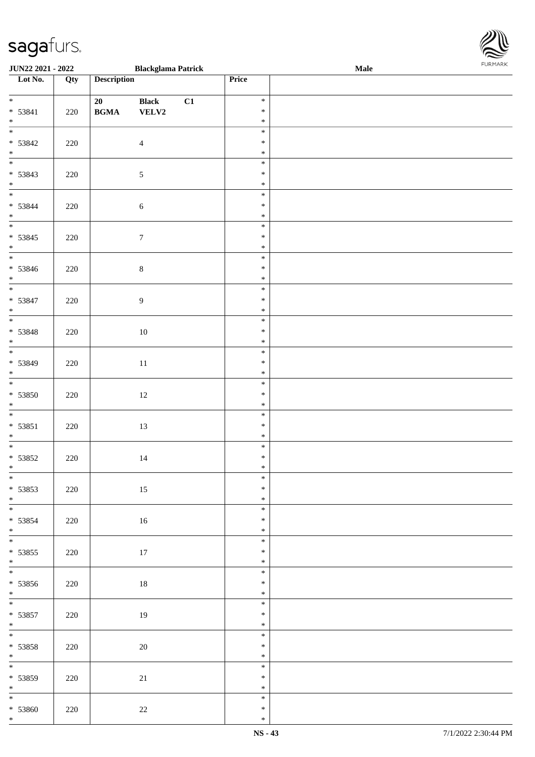| <b>JUN22 2021 - 2022</b>                     |     |                                                  | <b>Blackglama Patrick</b>     |    |                            | <b>Male</b> |  |
|----------------------------------------------|-----|--------------------------------------------------|-------------------------------|----|----------------------------|-------------|--|
| Lot No.                                      | Qty | <b>Description</b>                               |                               |    | Price                      |             |  |
| $*$<br>$* 53841$                             | 220 | 20<br>$\mathbf{B}\mathbf{G}\mathbf{M}\mathbf{A}$ | <b>Black</b><br>${\bf VELV2}$ | C1 | $\ast$<br>$\ast$           |             |  |
| $*$<br>$\overline{\mathbf{r}}$               |     |                                                  |                               |    | $\ast$                     |             |  |
| $* 53842$<br>$*$                             | 220 |                                                  | $\overline{4}$                |    | $\ast$<br>$\ast$<br>$\ast$ |             |  |
| $* 53843$<br>$*$                             | 220 |                                                  | $\sqrt{5}$                    |    | $\ast$<br>$\ast$<br>$\ast$ |             |  |
| $*$<br>$* 53844$<br>$*$                      | 220 |                                                  | $\sqrt{6}$                    |    | $\ast$<br>$\ast$<br>$\ast$ |             |  |
| $* 53845$<br>$*$                             | 220 |                                                  | $\boldsymbol{7}$              |    | $\ast$<br>$\ast$<br>$\ast$ |             |  |
| $* 53846$<br>$*$                             | 220 |                                                  | $\,8\,$                       |    | $\ast$<br>$\ast$<br>$\ast$ |             |  |
| $\overline{\phantom{0}}$<br>$* 53847$<br>$*$ | 220 |                                                  | 9                             |    | $\ast$<br>$\ast$<br>$\ast$ |             |  |
| $* 53848$<br>$*$                             | 220 |                                                  | 10                            |    | $\ast$<br>$\ast$<br>$\ast$ |             |  |
| * 53849<br>$\ast$                            | 220 |                                                  | $11\,$                        |    | $\ast$<br>$\ast$<br>$\ast$ |             |  |
| $\overline{\ast}$<br>* 53850<br>$*$          | 220 |                                                  | 12                            |    | $\ast$<br>$\ast$<br>$\ast$ |             |  |
| $\overline{\ast}$<br>$* 53851$<br>$*$        | 220 |                                                  | 13                            |    | $\ast$<br>$\ast$<br>$\ast$ |             |  |
| * 53852<br>$*$                               | 220 |                                                  | 14                            |    | $\ast$<br>$\ast$<br>$\ast$ |             |  |
| $\overline{\ast}$<br>* 53853<br>$*$          | 220 |                                                  | 15                            |    | $\ast$<br>$\ast$<br>$\ast$ |             |  |
| $\overline{\mathbf{r}}$<br>* 53854<br>$*$    | 220 |                                                  | 16                            |    | $\ast$<br>$\ast$<br>$\ast$ |             |  |
| $*$<br>* 53855<br>$*$                        | 220 |                                                  | 17                            |    | $\ast$<br>$\ast$<br>$\ast$ |             |  |
| $\overline{\mathbf{r}}$<br>* 53856<br>$*$    | 220 |                                                  | 18                            |    | $\ast$<br>$\ast$<br>$\ast$ |             |  |
| $\ddot{x}$<br>* 53857<br>$*$                 | 220 |                                                  | 19                            |    | $\ast$<br>$\ast$<br>$\ast$ |             |  |
| $*$<br>$* 53858$<br>* $*$                    | 220 |                                                  | 20                            |    | $\ast$<br>$\ast$<br>$\ast$ |             |  |
| * 53859<br>$*$                               | 220 |                                                  | 21                            |    | $\ast$<br>$\ast$<br>$\ast$ |             |  |
| * 53860                                      | 220 |                                                  | 22                            |    | $\ast$<br>$\ast$           |             |  |

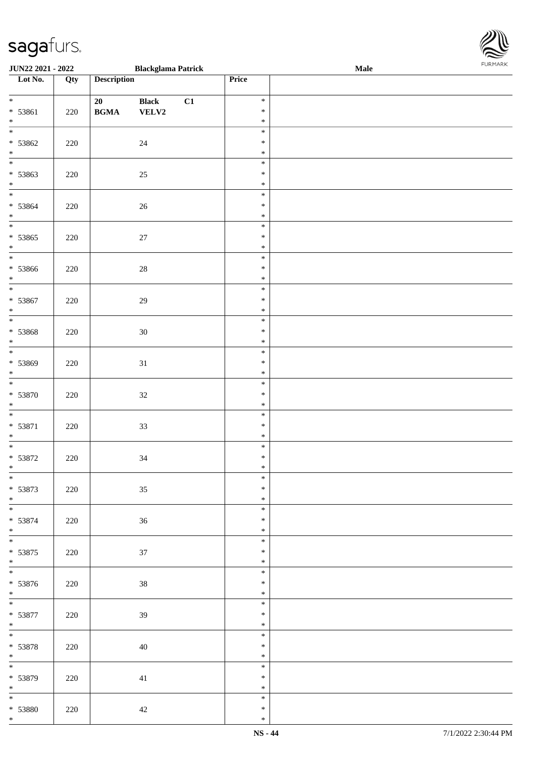| <b>JUN22 2021 - 2022</b>                      |     |                                                  | <b>Blackglama Patrick</b> |    |                            | <b>Male</b> | . |
|-----------------------------------------------|-----|--------------------------------------------------|---------------------------|----|----------------------------|-------------|---|
| Lot No.                                       | Qty | <b>Description</b>                               |                           |    | <b>Price</b>               |             |   |
| $*$<br>* 53861<br>$*$                         | 220 | 20<br>$\mathbf{B}\mathbf{G}\mathbf{M}\mathbf{A}$ | <b>Black</b><br>VELV2     | C1 | $\ast$<br>$\ast$<br>$\ast$ |             |   |
| $* 53862$<br>$\ddot{x}$                       | 220 |                                                  | 24                        |    | $\ast$<br>$\ast$<br>$\ast$ |             |   |
| * 53863<br>$*$                                | 220 |                                                  | 25                        |    | $\ast$<br>$\ast$<br>$\ast$ |             |   |
| $\ddot{x}$<br>* 53864<br>$*$                  | 220 |                                                  | 26                        |    | $\ast$<br>$\ast$<br>$\ast$ |             |   |
| $\overline{\ast}$<br>* 53865<br>$*$           | 220 |                                                  | 27                        |    | $\ast$<br>$\ast$<br>$\ast$ |             |   |
| $\overline{\ }$<br>* 53866<br>$*$             | 220 |                                                  | $28\,$                    |    | $\ast$<br>$\ast$<br>$\ast$ |             |   |
| $\overline{\ast}$<br>* 53867<br>$*$           | 220 |                                                  | 29                        |    | $\ast$<br>$\ast$<br>$\ast$ |             |   |
| * 53868<br>$*$                                | 220 |                                                  | $30\,$                    |    | $\ast$<br>$\ast$<br>$\ast$ |             |   |
| $\overline{\phantom{0}}$<br>* 53869<br>$\ast$ | 220 |                                                  | 31                        |    | $\ast$<br>$\ast$<br>$\ast$ |             |   |
| $*$<br>$* 53870$<br>$*$                       | 220 |                                                  | $32\,$                    |    | $\ast$<br>$\ast$<br>$\ast$ |             |   |
| $\overline{\ast}$<br>$* 53871$<br>$*$         | 220 |                                                  | $33\,$                    |    | $\ast$<br>$\ast$<br>$\ast$ |             |   |
| * 53872<br>$\ast$                             | 220 |                                                  | 34                        |    | $\ast$<br>$\ast$<br>$\ast$ |             |   |
| $\overline{\ast}$<br>* 53873<br>$*$           | 220 |                                                  | $35\,$                    |    | $\ast$<br>$\ast$<br>$\ast$ |             |   |
| $* 53874$<br>$*$                              | 220 |                                                  | 36                        |    | $\ast$<br>$\ast$<br>$\ast$ |             |   |
| $\ddot{x}$<br>$* 53875$<br>$*$                | 220 |                                                  | 37                        |    | $\ast$<br>$\ast$<br>$\ast$ |             |   |
| $\ddot{x}$<br>* 53876<br>$*$                  | 220 |                                                  | 38                        |    | $\ast$<br>$\ast$<br>$\ast$ |             |   |
| $*$<br>* 53877<br>$*$                         | 220 |                                                  | 39                        |    | $\ast$<br>$\ast$<br>$\ast$ |             |   |
| $*$<br>* 53878<br>$*$                         | 220 |                                                  | 40                        |    | $\ast$<br>$\ast$<br>$\ast$ |             |   |
| $\overline{\mathbf{r}}$<br>* 53879<br>$*$     | 220 |                                                  | 41                        |    | $\ast$<br>$\ast$<br>$\ast$ |             |   |
| $*$<br>* 53880<br>$*$                         | 220 |                                                  | 42                        |    | $\ast$<br>$\ast$<br>$\ast$ |             |   |

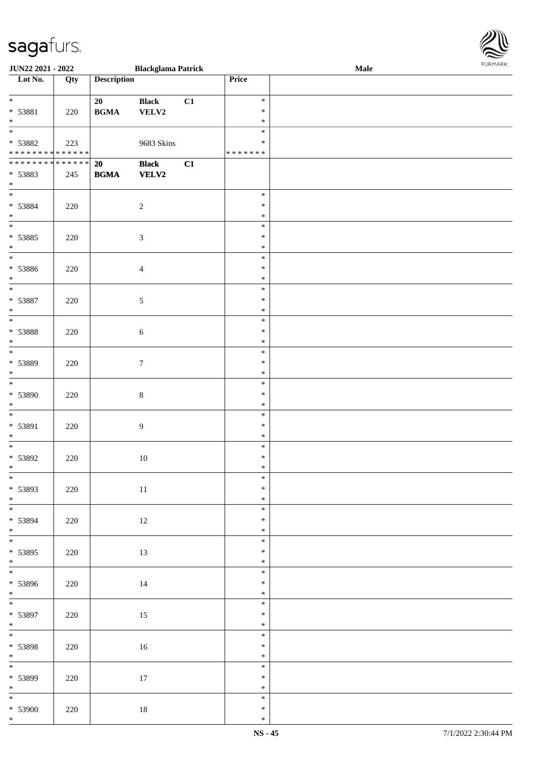| <b>JUN22 2021 - 2022</b>                   |     |                    | <b>Blackglama Patrick</b> |    |               | Male |  |
|--------------------------------------------|-----|--------------------|---------------------------|----|---------------|------|--|
| Lot No.                                    | Qty | <b>Description</b> |                           |    | Price         |      |  |
|                                            |     |                    |                           |    |               |      |  |
| $*$                                        |     | 20                 | <b>Black</b>              | C1 | $\ast$        |      |  |
| * 53881                                    | 220 | <b>BGMA</b>        | VELV2                     |    | $\ast$        |      |  |
| $\ast$                                     |     |                    |                           |    | $\ast$        |      |  |
|                                            |     |                    |                           |    | $\ast$        |      |  |
| * 53882                                    | 223 |                    | 9683 Skins                |    | ∗             |      |  |
| * * * * * * * * <mark>* * * * * * *</mark> |     |                    |                           |    | * * * * * * * |      |  |
|                                            |     | 20                 | <b>Black</b>              | C1 |               |      |  |
| * 53883                                    | 245 | <b>BGMA</b>        | <b>VELV2</b>              |    |               |      |  |
| $\ast$                                     |     |                    |                           |    |               |      |  |
| $\overline{\phantom{0}}$                   |     |                    |                           |    | $\ast$        |      |  |
| * 53884                                    | 220 |                    | $\sqrt{2}$                |    | $\ast$        |      |  |
| $*$                                        |     |                    |                           |    | $\ast$        |      |  |
| $\overline{\ast}$                          |     |                    |                           |    | $\ast$        |      |  |
| * 53885                                    | 220 |                    | $\sqrt{3}$                |    | $\ast$        |      |  |
| $*$                                        |     |                    |                           |    | $\ast$        |      |  |
|                                            |     |                    |                           |    | $\ast$        |      |  |
| * 53886                                    | 220 |                    | $\overline{4}$            |    | $\ast$        |      |  |
| $\ast$                                     |     |                    |                           |    | $\ast$        |      |  |
| $\overline{\ast}$                          |     |                    |                           |    | $\ast$        |      |  |
| * 53887                                    | 220 |                    | 5                         |    | $\ast$        |      |  |
| $\ast$                                     |     |                    |                           |    | $\ast$        |      |  |
| $\overline{\ast}$                          |     |                    |                           |    | $\ast$        |      |  |
| * 53888                                    | 220 |                    | $\sqrt{6}$                |    | $\ast$        |      |  |
| $\ast$                                     |     |                    |                           |    | $\ast$        |      |  |
| $\overline{\phantom{0}}$                   |     |                    |                           |    | $\ast$        |      |  |
| * 53889                                    | 220 |                    | $\boldsymbol{7}$          |    | $\ast$        |      |  |
| $\ast$                                     |     |                    |                           |    | $\ast$        |      |  |
| $*$                                        |     |                    |                           |    | $\ast$        |      |  |
| * 53890                                    | 220 |                    | $8\,$                     |    | $\ast$        |      |  |
| $*$                                        |     |                    |                           |    | $\ast$        |      |  |
| $\ddot{x}$                                 |     |                    |                           |    | $\ast$        |      |  |
| * 53891                                    | 220 |                    | $\overline{9}$            |    | $\ast$        |      |  |
| $\ast$                                     |     |                    |                           |    | $\ast$        |      |  |
| $*$                                        |     |                    |                           |    | $\ast$        |      |  |
| * 53892                                    | 220 |                    | $10\,$                    |    | $\ast$        |      |  |
| $\ast$                                     |     |                    |                           |    | $\ast$        |      |  |
| $\overline{\ast}$                          |     |                    |                           |    | $\ast$        |      |  |
| * 53893                                    | 220 |                    | $11\,$                    |    | $\ast$        |      |  |
| $*$                                        |     |                    |                           |    | $\ast$        |      |  |
| $\overline{\ast}$                          |     |                    |                           |    | $\ast$        |      |  |
| * 53894                                    | 220 |                    | 12                        |    | $\ast$        |      |  |
| $*$                                        |     |                    |                           |    | $\ast$        |      |  |
| $*$                                        |     |                    |                           |    | $\ast$        |      |  |
| * 53895                                    | 220 |                    | 13                        |    | $\ast$        |      |  |
| $*$                                        |     |                    |                           |    | $\ast$        |      |  |
| $\overline{\mathbf{r}}$                    |     |                    |                           |    | $\ast$        |      |  |
| * 53896                                    | 220 |                    | 14                        |    | $\ast$        |      |  |
| $*$                                        |     |                    |                           |    | $\ast$        |      |  |
| $*$                                        |     |                    |                           |    | $\ast$        |      |  |
| * 53897                                    | 220 |                    | 15                        |    | $\ast$        |      |  |
| $*$                                        |     |                    |                           |    | $\ast$        |      |  |
| $\ddot{x}$                                 |     |                    |                           |    | $\ast$        |      |  |
| * 53898                                    | 220 |                    | 16                        |    | $\ast$        |      |  |
| * $*$                                      |     |                    |                           |    | $\ast$        |      |  |
|                                            |     |                    |                           |    | $\ast$        |      |  |
| * 53899                                    | 220 |                    | 17                        |    | $\ast$        |      |  |
| $*$                                        |     |                    |                           |    | $\ast$        |      |  |
| $\overline{\mathbf{r}}$                    |     |                    |                           |    | $\ast$        |      |  |
| $* 53900$                                  | 220 |                    | 18                        |    | $\ast$        |      |  |

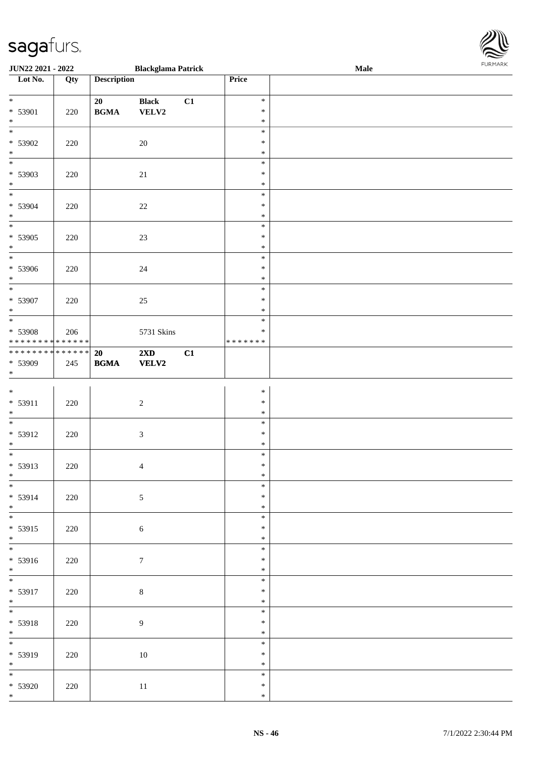| JUN22 2021 - 2022                                                           |     |                                                  | <b>Blackglama Patrick</b>        |    |                                   | <b>Male</b> | . |
|-----------------------------------------------------------------------------|-----|--------------------------------------------------|----------------------------------|----|-----------------------------------|-------------|---|
| Lot No.                                                                     | Qty | <b>Description</b>                               |                                  |    | Price                             |             |   |
| $\overline{\ast}$<br>* 53901<br>$\ast$                                      | 220 | 20<br>$\mathbf{B}\mathbf{G}\mathbf{M}\mathbf{A}$ | <b>Black</b><br>${\bf VELV2}$    | C1 | $\ast$<br>$\ast$<br>$\ast$        |             |   |
| $\overline{\phantom{a}^*}$<br>$* 53902$<br>$\ast$                           | 220 |                                                  | 20                               |    | $\ast$<br>$\ast$<br>$\ast$        |             |   |
| $\overline{\phantom{0}}$<br>* 53903<br>$\ast$                               | 220 |                                                  | 21                               |    | $\ast$<br>$\ast$<br>$\ast$        |             |   |
| $\overline{\phantom{0}}$<br>$* 53904$<br>$\ast$<br>$\overline{\phantom{0}}$ | 220 |                                                  | $22\,$                           |    | $\ast$<br>$\ast$<br>$\ast$        |             |   |
| $* 53905$<br>$\ast$<br>$\overline{\phantom{0}}$                             | 220 |                                                  | $23\,$                           |    | $\ast$<br>$\ast$<br>$\ast$        |             |   |
| $* 53906$<br>$\ast$<br>$\overline{\phantom{a}^*}$                           | 220 |                                                  | 24                               |    | $\ast$<br>$\ast$<br>$\ast$        |             |   |
| $* 53907$<br>$\ast$                                                         | 220 |                                                  | $25\,$                           |    | $\ast$<br>$\ast$<br>$\ast$        |             |   |
| $\overline{\phantom{0}}$<br>* 53908<br>******** <mark>******</mark>         | 206 |                                                  | 5731 Skins                       |    | $\ast$<br>$\ast$<br>* * * * * * * |             |   |
| ******** <mark>******</mark><br>* 53909<br>$\ast$                           | 245 | 20<br>$\mathbf{B}\mathbf{G}\mathbf{M}\mathbf{A}$ | $2\mathbf{X}\mathbf{D}$<br>VELV2 | C1 |                                   |             |   |
| $\ast$<br>$* 53911$<br>$\ast$                                               | 220 |                                                  | $\sqrt{2}$                       |    | $\ast$<br>$\ast$<br>$\ast$        |             |   |
| $\overline{\phantom{0}}$<br>* 53912<br>$\ast$                               | 220 |                                                  | $\sqrt{3}$                       |    | $\ast$<br>$\ast$<br>$\ast$        |             |   |
| $\overline{\phantom{0}}$<br>* 53913<br>$\ast$                               | 220 |                                                  | $\overline{4}$                   |    | $\ast$<br>$\ast$<br>$\ast$        |             |   |
| $\frac{1}{*}$<br>* 53914<br>$*$                                             | 220 |                                                  | $\sqrt{5}$                       |    | $\ast$<br>$\ast$<br>$\ast$        |             |   |
| $* 53915$<br>$*$                                                            | 220 |                                                  | $\sqrt{6}$                       |    | $\ast$<br>$\ast$<br>$\ast$        |             |   |
| $\overline{\phantom{0}}$<br>* 53916<br>$\ast$                               | 220 |                                                  | $\boldsymbol{7}$                 |    | $\ast$<br>$\ast$<br>$\ast$        |             |   |
| $\overline{\phantom{0}}$<br>* 53917<br>$\ast$                               | 220 |                                                  | $\,8\,$                          |    | $\ast$<br>$\ast$<br>$\ast$        |             |   |
| * 53918<br>$\ast$                                                           | 220 |                                                  | $\overline{9}$                   |    | $\ast$<br>$\ast$<br>$\ast$        |             |   |
| $\overline{\phantom{0}}$<br>* 53919<br>$\ast$                               | 220 |                                                  | $10\,$                           |    | $\ast$<br>$\ast$<br>$\ast$        |             |   |
| $\overline{\phantom{a}^*}$<br>$* 53920$<br>$*$                              | 220 |                                                  | $11\,$                           |    | $\ast$<br>$\ast$<br>$\ast$        |             |   |

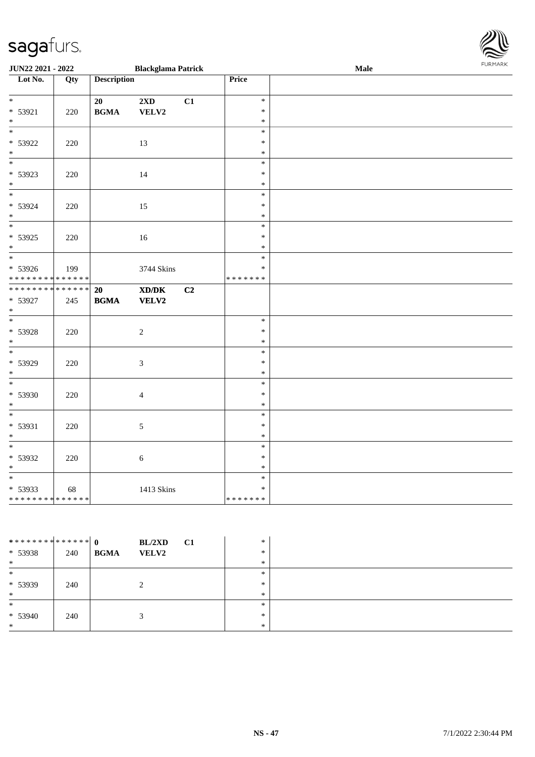|                                            | <b>JUN22 2021 - 2022</b><br><b>Blackglama Patrick</b> |                    |                                                                                                      |    |                  | Male |  |
|--------------------------------------------|-------------------------------------------------------|--------------------|------------------------------------------------------------------------------------------------------|----|------------------|------|--|
| Lot No.                                    | Qty                                                   | <b>Description</b> |                                                                                                      |    | Price            |      |  |
| $*$                                        |                                                       |                    |                                                                                                      |    | $\ast$           |      |  |
| $* 53921$                                  |                                                       | 20                 | $2\mathbf{X}\mathbf{D}$                                                                              | C1 | $\ast$           |      |  |
| $\ast$                                     | 220                                                   | <b>BGMA</b>        | VELV2                                                                                                |    | $\ast$           |      |  |
| $\overline{\ast}$                          |                                                       |                    |                                                                                                      |    | $\ast$           |      |  |
| * 53922                                    | 220                                                   |                    | 13                                                                                                   |    | $\ast$           |      |  |
| $\ast$                                     |                                                       |                    |                                                                                                      |    | $\ast$           |      |  |
| $\ast$                                     |                                                       |                    |                                                                                                      |    | $\ast$           |      |  |
| * 53923                                    | 220                                                   |                    | 14                                                                                                   |    | $\ast$           |      |  |
| $\ast$                                     |                                                       |                    |                                                                                                      |    | $\ast$           |      |  |
| $*$                                        |                                                       |                    |                                                                                                      |    | $\ast$           |      |  |
| * 53924                                    | 220                                                   |                    | 15                                                                                                   |    | $\ast$<br>$\ast$ |      |  |
| $*$<br>$\overline{\phantom{0}}$            |                                                       |                    |                                                                                                      |    | $\ast$           |      |  |
| * 53925                                    | 220                                                   |                    | 16                                                                                                   |    | $\ast$           |      |  |
| $\ast$                                     |                                                       |                    |                                                                                                      |    | $\ast$           |      |  |
|                                            |                                                       |                    |                                                                                                      |    | $\ast$           |      |  |
| * 53926                                    | 199                                                   |                    | 3744 Skins                                                                                           |    | $\ast$           |      |  |
| * * * * * * * * <mark>* * * * * * *</mark> |                                                       |                    |                                                                                                      |    | * * * * * * *    |      |  |
| **************                             |                                                       | 20                 | $\boldsymbol{\text{X}}\boldsymbol{\text{D}}\boldsymbol{/}\boldsymbol{\text{D}}\boldsymbol{\text{K}}$ | C2 |                  |      |  |
| * 53927                                    | 245                                                   | <b>BGMA</b>        | <b>VELV2</b>                                                                                         |    |                  |      |  |
| $\ast$<br>$\overline{\phantom{0}}$         |                                                       |                    |                                                                                                      |    | $\ast$           |      |  |
| * 53928                                    |                                                       |                    | $\sqrt{2}$                                                                                           |    | $\ast$           |      |  |
| $\ast$                                     | 220                                                   |                    |                                                                                                      |    | $\ast$           |      |  |
|                                            |                                                       |                    |                                                                                                      |    | $\ast$           |      |  |
| * 53929                                    | 220                                                   |                    | $\mathfrak{Z}$                                                                                       |    | $\ast$           |      |  |
| $\ast$                                     |                                                       |                    |                                                                                                      |    | $\ast$           |      |  |
|                                            |                                                       |                    |                                                                                                      |    | $\ast$           |      |  |
| * 53930                                    | 220                                                   |                    | $\overline{4}$                                                                                       |    | $\ast$           |      |  |
| $\ast$                                     |                                                       |                    |                                                                                                      |    | $\ast$           |      |  |
| $\ast$                                     |                                                       |                    |                                                                                                      |    | $\ast$           |      |  |
| * 53931<br>$\ast$                          | 220                                                   |                    | $\sqrt{5}$                                                                                           |    | $\ast$<br>$\ast$ |      |  |
| $*$                                        |                                                       |                    |                                                                                                      |    | $\ast$           |      |  |
| * 53932                                    | 220                                                   |                    | $\sqrt{6}$                                                                                           |    | $\ast$           |      |  |
| $\ast$                                     |                                                       |                    |                                                                                                      |    | $\ast$           |      |  |
| $\overline{\phantom{0}}$                   |                                                       |                    |                                                                                                      |    | $\ast$           |      |  |
| * 53933                                    | 68                                                    |                    | 1413 Skins                                                                                           |    | $\ast$           |      |  |
| * * * * * * * * <mark>* * * * * * *</mark> |                                                       |                    |                                                                                                      |    | *******          |      |  |

| ************** 0<br>$* 53938$<br>$\ast$ | 240 | BL/2XD<br>C1<br><b>BGMA</b><br><b>VELV2</b> | $\ast$<br>$\ast$<br>∗      |  |
|-----------------------------------------|-----|---------------------------------------------|----------------------------|--|
| $\ast$<br>* 53939<br>$\ast$             | 240 |                                             | $\ast$<br>$\ast$<br>$\ast$ |  |
| $\ast$<br>$* 53940$<br>$\ast$           | 240 |                                             | $\ast$<br>$\ast$<br>∗      |  |

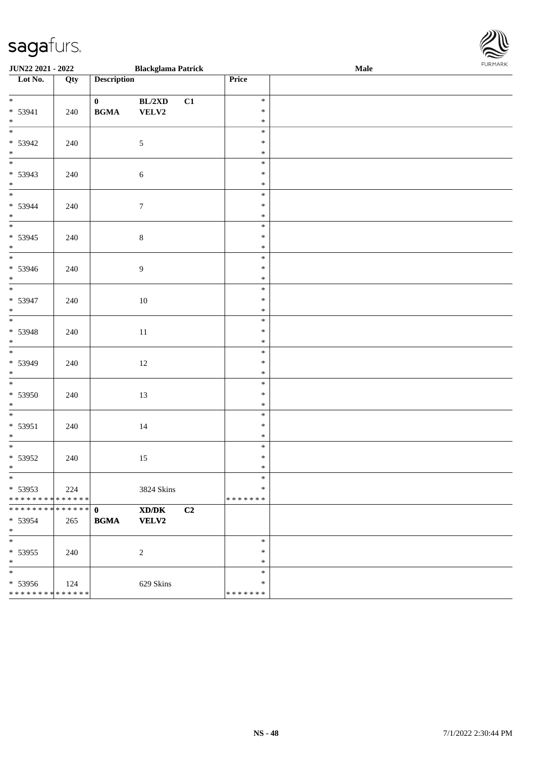| <b>JUN22 2021 - 2022</b>                                        |     |                                                            | <b>Blackglama Patrick</b> |    |                             | <b>Male</b> |  |
|-----------------------------------------------------------------|-----|------------------------------------------------------------|---------------------------|----|-----------------------------|-------------|--|
| Lot No.                                                         | Qty | <b>Description</b>                                         |                           |    | Price                       |             |  |
| $\ddot{x}$<br>$* 53941$<br>$*$                                  | 240 | $\mathbf{0}$<br>$\mathbf{B}\mathbf{G}\mathbf{M}\mathbf{A}$ | BL/2XD<br>VELV2           | C1 | $\ast$<br>$\ast$<br>$\ast$  |             |  |
| $* 53942$<br>$*$<br>$*$                                         | 240 |                                                            | $\mathfrak{S}$            |    | $\ast$<br>$\ast$<br>$\ast$  |             |  |
| * 53943<br>$*$                                                  | 240 |                                                            | 6                         |    | $\ast$<br>$\ast$<br>$\ast$  |             |  |
| $* 53944$<br>$*$<br>$*$                                         | 240 |                                                            | $\boldsymbol{7}$          |    | $\ast$<br>$\ast$<br>$\ast$  |             |  |
| * 53945<br>$*$                                                  | 240 |                                                            | $\,8\,$                   |    | $\ast$<br>$\ast$<br>$\ast$  |             |  |
| $* 53946$<br>$*$                                                | 240 |                                                            | $\overline{9}$            |    | $\ast$<br>$\ast$<br>$\ast$  |             |  |
| * 53947<br>$*$                                                  | 240 |                                                            | 10                        |    | $\ast$<br>$\ast$<br>$\ast$  |             |  |
| $* 53948$<br>$\ast$                                             | 240 |                                                            | 11                        |    | $\ast$<br>$\ast$<br>$\ast$  |             |  |
| * 53949<br>$\ast$                                               | 240 |                                                            | 12                        |    | $\ast$<br>$\ast$<br>$\ast$  |             |  |
| $*$<br>$* 53950$<br>$*$                                         | 240 |                                                            | 13                        |    | $\ast$<br>$\ast$<br>$\ast$  |             |  |
| $*$<br>$* 53951$<br>$*$                                         | 240 |                                                            | 14                        |    | $\ast$<br>$\ast$<br>$\ast$  |             |  |
| $\overline{\cdot}$<br>* 53952<br>$*$                            | 240 |                                                            | 15                        |    | $\ast$<br>$\ast$<br>$\ast$  |             |  |
| $\ast$<br>$* 53953$<br>* * * * * * * * <mark>* * * * * *</mark> | 224 |                                                            | 3824 Skins                |    | $\ast$<br>$\ast$<br>******* |             |  |
| * 53954<br>$\ast$                                               | 265 | <b>BGMA</b>                                                | XD/DK<br><b>VELV2</b>     | C2 |                             |             |  |
| $*$<br>$* 53955$<br>$\ast$                                      | 240 |                                                            | $\overline{2}$            |    | $\ast$<br>$\ast$<br>$\ast$  |             |  |
| $\ast$<br>* 53956<br>* * * * * * * * <mark>* * * * * *</mark>   | 124 |                                                            | 629 Skins                 |    | $\ast$<br>$\ast$<br>******* |             |  |

**FURMARK**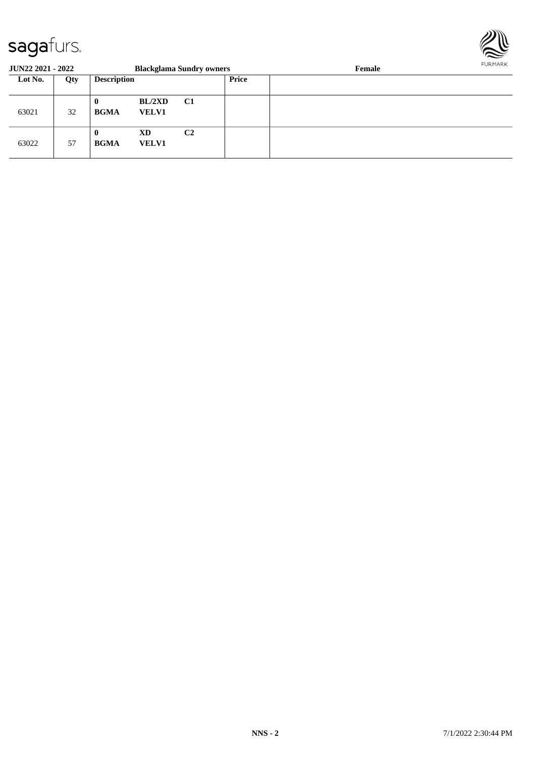

| <b>JUN22 2021 - 2022</b> |     |                         |                           | <b>Blackglama Sundry owners</b> |       | <b>FURPIARR</b><br>Female |  |
|--------------------------|-----|-------------------------|---------------------------|---------------------------------|-------|---------------------------|--|
| Lot No.                  | Qty | <b>Description</b>      |                           |                                 | Price |                           |  |
| 63021                    | 32  | $\bf{0}$<br><b>BGMA</b> | BL/2XD<br><b>VELV1</b>    | <b>C1</b>                       |       |                           |  |
| 63022                    | 57  | $\bf{0}$<br><b>BGMA</b> | <b>XD</b><br><b>VELV1</b> | C <sub>2</sub>                  |       |                           |  |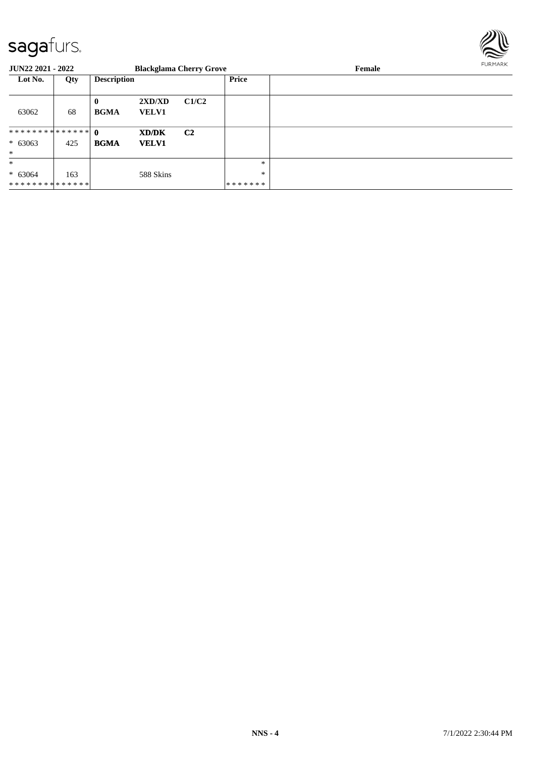

| <b>JUN22 2021 - 2022</b> |     |                         |                        | <b>Blackglama Cherry Grove</b> |         | Female |  |
|--------------------------|-----|-------------------------|------------------------|--------------------------------|---------|--------|--|
| Lot No.                  | Qty | <b>Description</b>      |                        |                                | Price   |        |  |
| 63062                    | 68  | $\bf{0}$<br><b>BGMA</b> | 2XD/XD<br><b>VELV1</b> | C1/C2                          |         |        |  |
|                          |     |                         | XD/DK                  | C <sub>2</sub>                 |         |        |  |
| $* 63063$                | 425 | <b>BGMA</b>             | <b>VELV1</b>           |                                |         |        |  |
| $\ast$                   |     |                         |                        |                                |         |        |  |
| $\ast$                   |     |                         |                        |                                | $\ast$  |        |  |
| $* 63064$                | 163 |                         | 588 Skins              |                                | *       |        |  |
| **************           |     |                         |                        |                                | ******* |        |  |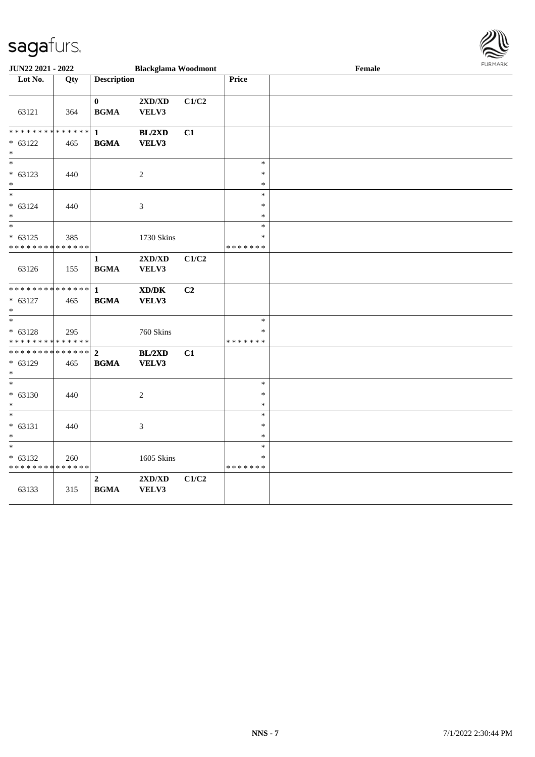

| <b>JUN22 2021 - 2022</b>                   |                   |                    | <b>Blackglama Woodmont</b>                                                                           |       |                  | Female |  |  |  |
|--------------------------------------------|-------------------|--------------------|------------------------------------------------------------------------------------------------------|-------|------------------|--------|--|--|--|
| Lot No.                                    | $\overline{Q}$ ty | <b>Description</b> |                                                                                                      |       | <b>Price</b>     |        |  |  |  |
|                                            |                   |                    |                                                                                                      |       |                  |        |  |  |  |
|                                            |                   | $\bf{0}$           | 2XD/XD                                                                                               | C1/C2 |                  |        |  |  |  |
| 63121                                      | 364               | <b>BGMA</b>        | VELV3                                                                                                |       |                  |        |  |  |  |
|                                            |                   |                    |                                                                                                      |       |                  |        |  |  |  |
| * * * * * * * * <mark>* * * * * *</mark>   |                   | $\mathbf{1}$       | BL/2XD                                                                                               | C1    |                  |        |  |  |  |
| $* 63122$                                  | 465               | <b>BGMA</b>        | VELV3                                                                                                |       |                  |        |  |  |  |
| $\ast$                                     |                   |                    |                                                                                                      |       |                  |        |  |  |  |
| $\ast$                                     |                   |                    |                                                                                                      |       | $\ast$           |        |  |  |  |
| $* 63123$                                  | 440               |                    | $\sqrt{2}$                                                                                           |       | $\ast$           |        |  |  |  |
| $\ast$                                     |                   |                    |                                                                                                      |       | $\ast$           |        |  |  |  |
| $\overline{\ast}$                          |                   |                    |                                                                                                      |       | $\ast$           |        |  |  |  |
| $* 63124$                                  | 440               |                    | 3                                                                                                    |       | $\ast$           |        |  |  |  |
| $\ast$                                     |                   |                    |                                                                                                      |       | $\ast$           |        |  |  |  |
| $\ast$                                     |                   |                    |                                                                                                      |       | $\ast$           |        |  |  |  |
| $* 63125$                                  | 385               |                    | 1730 Skins                                                                                           |       | $\ast$           |        |  |  |  |
| * * * * * * * * <mark>* * * * * * *</mark> |                   |                    |                                                                                                      |       | * * * * * * *    |        |  |  |  |
|                                            |                   | $\mathbf{1}$       | 2XD/XD                                                                                               | C1/C2 |                  |        |  |  |  |
| 63126                                      | 155               | <b>BGMA</b>        | VELV3                                                                                                |       |                  |        |  |  |  |
|                                            |                   |                    |                                                                                                      |       |                  |        |  |  |  |
|                                            |                   |                    | $\boldsymbol{\text{X}}\boldsymbol{\text{D}}\boldsymbol{/}\boldsymbol{\text{D}}\boldsymbol{\text{K}}$ | C2    |                  |        |  |  |  |
| $* 63127$                                  | 465               | <b>BGMA</b>        | VELV3                                                                                                |       |                  |        |  |  |  |
| $\ast$                                     |                   |                    |                                                                                                      |       |                  |        |  |  |  |
|                                            |                   |                    |                                                                                                      |       | $\ast$           |        |  |  |  |
| $* 63128$                                  | 295               |                    | 760 Skins                                                                                            |       | $\ast$           |        |  |  |  |
| * * * * * * * * <mark>* * * * * * *</mark> |                   |                    |                                                                                                      |       | * * * * * * *    |        |  |  |  |
|                                            |                   |                    | BL/2XD                                                                                               | C1    |                  |        |  |  |  |
| $* 63129$                                  | 465               | <b>BGMA</b>        | VELV3                                                                                                |       |                  |        |  |  |  |
| $\ast$<br>$\ast$                           |                   |                    |                                                                                                      |       |                  |        |  |  |  |
|                                            |                   |                    |                                                                                                      |       | $\ast$           |        |  |  |  |
| $* 63130$                                  | 440               |                    | $\mathbf{2}$                                                                                         |       | $\ast$           |        |  |  |  |
| $\ast$<br>$\ast$                           |                   |                    |                                                                                                      |       | $\ast$<br>$\ast$ |        |  |  |  |
|                                            |                   |                    |                                                                                                      |       | $\ast$           |        |  |  |  |
| $* 63131$                                  | 440               |                    | $\mathfrak{Z}$                                                                                       |       | $\ast$           |        |  |  |  |
| $\ast$<br>$\ast$                           |                   |                    |                                                                                                      |       | $\ast$           |        |  |  |  |
|                                            |                   |                    |                                                                                                      |       | $\ast$           |        |  |  |  |
| $* 63132$<br>* * * * * * * * * * * * * *   | 260               |                    | 1605 Skins                                                                                           |       | * * * * * * *    |        |  |  |  |
|                                            |                   | $\overline{2}$     | 2XD/XD                                                                                               | C1/C2 |                  |        |  |  |  |
| 63133                                      | 315               | <b>BGMA</b>        | VELV3                                                                                                |       |                  |        |  |  |  |
|                                            |                   |                    |                                                                                                      |       |                  |        |  |  |  |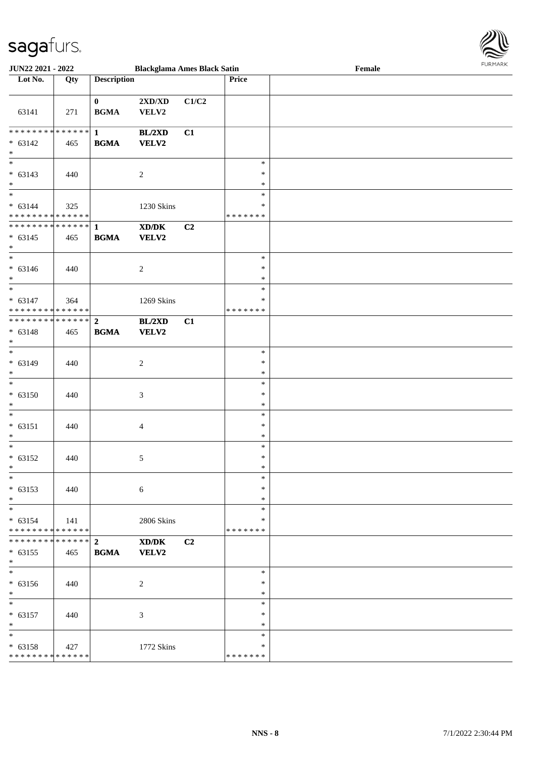

| <b>JUN22 2021 - 2022</b>                              |     |                             | <b>Blackglama Ames Black Satin</b>          |                |                  | Female | <b>FUNITANN</b> |
|-------------------------------------------------------|-----|-----------------------------|---------------------------------------------|----------------|------------------|--------|-----------------|
| Lot No.                                               | Qty | <b>Description</b>          |                                             |                | <b>Price</b>     |        |                 |
| 63141                                                 | 271 | $\mathbf{0}$<br><b>BGMA</b> | 2XD/XD<br>VELV2                             | C1/C2          |                  |        |                 |
|                                                       |     |                             | BL/2XD                                      | C1             |                  |        |                 |
| $* 63142$                                             | 465 | <b>BGMA</b>                 | <b>VELV2</b>                                |                |                  |        |                 |
| $*$                                                   |     |                             |                                             |                |                  |        |                 |
| $\overline{\ast}$                                     |     |                             |                                             |                | $\ast$           |        |                 |
| $* 63143$                                             | 440 |                             | $\overline{2}$                              |                | $\ast$           |        |                 |
| $\ast$                                                |     |                             |                                             |                | $\ast$           |        |                 |
| $\overline{\phantom{0}}$                              |     |                             |                                             |                | $\ast$           |        |                 |
| $* 63144$                                             | 325 |                             | 1230 Skins                                  |                | ∗                |        |                 |
| * * * * * * * * <mark>* * * * * * *</mark>            |     |                             |                                             |                | *******          |        |                 |
|                                                       |     |                             | XD/DK                                       | C <sub>2</sub> |                  |        |                 |
| $* 63145$                                             | 465 | <b>BGMA</b>                 | VELV2                                       |                |                  |        |                 |
| $*$                                                   |     |                             |                                             |                | $\ast$           |        |                 |
|                                                       |     |                             |                                             |                | $\ast$           |        |                 |
| $* 63146$<br>$\ast$                                   | 440 |                             | $\overline{c}$                              |                | $\ast$           |        |                 |
| $*$                                                   |     |                             |                                             |                | $\ast$           |        |                 |
| $* 63147$                                             | 364 |                             | 1269 Skins                                  |                | $\ast$           |        |                 |
| * * * * * * * * <mark>* * * * * * *</mark>            |     |                             |                                             |                | *******          |        |                 |
| ************** 2                                      |     |                             | BL/2XD                                      | C1             |                  |        |                 |
| $* 63148$                                             | 465 | <b>BGMA</b>                 | <b>VELV2</b>                                |                |                  |        |                 |
| $*$                                                   |     |                             |                                             |                |                  |        |                 |
|                                                       |     |                             |                                             |                | $\ast$           |        |                 |
| $* 63149$                                             | 440 |                             | $\overline{2}$                              |                | $\ast$           |        |                 |
| $\ast$                                                |     |                             |                                             |                | $\ast$           |        |                 |
| $\overline{\ast}$                                     |     |                             |                                             |                | $\ast$           |        |                 |
| $* 63150$                                             | 440 |                             | 3                                           |                | $\ast$           |        |                 |
| $\ast$                                                |     |                             |                                             |                | $\ast$           |        |                 |
| $\ddot{x}$                                            |     |                             |                                             |                | $\ast$           |        |                 |
| $* 63151$                                             | 440 |                             | $\overline{4}$                              |                | $\ast$           |        |                 |
| $*$<br>$\ast$                                         |     |                             |                                             |                | $\ast$           |        |                 |
|                                                       |     |                             |                                             |                | $\ast$<br>$\ast$ |        |                 |
| $* 63152$<br>$\ast$                                   | 440 |                             | 5                                           |                | $*$              |        |                 |
| $\ast$                                                |     |                             |                                             |                | $\ast$           |        |                 |
| $* 63153$                                             | 440 |                             | $6\phantom{.}6$                             |                | $\ast$           |        |                 |
| $*$                                                   |     |                             |                                             |                | $*$              |        |                 |
|                                                       |     |                             |                                             |                | $\ast$           |        |                 |
| $* 63154$                                             | 141 |                             | 2806 Skins                                  |                | $\ast$           |        |                 |
| * * * * * * * * * * * * * * <mark>*</mark>            |     |                             |                                             |                | * * * * * * *    |        |                 |
| ******** <mark>******</mark> 2                        |     |                             | $\mathbf{X}\mathbf{D}/\mathbf{D}\mathbf{K}$ | C <sub>2</sub> |                  |        |                 |
| $* 63155$                                             | 465 | <b>BGMA</b>                 | <b>VELV2</b>                                |                |                  |        |                 |
| $\ast$                                                |     |                             |                                             |                |                  |        |                 |
|                                                       |     |                             |                                             |                | $\ast$           |        |                 |
| $* 63156$                                             | 440 |                             | 2                                           |                | $\ast$           |        |                 |
| $\ast$                                                |     |                             |                                             |                | $\ast$           |        |                 |
| $*$                                                   |     |                             |                                             |                | $\ast$           |        |                 |
| $* 63157$                                             | 440 |                             | 3                                           |                | $\ast$           |        |                 |
| $*$<br>$*$                                            |     |                             |                                             |                | $\ast$<br>$\ast$ |        |                 |
|                                                       |     |                             |                                             |                | $\ast$           |        |                 |
| $* 63158$<br>* * * * * * * * <mark>* * * * * *</mark> | 427 |                             | 1772 Skins                                  |                | * * * * * * *    |        |                 |
|                                                       |     |                             |                                             |                |                  |        |                 |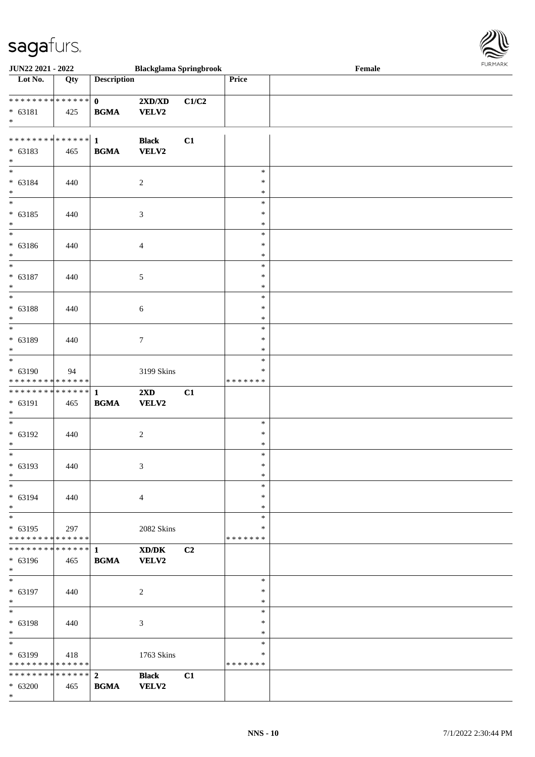

| JUN22 2021 - 2022                          |     |                    | <b>Blackglama Springbrook</b> |                |               | Female | <b>FURPIARA</b> |
|--------------------------------------------|-----|--------------------|-------------------------------|----------------|---------------|--------|-----------------|
| $\overline{\phantom{1}}$ Lot No.           | Qty | <b>Description</b> |                               |                | Price         |        |                 |
|                                            |     |                    |                               |                |               |        |                 |
| ___<br>******** <mark>******</mark>        |     | $\mathbf{0}$       | 2XD/XD                        | C1/C2          |               |        |                 |
| $* 63181$                                  | 425 | <b>BGMA</b>        | <b>VELV2</b>                  |                |               |        |                 |
| $*$                                        |     |                    |                               |                |               |        |                 |
|                                            |     |                    |                               |                |               |        |                 |
|                                            |     |                    | <b>Black</b>                  | C1             |               |        |                 |
| $* 63183$                                  | 465 | <b>BGMA</b>        | <b>VELV2</b>                  |                |               |        |                 |
| $*$                                        |     |                    |                               |                |               |        |                 |
| $\overline{\phantom{0}}$                   |     |                    |                               |                | $\ast$        |        |                 |
| $* 63184$                                  | 440 |                    | $\overline{2}$                |                | $\ast$        |        |                 |
| $*$                                        |     |                    |                               |                | $\ast$        |        |                 |
| $\overline{\phantom{0}}$                   |     |                    |                               |                | $\ast$        |        |                 |
| $* 63185$                                  |     |                    |                               |                | $\ast$        |        |                 |
| $*$                                        | 440 |                    | $\mathfrak{Z}$                |                | $\ast$        |        |                 |
| $\overline{\phantom{0}}$                   |     |                    |                               |                |               |        |                 |
|                                            |     |                    |                               |                | $\ast$        |        |                 |
| $* 63186$                                  | 440 |                    | $\overline{4}$                |                | $\ast$        |        |                 |
| $*$                                        |     |                    |                               |                | $\ast$        |        |                 |
| $\ast$                                     |     |                    |                               |                | $\ast$        |        |                 |
| $* 63187$                                  | 440 |                    | 5                             |                | $\ast$        |        |                 |
| $*$                                        |     |                    |                               |                | $\ast$        |        |                 |
| $\overline{\ast}$                          |     |                    |                               |                | $\ast$        |        |                 |
| $* 63188$                                  | 440 |                    | 6                             |                | ∗             |        |                 |
| $*$                                        |     |                    |                               |                | $\ast$        |        |                 |
| $\overline{\ast}$                          |     |                    |                               |                | $\ast$        |        |                 |
| $* 63189$                                  | 440 |                    | $\boldsymbol{7}$              |                | $\ast$        |        |                 |
| $*$                                        |     |                    |                               |                | $\ast$        |        |                 |
| $*$                                        |     |                    |                               |                | $\ast$        |        |                 |
| $* 63190$                                  | 94  |                    | 3199 Skins                    |                | ∗             |        |                 |
| ******** <mark>******</mark>               |     |                    |                               |                | *******       |        |                 |
|                                            |     |                    | $2\mathbf{X}\mathbf{D}$       | C1             |               |        |                 |
| $* 63191$                                  | 465 | <b>BGMA</b>        | <b>VELV2</b>                  |                |               |        |                 |
| $*$                                        |     |                    |                               |                |               |        |                 |
| $*$                                        |     |                    |                               |                | $\ast$        |        |                 |
|                                            |     |                    |                               |                | $\ast$        |        |                 |
| $* 63192$                                  | 440 |                    | $\overline{c}$                |                |               |        |                 |
| $*$<br>$\overline{\ast}$                   |     |                    |                               |                | $\ast$        |        |                 |
|                                            |     |                    |                               |                | $\ast$        |        |                 |
| $* 63193$                                  | 440 |                    | $\mathfrak{Z}$                |                | $\ast$        |        |                 |
| $\ast$                                     |     |                    |                               |                | $\ast$        |        |                 |
| $\ast$                                     |     |                    |                               |                | $\ast$        |        |                 |
| * 63194                                    | 440 |                    | $\overline{4}$                |                | $\ast$        |        |                 |
| $*$                                        |     |                    |                               |                | ∗             |        |                 |
| $*$                                        |     |                    |                               |                | $\ast$        |        |                 |
| * 63195                                    | 297 |                    | 2082 Skins                    |                | ∗             |        |                 |
| * * * * * * * * * * * * * *                |     |                    |                               |                | * * * * * * * |        |                 |
| * * * * * * * * * * * * * * *              |     | $\mathbf{1}$       | XD/DK                         | C <sub>2</sub> |               |        |                 |
| * 63196                                    | 465 | <b>BGMA</b>        | <b>VELV2</b>                  |                |               |        |                 |
| $*$                                        |     |                    |                               |                |               |        |                 |
| $*$                                        |     |                    |                               |                | $\ast$        |        |                 |
| * 63197                                    | 440 |                    | $\overline{c}$                |                | $\ast$        |        |                 |
| $*$                                        |     |                    |                               |                | $\ast$        |        |                 |
| $*$                                        |     |                    |                               |                | $\ast$        |        |                 |
| * 63198                                    | 440 |                    | 3                             |                | $\ast$        |        |                 |
| $*$                                        |     |                    |                               |                | $\ast$        |        |                 |
| $\ast$                                     |     |                    |                               |                | $\ast$        |        |                 |
| $* 63199$                                  | 418 |                    | 1763 Skins                    |                | $\ast$        |        |                 |
| * * * * * * * * * * * * * * *              |     |                    |                               |                | * * * * * * * |        |                 |
| * * * * * * * * <mark>* * * * * * *</mark> |     | $\overline{2}$     | <b>Black</b>                  | C1             |               |        |                 |
|                                            |     |                    |                               |                |               |        |                 |
| $* 63200$<br>$\ast$                        | 465 | <b>BGMA</b>        | <b>VELV2</b>                  |                |               |        |                 |
|                                            |     |                    |                               |                |               |        |                 |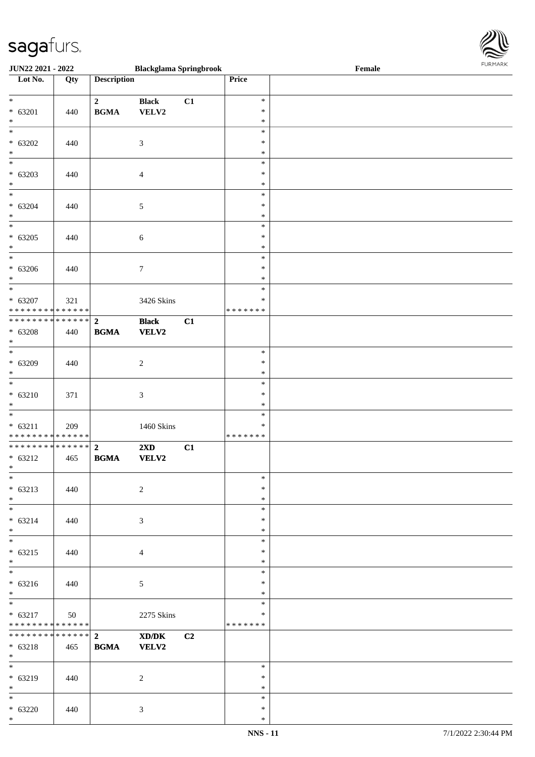

| <b>JUN22 2021 - 2022</b>                   |     |                    | <b>Blackglama Springbrook</b> |                |               | Female |  |
|--------------------------------------------|-----|--------------------|-------------------------------|----------------|---------------|--------|--|
| Lot No.                                    | Qty | <b>Description</b> |                               |                | Price         |        |  |
|                                            |     |                    |                               |                |               |        |  |
| $*$                                        |     | $\overline{2}$     | <b>Black</b>                  | C1             | $\ast$        |        |  |
| $* 63201$                                  | 440 | <b>BGMA</b>        | VELV2                         |                | $\ast$        |        |  |
| $\ast$                                     |     |                    |                               |                | $\ast$        |        |  |
|                                            |     |                    |                               |                | $\ast$        |        |  |
|                                            |     |                    |                               |                |               |        |  |
| $* 63202$                                  | 440 |                    | 3                             |                | $\ast$        |        |  |
| $\ast$                                     |     |                    |                               |                | $\ast$        |        |  |
|                                            |     |                    |                               |                | $\ast$        |        |  |
| $* 63203$                                  | 440 |                    | $\overline{4}$                |                | $\ast$        |        |  |
| $*$                                        |     |                    |                               |                | $\ast$        |        |  |
| $\overline{\ast}$                          |     |                    |                               |                | $\ast$        |        |  |
| $* 63204$                                  | 440 |                    | $\sqrt{5}$                    |                | $\ast$        |        |  |
|                                            |     |                    |                               |                | $\ast$        |        |  |
| $*$                                        |     |                    |                               |                |               |        |  |
|                                            |     |                    |                               |                | $\ast$        |        |  |
| $* 63205$                                  | 440 |                    | $\sqrt{6}$                    |                | $\ast$        |        |  |
| $*$                                        |     |                    |                               |                | $\ast$        |        |  |
|                                            |     |                    |                               |                | $\ast$        |        |  |
| $* 63206$                                  | 440 |                    | $\tau$                        |                | $\ast$        |        |  |
| $\ast$                                     |     |                    |                               |                | $\ast$        |        |  |
|                                            |     |                    |                               |                | $\ast$        |        |  |
| $* 63207$                                  |     |                    |                               |                | $\ast$        |        |  |
|                                            | 321 |                    | 3426 Skins                    |                |               |        |  |
| * * * * * * * * <mark>* * * * * * *</mark> |     |                    |                               |                | * * * * * * * |        |  |
|                                            |     |                    | <b>Black</b>                  | C1             |               |        |  |
| $* 63208$                                  | 440 | <b>BGMA</b>        | <b>VELV2</b>                  |                |               |        |  |
| $*$                                        |     |                    |                               |                |               |        |  |
|                                            |     |                    |                               |                | $\ast$        |        |  |
| $* 63209$                                  | 440 |                    | $\sqrt{2}$                    |                | $\ast$        |        |  |
| $\ast$                                     |     |                    |                               |                | $\ast$        |        |  |
| $\overline{\ast}$                          |     |                    |                               |                | $\ast$        |        |  |
|                                            |     |                    |                               |                |               |        |  |
| $* 63210$                                  | 371 |                    | $\mathfrak{Z}$                |                | $\ast$        |        |  |
| $*$                                        |     |                    |                               |                | $\ast$        |        |  |
| $\ddot{x}$                                 |     |                    |                               |                | $\ast$        |        |  |
| $* 63211$                                  | 209 |                    | 1460 Skins                    |                | $\ast$        |        |  |
| * * * * * * * * <mark>* * * * * * *</mark> |     |                    |                               |                | *******       |        |  |
| ************** 2                           |     |                    | $2\mathbf{X}\mathbf{D}$       | C1             |               |        |  |
| $* 63212$                                  | 465 | <b>BGMA</b>        | VELV2                         |                |               |        |  |
| $*$                                        |     |                    |                               |                |               |        |  |
| $*$                                        |     |                    |                               |                | $\ast$        |        |  |
|                                            |     |                    |                               |                |               |        |  |
| $* 63213$                                  | 440 |                    | 2                             |                | $\ast$        |        |  |
| $*$                                        |     |                    |                               |                | $\ast$        |        |  |
| $\ast$                                     |     |                    |                               |                | $\ast$        |        |  |
| $* 63214$                                  | 440 |                    | 3                             |                | $\ast$        |        |  |
| $\ddot{x}$                                 |     |                    |                               |                | $\ast$        |        |  |
| $\ddot{x}$                                 |     |                    |                               |                | $\ast$        |        |  |
| $* 63215$                                  | 440 |                    | $\overline{4}$                |                | $\ast$        |        |  |
| $\ddot{x}$                                 |     |                    |                               |                | $\ast$        |        |  |
| $*$                                        |     |                    |                               |                | $\ast$        |        |  |
|                                            |     |                    |                               |                |               |        |  |
| $* 63216$                                  | 440 |                    | 5                             |                | $\ast$        |        |  |
| $*$                                        |     |                    |                               |                | $\ast$        |        |  |
| $\overline{\mathbf{r}}$                    |     |                    |                               |                | $\ast$        |        |  |
| $* 63217$                                  | 50  |                    | 2275 Skins                    |                | $\ast$        |        |  |
| * * * * * * * * * * * * * * <mark>*</mark> |     |                    |                               |                | *******       |        |  |
|                                            |     |                    | XD/DK                         | C <sub>2</sub> |               |        |  |
| $* 63218$                                  | 465 | <b>BGMA</b>        | <b>VELV2</b>                  |                |               |        |  |
| $*$                                        |     |                    |                               |                |               |        |  |
|                                            |     |                    |                               |                | $\ast$        |        |  |
|                                            |     |                    |                               |                |               |        |  |
| $* 63219$                                  | 440 |                    | 2                             |                | $\ast$        |        |  |
| $*$                                        |     |                    |                               |                | $\ast$        |        |  |
|                                            |     |                    |                               |                | $\ast$        |        |  |
| $* 63220$                                  | 440 |                    | $\mathfrak{Z}$                |                | $\ast$        |        |  |
| $\ast$                                     |     |                    |                               |                | $\ast$        |        |  |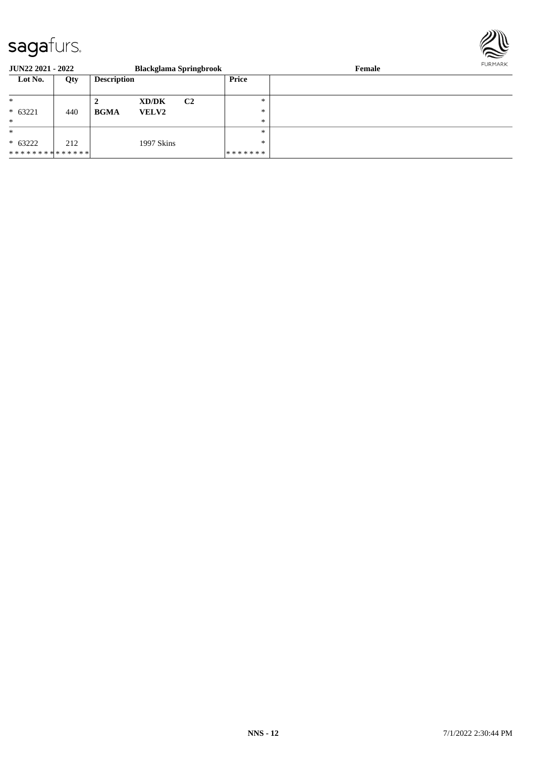

| <b>JUN22 2021 - 2022</b>      |     |                    | <b>Blackglama Springbrook</b> |                |         | Female | FURMARK |
|-------------------------------|-----|--------------------|-------------------------------|----------------|---------|--------|---------|
| Lot No.                       | Qty | <b>Description</b> |                               |                | Price   |        |         |
| $\ast$                        |     |                    | XD/DK                         | C <sub>2</sub> | $\ast$  |        |         |
| $* 63221$                     | 440 | <b>BGMA</b>        | <b>VELV2</b>                  |                | $*$     |        |         |
| $\ast$                        |     |                    |                               |                | $\ast$  |        |         |
| $\ast$                        |     |                    |                               |                | $*$     |        |         |
| $* 63222$                     | 212 |                    | 1997 Skins                    |                | $\ast$  |        |         |
| * * * * * * * * * * * * * * * |     |                    |                               |                | ******* |        |         |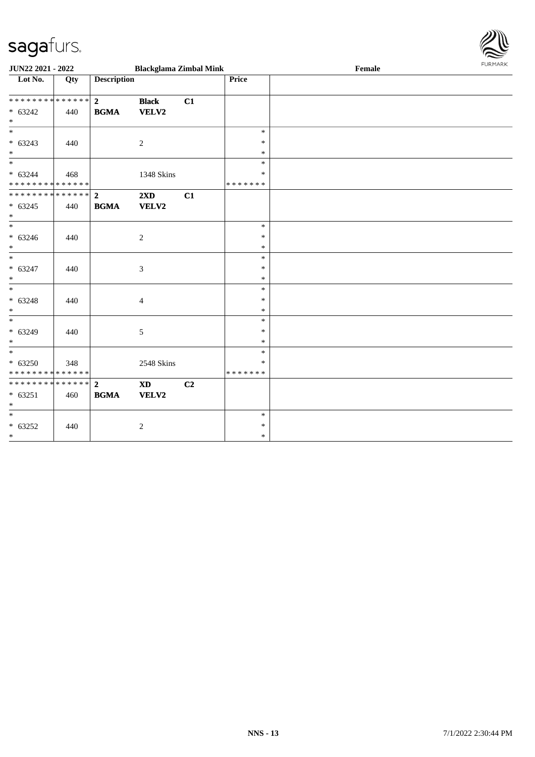

| JUN22 2021 - 2022                                                     |     |                               | <b>Blackglama Zimbal Mink</b> |    |                                   | Female | FURMARK |
|-----------------------------------------------------------------------|-----|-------------------------------|-------------------------------|----|-----------------------------------|--------|---------|
| $\overline{\text{Lot No.}}$                                           | Qty | <b>Description</b>            |                               |    | Price                             |        |         |
| * * * * * * * * * * * * * * *<br>$* 63242$<br>$*$                     | 440 | $\overline{2}$<br><b>BGMA</b> | <b>Black</b><br>VELV2         | C1 |                                   |        |         |
| $* 63243$<br>$*$                                                      | 440 |                               | $\overline{c}$                |    | $\ast$<br>$\ast$<br>$\ast$        |        |         |
| $\overline{\phantom{0}}$<br>$* 63244$<br>******** <mark>******</mark> | 468 |                               | 1348 Skins                    |    | $\ast$<br>$\ast$<br>* * * * * * * |        |         |
| ************** 2<br>$* 63245$<br>$*$                                  | 440 | <b>BGMA</b>                   | 2XD<br>VELV2                  | C1 |                                   |        |         |
| $* 63246$<br>$*$                                                      | 440 |                               | 2                             |    | $\ast$<br>$\ast$<br>$\ast$        |        |         |
| $*$<br>$* 63247$<br>$*$                                               | 440 |                               | 3                             |    | $\ast$<br>$\ast$<br>$\ast$        |        |         |
| $*$<br>$* 63248$<br>$*$                                               | 440 |                               | $\overline{4}$                |    | $\ast$<br>$\ast$<br>$\ast$        |        |         |
| $* 63249$<br>$*$                                                      | 440 |                               | 5                             |    | $\ast$<br>$\ast$<br>$\ast$        |        |         |
| $*$<br>$* 63250$<br>* * * * * * * * * * * * * * *                     | 348 |                               | 2548 Skins                    |    | $\ast$<br>∗<br>* * * * * * *      |        |         |
| ************** 2<br>$* 63251$<br>$*$                                  | 460 | <b>BGMA</b>                   | <b>XD</b><br>VELV2            | C2 |                                   |        |         |
| $*$<br>$* 63252$<br>$*$                                               | 440 |                               | $\overline{c}$                |    | $\ast$<br>$\ast$<br>$\ast$        |        |         |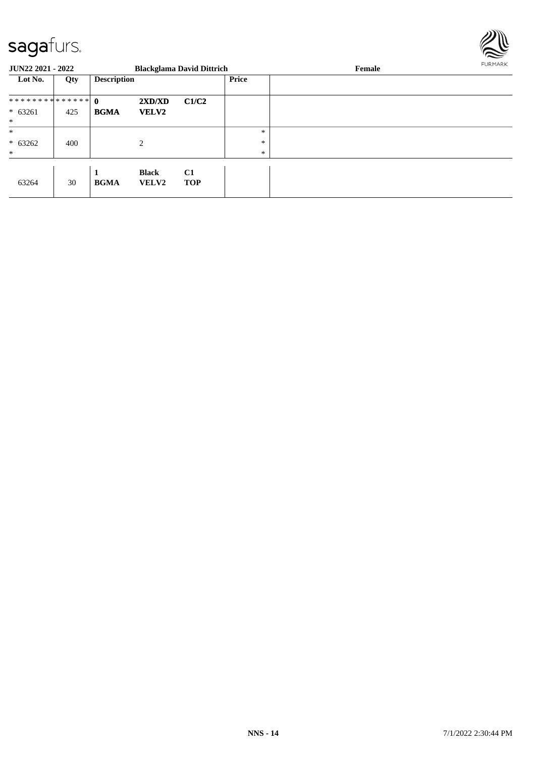

| <b>JUN22 2021 - 2022</b> |     |                    |                | <b>Blackglama David Dittrich</b> |        | Female | FURMARK |
|--------------------------|-----|--------------------|----------------|----------------------------------|--------|--------|---------|
| Lot No.                  | Qty | <b>Description</b> |                |                                  | Price  |        |         |
| ************** 0         |     |                    | 2XD/XD         | C1/C2                            |        |        |         |
| $* 63261$                | 425 | <b>BGMA</b>        | <b>VELV2</b>   |                                  |        |        |         |
| $\ast$                   |     |                    |                |                                  |        |        |         |
| $\ast$                   |     |                    |                |                                  | $\ast$ |        |         |
| $* 63262$                | 400 |                    | $\overline{c}$ |                                  | *      |        |         |
| $*$                      |     |                    |                |                                  | $\ast$ |        |         |
|                          |     | 1                  | <b>Black</b>   | C1                               |        |        |         |
| 63264                    | 30  | <b>BGMA</b>        | <b>VELV2</b>   | <b>TOP</b>                       |        |        |         |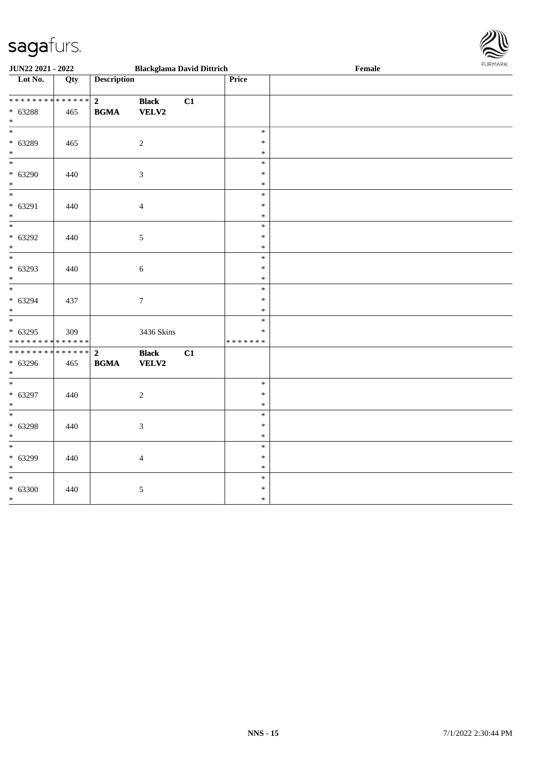

| <b>JUN22 2021 - 2022</b>                   |     |                    | <b>Blackglama David Dittrich</b> |    |                  | Female | <b>FURPIARR</b> |
|--------------------------------------------|-----|--------------------|----------------------------------|----|------------------|--------|-----------------|
| Lot No.                                    | Qty | <b>Description</b> |                                  |    | Price            |        |                 |
|                                            |     |                    |                                  |    |                  |        |                 |
| ************** <mark>2</mark>              |     |                    | <b>Black</b>                     | C1 |                  |        |                 |
| $* 63288$                                  | 465 | <b>BGMA</b>        | VELV2                            |    |                  |        |                 |
| $*$                                        |     |                    |                                  |    |                  |        |                 |
| $\overline{\ast}$                          |     |                    |                                  |    | $\ast$           |        |                 |
| $* 63289$                                  | 465 |                    | $\sqrt{2}$                       |    | $\ast$           |        |                 |
| $\ast$<br>$\overline{\mathbf{r}}$          |     |                    |                                  |    | $\ast$           |        |                 |
|                                            |     |                    |                                  |    | $\ast$           |        |                 |
| $* 63290$<br>$\ast$                        | 440 |                    | $\mathfrak{Z}$                   |    | $\ast$<br>$\ast$ |        |                 |
| $\overline{\ast}$                          |     |                    |                                  |    | $\ast$           |        |                 |
| $* 63291$                                  | 440 |                    | $\overline{4}$                   |    | $\ast$           |        |                 |
| $*$                                        |     |                    |                                  |    | $\ast$           |        |                 |
| $\overline{\phantom{0}}$                   |     |                    |                                  |    | $\ast$           |        |                 |
| $* 63292$                                  | 440 |                    | $\mathfrak{S}$                   |    | $\ast$           |        |                 |
| $\ast$                                     |     |                    |                                  |    | $\ast$           |        |                 |
| $\overline{\phantom{0}}$                   |     |                    |                                  |    | $\ast$           |        |                 |
| $* 63293$                                  | 440 |                    | $6\,$                            |    | $\ast$           |        |                 |
| $\ast$                                     |     |                    |                                  |    | $\ast$           |        |                 |
| $\overline{\ast}$                          |     |                    |                                  |    | $\ast$           |        |                 |
| $* 63294$                                  | 437 |                    | $\boldsymbol{7}$                 |    | $\ast$           |        |                 |
| $*$                                        |     |                    |                                  |    | $\ast$           |        |                 |
|                                            |     |                    |                                  |    | $\ast$           |        |                 |
| $* 63295$                                  | 309 |                    | 3436 Skins                       |    | $\ast$           |        |                 |
| * * * * * * * * <mark>* * * * * * *</mark> |     |                    |                                  |    | * * * * * * *    |        |                 |
|                                            |     |                    | <b>Black</b>                     | C1 |                  |        |                 |
| $* 63296$                                  | 465 | <b>BGMA</b>        | <b>VELV2</b>                     |    |                  |        |                 |
| $*$                                        |     |                    |                                  |    | $\ast$           |        |                 |
| $* 63297$                                  |     |                    |                                  |    | $\ast$           |        |                 |
| $\ast$                                     | 440 |                    | 2                                |    | $\ast$           |        |                 |
| $*$                                        |     |                    |                                  |    | $\ast$           |        |                 |
| $* 63298$                                  | 440 |                    | $\mathfrak{Z}$                   |    | $\ast$           |        |                 |
| $\ast$                                     |     |                    |                                  |    | $\ast$           |        |                 |
|                                            |     |                    |                                  |    | $\ast$           |        |                 |
| $* 63299$                                  | 440 |                    | $\overline{4}$                   |    | $\ast$           |        |                 |
| $\ast$                                     |     |                    |                                  |    | $\ast$           |        |                 |
| $\overline{\ast}$                          |     |                    |                                  |    | $\ast$           |        |                 |
| $* 63300$                                  | 440 |                    | $\sqrt{5}$                       |    | $\ast$           |        |                 |
| $*$                                        |     |                    |                                  |    | $\ast$           |        |                 |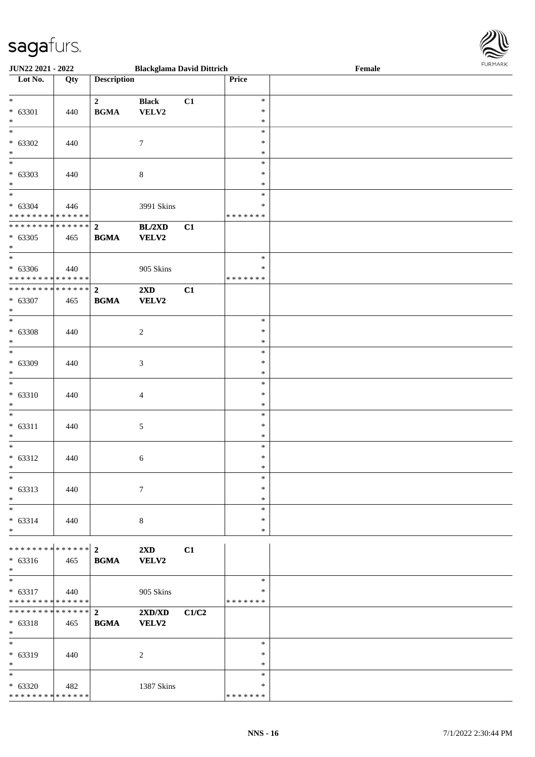\* \* \* \* \* \* \* \* \* \* \* \* \* \* \*



| JUN22 2021 - 2022                                 |     |                             | <b>Blackglama David Dittrich</b> |       |                                   | Female | <b>FURMARK</b> |
|---------------------------------------------------|-----|-----------------------------|----------------------------------|-------|-----------------------------------|--------|----------------|
| $\overline{\phantom{1}}$ Lot No.                  | Qty | <b>Description</b>          |                                  |       | Price                             |        |                |
| $*$<br>$* 63301$<br>$*$                           | 440 | $\mathbf{2}$<br><b>BGMA</b> | <b>Black</b><br>VELV2            | C1    | $\ast$<br>$\ast$<br>$\ast$        |        |                |
| $\overline{\phantom{0}}$<br>$* 63302$<br>$*$      | 440 |                             | $\tau$                           |       | $\ast$<br>$\ast$<br>$\ast$        |        |                |
| $\overline{\phantom{0}}$<br>$* 63303$<br>$*$      | 440 |                             | $\,8\,$                          |       | $\ast$<br>∗<br>$\ast$             |        |                |
| $*$<br>$* 63304$<br>* * * * * * * * * * * * * *   | 446 |                             | 3991 Skins                       |       | $\ast$<br>$\ast$<br>* * * * * * * |        |                |
| $* 63305$<br>$*$                                  | 465 | <b>BGMA</b>                 | BL/2XD<br>VELV2                  | C1    |                                   |        |                |
| $*$<br>$* 63306$<br>* * * * * * * * * * * * * *   | 440 |                             | 905 Skins                        |       | $\ast$<br>∗<br>* * * * * * *      |        |                |
| ************** 2<br>* 63307<br>$*$                | 465 | <b>BGMA</b>                 | 2XD<br>VELV2                     | C1    |                                   |        |                |
| $*$<br>$* 63308$<br>$*$                           | 440 |                             | $\overline{c}$                   |       | $\ast$<br>$\ast$<br>$\ast$        |        |                |
| $\overline{\ast}$<br>$* 63309$<br>$*$             | 440 |                             | 3                                |       | $\ast$<br>$\ast$<br>$\ast$        |        |                |
| $* 63310$<br>$\ast$                               | 440 |                             | $\overline{4}$                   |       | $\ast$<br>$\ast$<br>$\ast$        |        |                |
| $\ast$<br>$* 63311$<br>$\ast$                     | 440 |                             | $\sqrt{5}$                       |       | $\ast$<br>$\ast$<br>$\ast$        |        |                |
| $*$<br>$* 63312$<br>$*$                           | 440 |                             | 6                                |       | $\ast$<br>$\ast$<br>$\ast$        |        |                |
| $\ast$<br>$* 63313$<br>$*$                        | 440 |                             | $\overline{7}$                   |       | $\ast$<br>$\ast$<br>$\ast$        |        |                |
| $*$<br>$* 63314$<br>$*$                           | 440 |                             | 8                                |       | $\ast$<br>$\ast$<br>$\ast$        |        |                |
| $* 63316$<br>$*$                                  | 465 | <b>BGMA</b>                 | $2\mathbf{X}\mathbf{D}$<br>VELV2 | C1    |                                   |        |                |
| $*$<br>$* 63317$<br>* * * * * * * * * * * * * * * | 440 |                             | 905 Skins                        |       | $\ast$<br>$\ast$<br>* * * * * * * |        |                |
| ************** 2<br>* 63318<br>$*$                | 465 | <b>BGMA</b>                 | 2XD/XD<br>VELV2                  | C1/C2 |                                   |        |                |
| $*$<br>* 63319<br>$*$                             | 440 |                             | 2                                |       | $\ast$<br>∗<br>$\ast$             |        |                |
| $*$<br>$* 63320$                                  | 482 |                             | 1387 Skins                       |       | $\ast$<br>$\ast$                  |        |                |

\* \* \* \* \* \* \*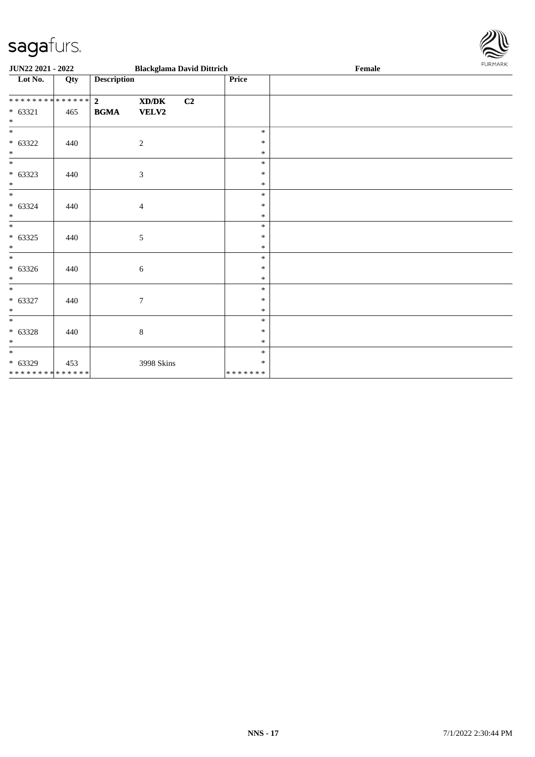

| JUN22 2021 - 2022                        |     |                    |                                             | <b>Blackglama David Dittrich</b> |                   | Female | FURMARK |
|------------------------------------------|-----|--------------------|---------------------------------------------|----------------------------------|-------------------|--------|---------|
| Lot No.                                  | Qty | <b>Description</b> |                                             |                                  | Price             |        |         |
| ******** <mark>******</mark>             |     | $\overline{2}$     | $\mathbf{X}\mathbf{D}/\mathbf{D}\mathbf{K}$ | C2                               |                   |        |         |
| $* 63321$                                | 465 | <b>BGMA</b>        | <b>VELV2</b>                                |                                  |                   |        |         |
| $\ast$                                   |     |                    |                                             |                                  |                   |        |         |
| $\ast$                                   |     |                    |                                             |                                  | $\ast$            |        |         |
| $* 63322$                                | 440 |                    | $\overline{c}$                              |                                  | $\ast$            |        |         |
| $*$                                      |     |                    |                                             |                                  | $\ast$            |        |         |
| $\ast$                                   |     |                    |                                             |                                  | $\ast$<br>$\ast$  |        |         |
| $* 63323$<br>$\ast$                      | 440 |                    | 3                                           |                                  | $\ast$            |        |         |
| $\ast$                                   |     |                    |                                             |                                  | $\ast$            |        |         |
| $* 63324$                                | 440 |                    | $\overline{4}$                              |                                  | $\ast$            |        |         |
| $\ast$                                   |     |                    |                                             |                                  | $\ast$            |        |         |
| $*$                                      |     |                    |                                             |                                  | $\ast$            |        |         |
| $* 63325$                                | 440 |                    | 5                                           |                                  | $\ast$            |        |         |
| $\ast$                                   |     |                    |                                             |                                  | $\ast$            |        |         |
| $\overline{\phantom{0}}$                 |     |                    |                                             |                                  | $\ast$            |        |         |
| $* 63326$                                | 440 |                    | 6                                           |                                  | $\ast$            |        |         |
| $*$                                      |     |                    |                                             |                                  | $\ast$            |        |         |
| $*$                                      |     |                    |                                             |                                  | $\ast$            |        |         |
| $* 63327$                                | 440 |                    | $\tau$                                      |                                  | $\ast$            |        |         |
| $\ast$                                   |     |                    |                                             |                                  | $\ast$            |        |         |
| $\ast$                                   |     |                    |                                             |                                  | $\ast$            |        |         |
| $* 63328$                                | 440 |                    | $\,8\,$                                     |                                  | $\ast$            |        |         |
| $\ast$                                   |     |                    |                                             |                                  | $\ast$            |        |         |
| $*$                                      |     |                    |                                             |                                  | $\ast$            |        |         |
| $* 63329$<br>* * * * * * * * * * * * * * | 453 |                    | 3998 Skins                                  |                                  | $\ast$<br>******* |        |         |
|                                          |     |                    |                                             |                                  |                   |        |         |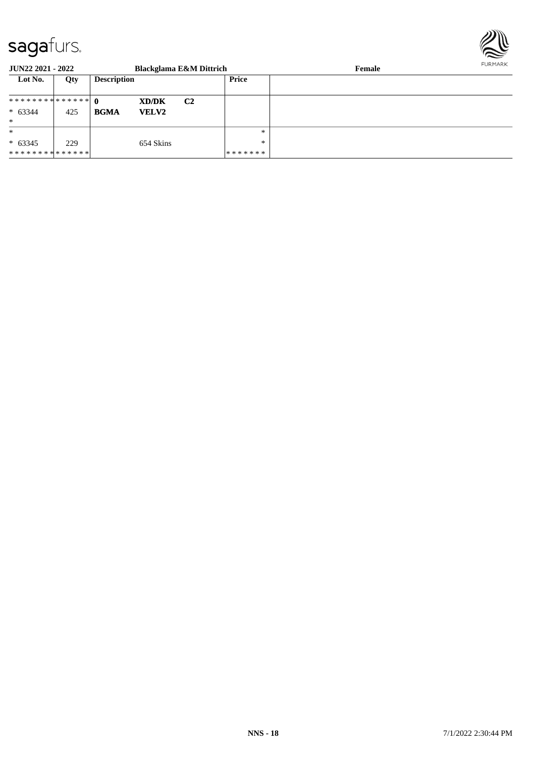

| JUN22 2021 - 2022 |     |                    |              | <b>Blackglama E&amp;M Dittrich</b> |         | FURMARK<br>Female |  |
|-------------------|-----|--------------------|--------------|------------------------------------|---------|-------------------|--|
| Lot No.           | Qty | <b>Description</b> |              |                                    | Price   |                   |  |
|                   |     |                    | XD/DK        | C <sub>2</sub>                     |         |                   |  |
| $* 63344$         | 425 | <b>BGMA</b>        | <b>VELV2</b> |                                    |         |                   |  |
| $\ast$            |     |                    |              |                                    |         |                   |  |
| $\ast$            |     |                    |              |                                    | $\ast$  |                   |  |
| $* 63345$         | 229 |                    | 654 Skins    |                                    | $\ast$  |                   |  |
| **************    |     |                    |              |                                    | ******* |                   |  |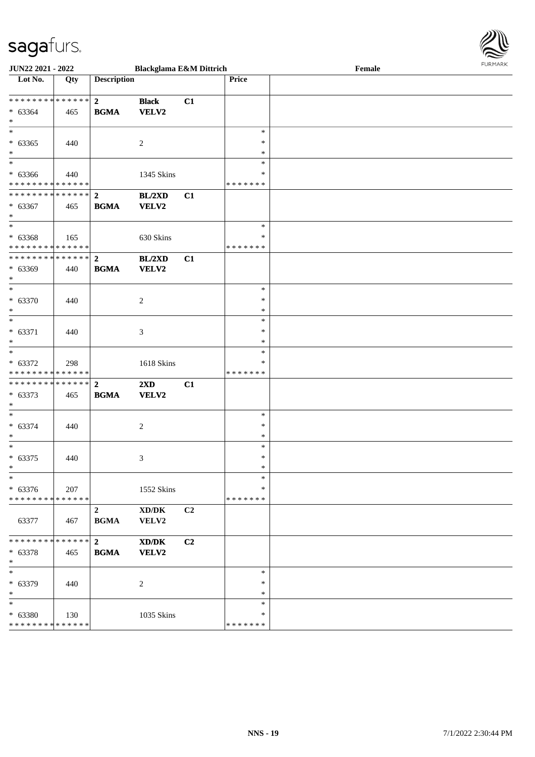

| <b>JUN22 2021 - 2022</b>                                                           |     |                                        | <b>Blackglama E&amp;M Dittrich</b>      |    |                                   | Female | FURMARK |
|------------------------------------------------------------------------------------|-----|----------------------------------------|-----------------------------------------|----|-----------------------------------|--------|---------|
| Lot No.                                                                            | Qty | <b>Description</b>                     |                                         |    | Price                             |        |         |
| $* 63364$<br>$*$                                                                   | 465 | <b>BGMA</b>                            | <b>Black</b><br>VELV2                   | C1 |                                   |        |         |
| $\ddot{x}$<br>$* 63365$<br>$\ast$                                                  | 440 |                                        | 2                                       |    | $\ast$<br>$\ast$<br>$\ast$        |        |         |
| $\ddot{x}$<br>$* 63366$<br>* * * * * * * * <mark>* * * * * * *</mark>              | 440 |                                        | 1345 Skins                              |    | $\ast$<br>$\ast$<br>* * * * * * * |        |         |
| $* 63367$<br>$\ast$                                                                | 465 | <b>BGMA</b>                            | BL/2XD<br><b>VELV2</b>                  | C1 |                                   |        |         |
| $\overline{\mathbf{r}}$<br>$* 63368$<br>* * * * * * * * <mark>* * * * * * *</mark> | 165 |                                        | 630 Skins                               |    | $*$<br>∗<br>* * * * * * *         |        |         |
| $* 63369$<br>$*$                                                                   | 440 | <b>BGMA</b>                            | BL/2XD<br>VELV2                         | C1 |                                   |        |         |
| $*$<br>$* 63370$<br>$*$                                                            | 440 |                                        | 2                                       |    | $\ast$<br>$\ast$<br>$\ast$        |        |         |
| $\overline{\ast}$<br>$* 63371$<br>$\ast$                                           | 440 |                                        | 3                                       |    | $\ast$<br>$\ast$<br>$\ast$        |        |         |
| $\ast$<br>$* 63372$<br>* * * * * * * * <mark>* * * * * * *</mark>                  | 298 |                                        | 1618 Skins                              |    | $\ast$<br>$\ast$<br>* * * * * * * |        |         |
| $* 63373$<br>$*$                                                                   | 465 | <b>BGMA</b>                            | $2\mathbf{X}\mathbf{D}$<br><b>VELV2</b> | C1 |                                   |        |         |
| $\ddot{x}$<br>$* 63374$<br>$\ast$                                                  | 440 |                                        | 2                                       |    | $\ast$<br>$\ast$<br>$\ast$        |        |         |
| $* 63375$                                                                          | 440 |                                        | 3                                       |    | $\ast$<br>$\ast$<br>∗             |        |         |
| $\ast$<br>$* 63376$<br>* * * * * * * * <mark>* * * * * * *</mark>                  | 207 |                                        | 1552 Skins                              |    | $\ast$<br>$\ast$<br>*******       |        |         |
| 63377                                                                              | 467 | $\overline{\mathbf{2}}$<br><b>BGMA</b> | XD/DK<br>VELV2                          | C2 |                                   |        |         |
| $* 63378$<br>$\ast$                                                                | 465 | <b>BGMA</b>                            | XD/DK<br><b>VELV2</b>                   | C2 |                                   |        |         |
| $\overline{\ast}$<br>* 63379<br>$\ast$                                             | 440 |                                        | $\overline{2}$                          |    | $\ast$<br>$\ast$<br>$\ast$        |        |         |
| $\ast$<br>$* 63380$<br>* * * * * * * * <mark>* * * * * *</mark>                    | 130 |                                        | 1035 Skins                              |    | $\ast$<br>*<br>*******            |        |         |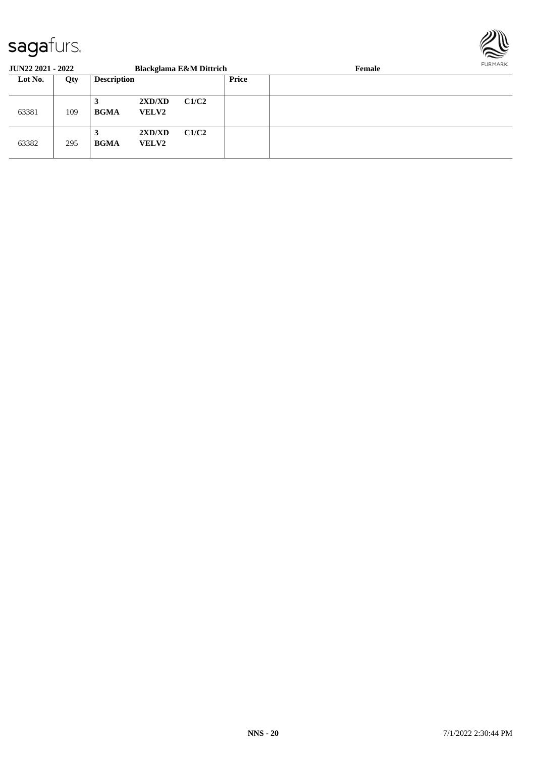

| <b>JUN22 2021 - 2022</b> |     |                    |                        | <b>Blackglama E&amp;M Dittrich</b> |              | Female |  |  |
|--------------------------|-----|--------------------|------------------------|------------------------------------|--------------|--------|--|--|
| Lot No.                  | Qty | <b>Description</b> |                        |                                    | <b>Price</b> |        |  |  |
| 63381                    | 109 | 3<br><b>BGMA</b>   | 2XD/XD<br><b>VELV2</b> | C1/C2                              |              |        |  |  |
| 63382                    | 295 | 3<br><b>BGMA</b>   | 2XD/XD<br><b>VELV2</b> | C1/C2                              |              |        |  |  |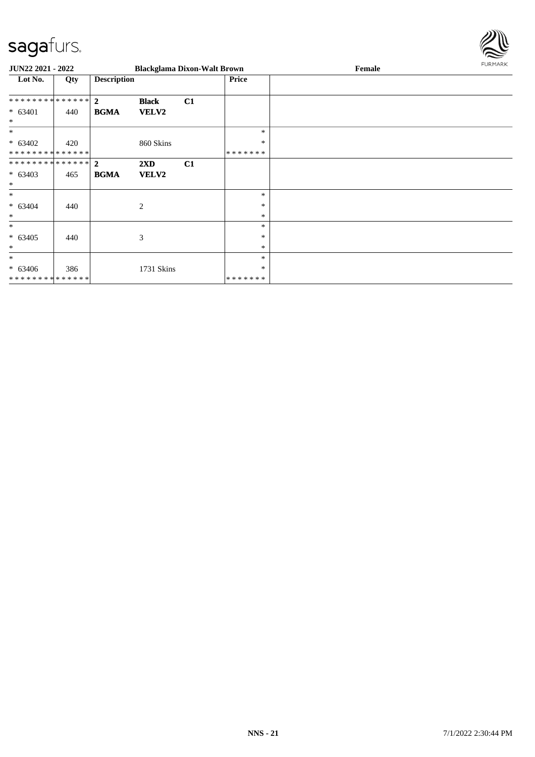

| <b>JUN22 2021 - 2022</b>                           |     |                    |                                  | <b>Blackglama Dixon-Walt Brown</b> |                             | Female | FURMARK |
|----------------------------------------------------|-----|--------------------|----------------------------------|------------------------------------|-----------------------------|--------|---------|
| Lot No.                                            | Qty | <b>Description</b> |                                  |                                    | Price                       |        |         |
| ************** 2<br>$* 63401$<br>$\ast$            | 440 | <b>BGMA</b>        | <b>Black</b><br>VELV2            | C1                                 |                             |        |         |
| $\ast$<br>$* 63402$<br>* * * * * * * * * * * * * * | 420 |                    | 860 Skins                        |                                    | $\ast$<br>$\ast$<br>******* |        |         |
| ************** 2<br>$* 63403$<br>$\ast$            | 465 | <b>BGMA</b>        | $2\mathbf{X}\mathbf{D}$<br>VELV2 | C1                                 |                             |        |         |
| $\ast$<br>$* 63404$<br>$\ast$                      | 440 |                    | $\overline{2}$                   |                                    | $\ast$<br>$\ast$<br>$\ast$  |        |         |
| $\ast$<br>$* 63405$<br>$\ast$                      | 440 |                    | $\mathfrak{Z}$                   |                                    | $\ast$<br>∗<br>$\ast$       |        |         |
| $\ast$<br>$* 63406$<br>**************              | 386 |                    | 1731 Skins                       |                                    | $\ast$<br>*<br>*******      |        |         |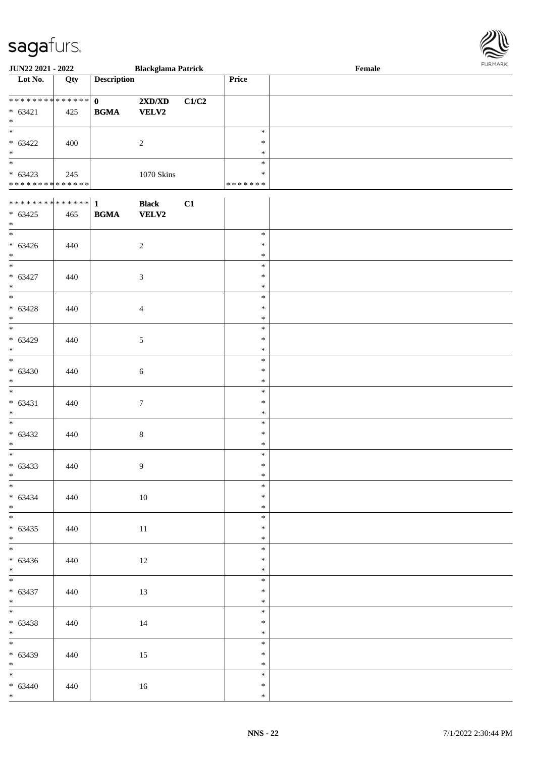

| <b>JUN22 2021 - 2022</b>     |     |                    | <b>Blackglama Patrick</b>        |       |               | Female |
|------------------------------|-----|--------------------|----------------------------------|-------|---------------|--------|
| Lot No.                      | Qty | <b>Description</b> |                                  |       | Price         |        |
|                              |     |                    |                                  |       |               |        |
| **************               |     | $\mathbf{0}$       | $2{\bf X}{\bf D}/{\bf X}{\bf D}$ | C1/C2 |               |        |
| $* 63421$                    | 425 | <b>BGMA</b>        | <b>VELV2</b>                     |       |               |        |
| $*$                          |     |                    |                                  |       |               |        |
|                              |     |                    |                                  |       |               |        |
|                              |     |                    |                                  |       | $\ast$        |        |
| $* 63422$                    | 400 |                    | $\overline{2}$                   |       | $\ast$        |        |
| $*$                          |     |                    |                                  |       | $\ast$        |        |
|                              |     |                    |                                  |       | $\ast$        |        |
| $* 63423$                    | 245 |                    | 1070 Skins                       |       | $\ast$        |        |
| ******** <mark>******</mark> |     |                    |                                  |       | * * * * * * * |        |
|                              |     |                    |                                  |       |               |        |
|                              |     |                    | <b>Black</b>                     | C1    |               |        |
| $* 63425$                    | 465 | <b>BGMA</b>        | <b>VELV2</b>                     |       |               |        |
| $\ast$                       |     |                    |                                  |       |               |        |
|                              |     |                    |                                  |       | $\ast$        |        |
|                              |     |                    |                                  |       |               |        |
| $* 63426$                    | 440 |                    | $\sqrt{2}$                       |       | $\ast$        |        |
| $\ast$                       |     |                    |                                  |       | $\ast$        |        |
| $\overline{\phantom{0}}$     |     |                    |                                  |       | $\ast$        |        |
| $* 63427$                    | 440 |                    | 3                                |       | $\ast$        |        |
| $*$                          |     |                    |                                  |       | $\ast$        |        |
| $\overline{\ast}$            |     |                    |                                  |       | $\ast$        |        |
| $* 63428$                    | 440 |                    |                                  |       | $\ast$        |        |
| $*$                          |     |                    | $\overline{4}$                   |       | $\ast$        |        |
|                              |     |                    |                                  |       |               |        |
| $\overline{\ast}$            |     |                    |                                  |       | $\ast$        |        |
| $* 63429$                    | 440 |                    | $\sqrt{5}$                       |       | $\ast$        |        |
| $\ast$                       |     |                    |                                  |       | $\ast$        |        |
| $*$                          |     |                    |                                  |       | $\ast$        |        |
| $* 63430$                    | 440 |                    | $\sqrt{6}$                       |       | $\ast$        |        |
| $\ast$                       |     |                    |                                  |       | $\ast$        |        |
| $\overline{\phantom{0}}$     |     |                    |                                  |       | $\ast$        |        |
|                              |     |                    |                                  |       | $\ast$        |        |
| $* 63431$                    | 440 |                    | $\tau$                           |       |               |        |
| $\ast$                       |     |                    |                                  |       | $\ast$        |        |
|                              |     |                    |                                  |       | $\ast$        |        |
| $* 63432$                    | 440 |                    | $\,8\,$                          |       | $\ast$        |        |
| $\ast$                       |     |                    |                                  |       | $\ast$        |        |
| $\overline{\phantom{0}}$     |     |                    |                                  |       | $\ast$        |        |
| $* 63433$                    | 440 |                    | 9                                |       | $\ast$        |        |
| $\ast$                       |     |                    |                                  |       | $\ast$        |        |
| $\frac{1}{1}$                |     |                    |                                  |       | $\ast$        |        |
| $* 63434$                    |     |                    |                                  |       | $\ast$        |        |
|                              | 440 |                    | $10\,$                           |       |               |        |
| $*$                          |     |                    |                                  |       | $\ast$        |        |
|                              |     |                    |                                  |       | $\ast$        |        |
| $* 63435$                    | 440 |                    | $11\,$                           |       | $\ast$        |        |
| $*$                          |     |                    |                                  |       | $\ast$        |        |
| $\overline{\phantom{0}}$     |     |                    |                                  |       | $\ast$        |        |
| $* 63436$                    | 440 |                    | $12\,$                           |       | $\ast$        |        |
| $*$ $*$                      |     |                    |                                  |       | $\ast$        |        |
|                              |     |                    |                                  |       | $\ast$        |        |
|                              |     |                    |                                  |       | $\ast$        |        |
| $* 63437$<br>$*$             | 440 |                    | 13                               |       | $\ast$        |        |
| $*$                          |     |                    |                                  |       |               |        |
|                              |     |                    |                                  |       | $\ast$        |        |
| $* 63438$                    | 440 |                    | 14                               |       | $\ast$        |        |
| $*$                          |     |                    |                                  |       | $\ast$        |        |
|                              |     |                    |                                  |       | $\ast$        |        |
| $* 63439$                    | 440 |                    | 15                               |       | $\ast$        |        |
| $*$                          |     |                    |                                  |       | $\ast$        |        |
| $\overline{\phantom{0}}$     |     |                    |                                  |       | $\ast$        |        |
| $* 63440$                    | 440 |                    | 16                               |       | $\ast$        |        |
| $*$                          |     |                    |                                  |       |               |        |
|                              |     |                    |                                  |       | $\ast$        |        |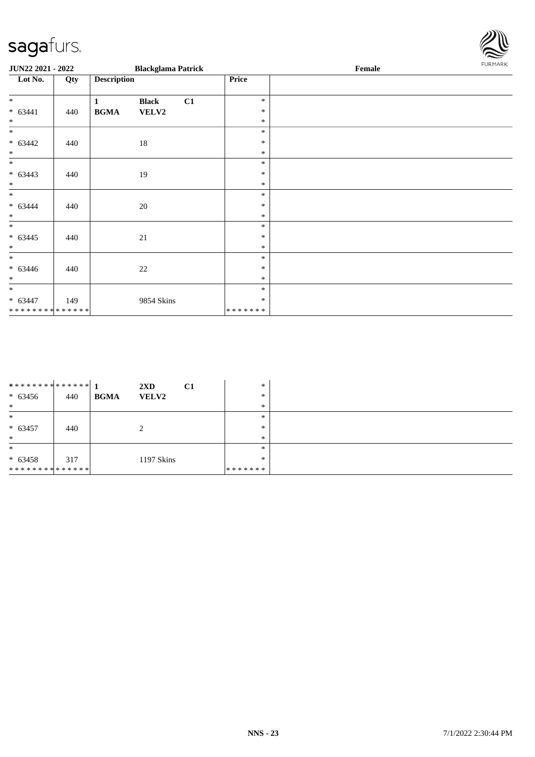| sagafurs.                   |     |                                                     |         |        |                |
|-----------------------------|-----|-----------------------------------------------------|---------|--------|----------------|
| JUN22 2021 - 2022           |     | <b>Blackglama Patrick</b>                           |         | Female | <b>FURMARK</b> |
| Lot No.                     | Qty | <b>Description</b>                                  | Price   |        |                |
| $\ast$                      |     | C1<br>$\mathbf{1}$<br><b>Black</b>                  | $\ast$  |        |                |
| $* 63441$                   | 440 | $\mathbf{B}\mathbf{G}\mathbf{M}\mathbf{A}$<br>VELV2 | $\ast$  |        |                |
| $\ast$                      |     |                                                     | $\ast$  |        |                |
| $\ast$                      |     |                                                     | $\ast$  |        |                |
| $* 63442$                   | 440 | 18                                                  | $\ast$  |        |                |
| $\ast$                      |     |                                                     | $\ast$  |        |                |
| $\ast$                      |     |                                                     | $\ast$  |        |                |
| $* 63443$                   | 440 | 19                                                  | $\ast$  |        |                |
| $\ast$                      |     |                                                     | $\ast$  |        |                |
| $\ast$                      |     |                                                     | $\ast$  |        |                |
| $* 63444$                   | 440 | 20                                                  | $\ast$  |        |                |
| $\ast$                      |     |                                                     | $\ast$  |        |                |
| $\ast$                      |     |                                                     | $\ast$  |        |                |
| $* 63445$                   | 440 | $21\,$                                              | $\ast$  |        |                |
| $\ast$                      |     |                                                     | $\ast$  |        |                |
| $\ast$                      |     |                                                     | $\ast$  |        |                |
| $* 63446$                   | 440 | $22\,$                                              | $\ast$  |        |                |
| $\ast$                      |     |                                                     | $\ast$  |        |                |
| $\ast$                      |     |                                                     | $\ast$  |        |                |
| $* 63447$                   | 149 | 9854 Skins                                          | $\ast$  |        |                |
| * * * * * * * * * * * * * * |     |                                                     | ******* |        |                |

| ************** 1 |     | C1<br>$2\mathbf{X}\mathbf{D}$ | $\ast$        |  |
|------------------|-----|-------------------------------|---------------|--|
| $* 63456$        | 440 | <b>BGMA</b><br><b>VELV2</b>   | *             |  |
| $\ast$           |     |                               | $\ast$        |  |
| $\ast$           |     |                               | *             |  |
| $* 63457$        | 440 |                               | *             |  |
| $\ast$           |     |                               | *             |  |
| $\ast$           |     |                               | *             |  |
| $* 63458$        | 317 | 1197 Skins                    | *             |  |
| **************   |     |                               | * * * * * * * |  |

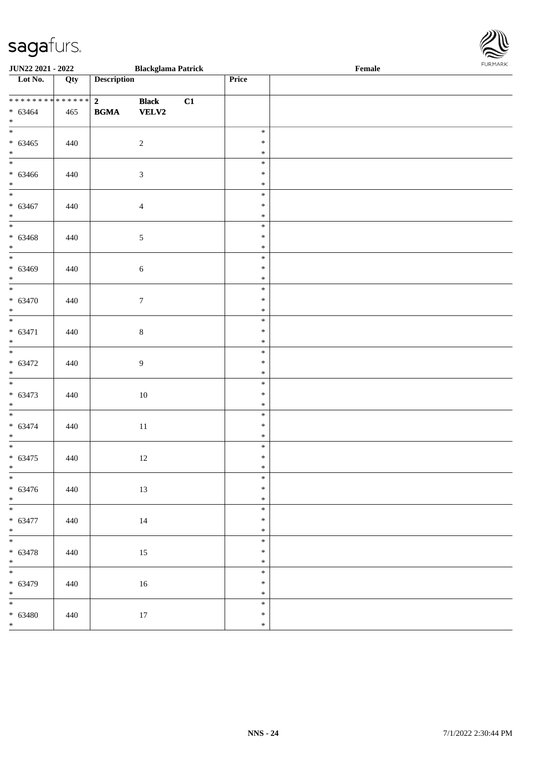| <b>JUN22 2021 - 2022</b>                           |     |                               | <b>Blackglama Patrick</b>    |    |                            | Female<br>. |  |
|----------------------------------------------------|-----|-------------------------------|------------------------------|----|----------------------------|-------------|--|
| Lot No.                                            | Qty | <b>Description</b>            |                              |    | Price                      |             |  |
| **************<br>$* 63464$<br>$*$                 | 465 | $\overline{2}$<br><b>BGMA</b> | <b>Black</b><br><b>VELV2</b> | C1 |                            |             |  |
| $\overline{\mathbf{r}}$<br>$* 63465$<br>$*$<br>*   | 440 |                               | $\overline{2}$               |    | $\ast$<br>$\ast$<br>$\ast$ |             |  |
| $* 63466$<br>$*$                                   | 440 |                               | $\mathfrak{Z}$               |    | $\ast$<br>$\ast$<br>$\ast$ |             |  |
| $\ddot{x}$<br>$* 63467$<br>$*$                     | 440 |                               | $\overline{4}$               |    | $\ast$<br>$\ast$<br>$\ast$ |             |  |
| $* 63468$<br>$*$                                   | 440 |                               | $\mathfrak{S}$               |    | $\ast$<br>$\ast$<br>$\ast$ |             |  |
| $* 63469$<br>$*$                                   | 440 |                               | $\sqrt{6}$                   |    | $\ast$<br>$\ast$<br>$\ast$ |             |  |
| $\overline{\phantom{0}}$<br>$* 63470$<br>$*$       | 440 |                               | $7\phantom{.0}$              |    | $\ast$<br>$\ast$<br>$\ast$ |             |  |
| $* 63471$<br>$*$                                   | 440 |                               | $\,8\,$                      |    | $\ast$<br>$\ast$<br>$\ast$ |             |  |
| $* 63472$<br>$\ast$                                | 440 |                               | $\overline{9}$               |    | $\ast$<br>$\ast$<br>$\ast$ |             |  |
| $\overline{\ast}$<br>$* 63473$<br>$*$              | 440 |                               | 10                           |    | $\ast$<br>$\ast$<br>$\ast$ |             |  |
| $* 63474$<br>$*$                                   | 440 |                               | 11                           |    | $\ast$<br>$\ast$<br>$\ast$ |             |  |
| $* 63475$<br>$*$                                   | 440 |                               | 12                           |    | $\ast$<br>$\ast$<br>$\ast$ |             |  |
| $*$<br>$* 63476$<br>$*$                            | 440 |                               | 13                           |    | $\ast$<br>$\ast$<br>$\ast$ |             |  |
| $\overline{\mathbf{r}}$<br>$* 63477$<br>$*$        | 440 |                               | 14                           |    | $\ast$<br>$\ast$<br>$\ast$ |             |  |
| $\ddot{x}$<br>$* 63478$<br>$*$ $\qquad$            | 440 |                               | 15                           |    | $\ast$<br>$\ast$<br>$\ast$ |             |  |
| $* 63479$<br>$*$                                   | 440 |                               | 16                           |    | $\ast$<br>$\ast$<br>$\ast$ |             |  |
| $\overline{\mathbf{r}}$<br>$* 63480$<br>$\ddot{x}$ | 440 |                               | 17                           |    | $\ast$<br>$\ast$<br>$\ast$ |             |  |

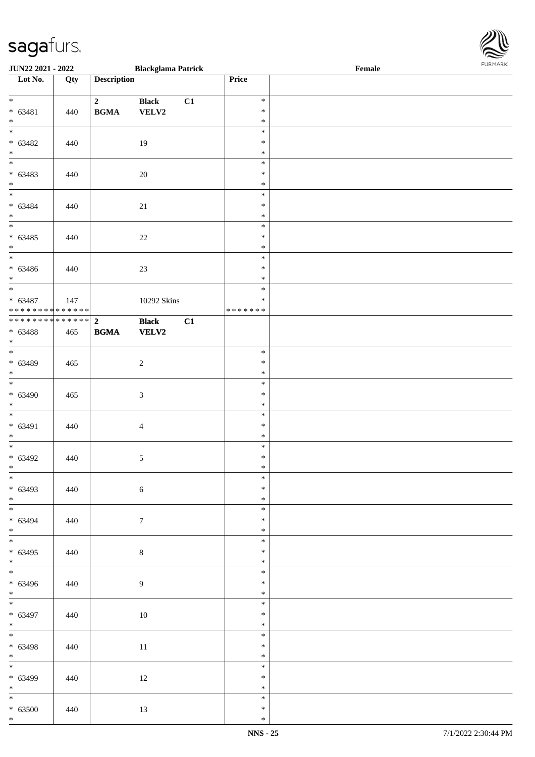| <b>JUN22 2021 - 2022</b>                                |     |                                            | <b>Blackglama Patrick</b>    |    |                                      | Female |  |
|---------------------------------------------------------|-----|--------------------------------------------|------------------------------|----|--------------------------------------|--------|--|
| Lot No.                                                 | Qty | <b>Description</b>                         |                              |    | Price                                |        |  |
| $*$<br>$* 63481$<br>$*$                                 | 440 | $\overline{2}$<br><b>BGMA</b>              | <b>Black</b><br>VELV2        | C1 | $\ast$<br>$\ast$<br>$\ast$           |        |  |
| $\overline{\mathbf{r}}$<br>$* 63482$<br>$*$<br>$*$      | 440 |                                            | 19                           |    | $\ast$<br>$\ast$<br>$\ast$           |        |  |
| $* 63483$<br>$*$                                        | 440 |                                            | 20                           |    | $\ast$<br>$\ast$<br>$\ast$           |        |  |
| $\overline{\phantom{0}}$<br>$* 63484$<br>$*$<br>*       | 440 |                                            | 21                           |    | $\ast$<br>$\ast$<br>$\ast$           |        |  |
| $* 63485$<br>$*$                                        | 440 |                                            | $22\,$                       |    | $\ast$<br>$\ast$<br>$\ast$<br>$\ast$ |        |  |
| $* 63486$<br>$*$<br>$*$                                 | 440 |                                            | 23                           |    | $\ast$<br>$\ast$<br>$\ast$           |        |  |
| $* 63487$<br>* * * * * * * * <mark>* * * * * * *</mark> | 147 |                                            | 10292 Skins                  |    | $\ast$<br>* * * * * * *              |        |  |
| $* 63488$<br>$*$                                        | 465 | $\mathbf{B}\mathbf{G}\mathbf{M}\mathbf{A}$ | <b>Black</b><br><b>VELV2</b> | C1 |                                      |        |  |
| $* 63489$<br>$\ast$<br>$*$                              | 465 |                                            | $\overline{c}$               |    | $\ast$<br>$\ast$<br>$\ast$           |        |  |
| $* 63490$<br>$*$                                        | 465 |                                            | $\mathfrak{Z}$               |    | $\ast$<br>$\ast$<br>$\ast$           |        |  |
| $* 63491$<br>$*$                                        | 440 |                                            | $\overline{4}$               |    | $\ast$<br>$\ast$<br>$\ast$           |        |  |
| $* 63492$<br>$\ast$<br>$\ast$                           | 440 |                                            | $\sqrt{5}$                   |    | $\ast$<br>$\ast$<br>$\ast$           |        |  |
| $* 63493$<br>$*$                                        | 440 |                                            | $\sqrt{6}$                   |    | $\ast$<br>$\ast$<br>$\ast$           |        |  |
| $* 63494$<br>$\ast$<br>$*$                              | 440 |                                            | $\overline{7}$               |    | $\ast$<br>$\ast$<br>$\ast$           |        |  |
| $* 63495$<br>$*$ $\qquad$                               | 440 |                                            | $\,8\,$                      |    | $\ast$<br>$\ast$<br>$\ast$           |        |  |
| $* 63496$<br>$*$<br>$*$                                 | 440 |                                            | 9                            |    | $\ast$<br>$\ast$<br>$\ast$           |        |  |
| $* 63497$<br>$*$                                        | 440 |                                            | 10                           |    | $\ast$<br>$\ast$<br>$\ast$           |        |  |
| $*$<br>$* 63498$<br>$*$                                 | 440 |                                            | 11                           |    | $\ast$<br>$\ast$<br>$\ast$           |        |  |
| $* 63499$<br>$*$                                        | 440 |                                            | 12                           |    | $\ast$<br>$\ast$<br>$\ast$           |        |  |
| $\overline{\mathbf{r}}$<br>$* 63500$<br>$\ast$          | 440 |                                            | 13                           |    | $\ast$<br>$\ast$<br>$\ast$           |        |  |

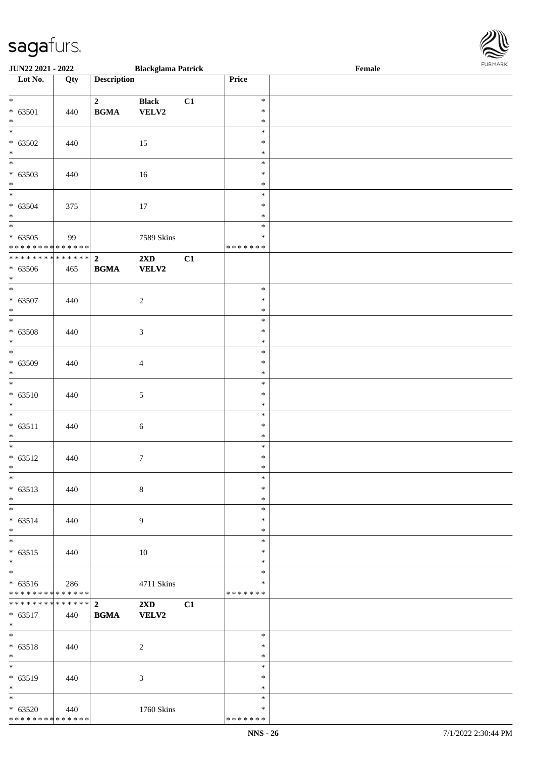\* \* \* \* \* \* \* \* \* \* \* \* \* \* \*

| <b>JUN22 2021 - 2022</b>                   |     |                    | <b>Blackglama Patrick</b> |    |                  | Female |  |
|--------------------------------------------|-----|--------------------|---------------------------|----|------------------|--------|--|
| Lot No.                                    | Qty | <b>Description</b> |                           |    | Price            |        |  |
|                                            |     |                    |                           |    |                  |        |  |
| $*$                                        |     | $\overline{2}$     | <b>Black</b>              | C1 | $\ast$           |        |  |
| $* 63501$<br>$\ast$                        | 440 | <b>BGMA</b>        | VELV2                     |    | $\ast$<br>$\ast$ |        |  |
| $\overline{\ast}$                          |     |                    |                           |    | $\ast$           |        |  |
| $* 63502$                                  | 440 |                    | 15                        |    | $\ast$           |        |  |
| $*$                                        |     |                    |                           |    | $\ast$           |        |  |
|                                            |     |                    |                           |    | $\ast$           |        |  |
| $* 63503$                                  | 440 |                    | 16                        |    | $\ast$           |        |  |
| $\ast$                                     |     |                    |                           |    | $\ast$           |        |  |
| $\overline{\ast}$                          |     |                    |                           |    | $\ast$           |        |  |
| $* 63504$                                  | 375 |                    | 17                        |    | $\ast$           |        |  |
| $*$                                        |     |                    |                           |    | $\ast$           |        |  |
| $\overline{\phantom{0}}$                   |     |                    |                           |    | $\ast$           |        |  |
| $* 63505$                                  | 99  |                    | 7589 Skins                |    | $\ast$           |        |  |
| * * * * * * * * <mark>* * * * * * *</mark> |     |                    |                           |    | * * * * * * *    |        |  |
| * * * * * * * * <mark>* * * * * * *</mark> |     | $\overline{2}$     | $2\mathbf{X}\mathbf{D}$   | C1 |                  |        |  |
| $* 63506$                                  | 465 | <b>BGMA</b>        | <b>VELV2</b>              |    |                  |        |  |
| $*$                                        |     |                    |                           |    |                  |        |  |
| $\overline{\ast}$                          |     |                    |                           |    | $\ast$           |        |  |
| $* 63507$                                  | 440 |                    | $\sqrt{2}$                |    | $\ast$           |        |  |
| $\ast$                                     |     |                    |                           |    | $\ast$           |        |  |
|                                            |     |                    |                           |    | $\ast$           |        |  |
| $* 63508$                                  | 440 |                    | $\mathfrak{Z}$            |    | $\ast$           |        |  |
| $\ast$                                     |     |                    |                           |    | $\ast$           |        |  |
| $\overline{\phantom{0}}$                   |     |                    |                           |    | $\ast$           |        |  |
| $* 63509$                                  | 440 |                    | $\overline{4}$            |    | $\ast$           |        |  |
| $\ast$                                     |     |                    |                           |    | $\ast$           |        |  |
|                                            |     |                    |                           |    | $\ast$           |        |  |
| $* 63510$                                  | 440 |                    | $\sqrt{5}$                |    | $\ast$           |        |  |
| $*$                                        |     |                    |                           |    | $\ast$           |        |  |
| $\ddot{x}$                                 |     |                    |                           |    | $\ast$           |        |  |
| $* 63511$                                  | 440 |                    | $\sqrt{6}$                |    | $\ast$           |        |  |
| $\ast$<br>$\overline{\ast}$                |     |                    |                           |    | $\ast$           |        |  |
|                                            |     |                    |                           |    | $\ast$<br>$\ast$ |        |  |
| $* 63512$<br>$\ddot{x}$                    | 440 |                    | $\boldsymbol{7}$          |    | $\ast$           |        |  |
| $\ast$                                     |     |                    |                           |    | $\ast$           |        |  |
| $* 63513$                                  | 440 |                    | $8\,$                     |    | $\ast$           |        |  |
| $*$                                        |     |                    |                           |    | $\ast$           |        |  |
|                                            |     |                    |                           |    | $\ast$           |        |  |
| $* 63514$                                  | 440 |                    | 9                         |    | $\ast$           |        |  |
| $*$                                        |     |                    |                           |    | $\ast$           |        |  |
| $\ddot{x}$                                 |     |                    |                           |    | $\ast$           |        |  |
| $* 63515$                                  | 440 |                    | 10                        |    | $\ast$           |        |  |
| $*$                                        |     |                    |                           |    | $\ast$           |        |  |
| $\overline{\ast}$                          |     |                    |                           |    | $\ast$           |        |  |
| $* 63516$                                  | 286 |                    | 4711 Skins                |    | ∗                |        |  |
| * * * * * * * * * * * * * * *              |     |                    |                           |    | *******          |        |  |
| ******** <mark>*******</mark> 2            |     |                    | $2\mathbf{X}\mathbf{D}$   | C1 |                  |        |  |
| $* 63517$                                  | 440 | <b>BGMA</b>        | <b>VELV2</b>              |    |                  |        |  |
| $*$                                        |     |                    |                           |    |                  |        |  |
| $*$                                        |     |                    |                           |    | $\ast$           |        |  |
| $* 63518$                                  | 440 |                    | $\overline{c}$            |    | $\ast$           |        |  |
| $*$                                        |     |                    |                           |    | $\ast$           |        |  |
|                                            |     |                    |                           |    | $\ast$           |        |  |
| $* 63519$                                  | 440 |                    | 3                         |    | $\ast$           |        |  |
| $*$                                        |     |                    |                           |    | $\ast$           |        |  |
| $*$                                        |     |                    |                           |    | $\ast$           |        |  |
| $* 63520$                                  | 440 |                    | 1760 Skins                |    | $\ast$           |        |  |

\* \* \* \* \* \* \*